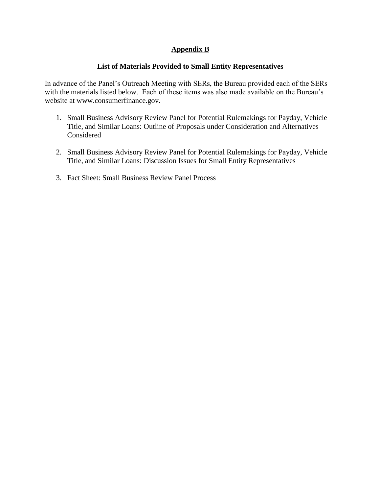#### **Appendix B**

#### **List of Materials Provided to Small Entity Representatives**

In advance of the Panel's Outreach Meeting with SERs, the Bureau provided each of the SERs with the materials listed below. Each of these items was also made available on the Bureau's website at www.consumerfinance.gov.

- 1. Small Business Advisory Review Panel for Potential Rulemakings for Payday, Vehicle Title, and Similar Loans: Outline of Proposals under Consideration and Alternatives Considered
- 2. Small Business Advisory Review Panel for Potential Rulemakings for Payday, Vehicle Title, and Similar Loans: Discussion Issues for Small Entity Representatives
- 3. Fact Sheet: Small Business Review Panel Process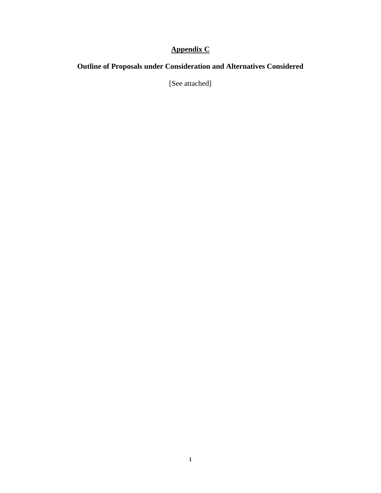### **Appendix C**

### **Outline of Proposals under Consideration and Alternatives Considered**

[See attached]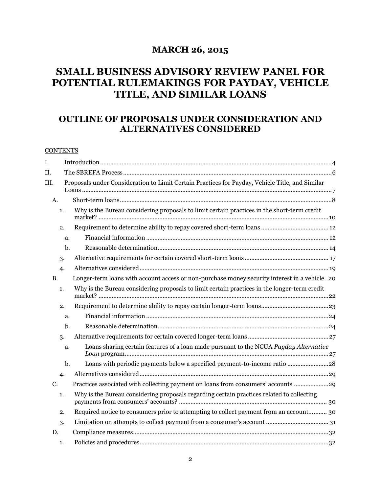### **MARCH 26, 2015**

### **SMALL BUSINESS ADVISORY REVIEW PANEL FOR POTENTIAL RULEMAKINGS FOR PAYDAY, VEHICLE TITLE, AND SIMILAR LOANS**

### **OUTLINE OF PROPOSALS UNDER CONSIDERATION AND ALTERNATIVES CONSIDERED**

#### **CONTENTS**

| I.        |    |                                                                                                 |
|-----------|----|-------------------------------------------------------------------------------------------------|
| II.       |    |                                                                                                 |
| III.      |    | Proposals under Consideration to Limit Certain Practices for Payday, Vehicle Title, and Similar |
| A.        |    |                                                                                                 |
|           | 1. | Why is the Bureau considering proposals to limit certain practices in the short-term credit     |
|           | 2. |                                                                                                 |
|           | a. |                                                                                                 |
|           | b. |                                                                                                 |
|           | 3. |                                                                                                 |
|           | 4. |                                                                                                 |
| <b>B.</b> |    | Longer-term loans with account access or non-purchase money security interest in a vehicle. 20  |
|           | 1. | Why is the Bureau considering proposals to limit certain practices in the longer-term credit    |
|           | 2. |                                                                                                 |
|           | a. |                                                                                                 |
|           | b. |                                                                                                 |
|           | 3. |                                                                                                 |
|           | a. | Loans sharing certain features of a loan made pursuant to the NCUA Payday Alternative           |
|           | b. | Loans with periodic payments below a specified payment-to-income ratio 28                       |
|           | 4. |                                                                                                 |
| C.        |    | Practices associated with collecting payment on loans from consumers' accounts                  |
|           | 1. | Why is the Bureau considering proposals regarding certain practices related to collecting       |
|           | 2. | Required notice to consumers prior to attempting to collect payment from an account 30          |
|           | 3. |                                                                                                 |
| D.        |    |                                                                                                 |
|           | 1. |                                                                                                 |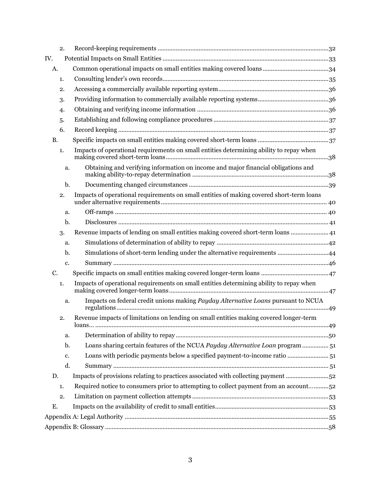| 2.        |                                                                                          |  |
|-----------|------------------------------------------------------------------------------------------|--|
| IV.       |                                                                                          |  |
| A.        |                                                                                          |  |
| 1.        |                                                                                          |  |
| 2.        |                                                                                          |  |
| 3.        |                                                                                          |  |
| 4.        |                                                                                          |  |
| 5.        |                                                                                          |  |
| 6.        |                                                                                          |  |
| <b>B.</b> |                                                                                          |  |
| 1.        | Impacts of operational requirements on small entities determining ability to repay when  |  |
| a.        | Obtaining and verifying information on income and major financial obligations and        |  |
| b.        |                                                                                          |  |
| 2.        | Impacts of operational requirements on small entities of making covered short-term loans |  |
| a.        |                                                                                          |  |
| b.        |                                                                                          |  |
| 3.        | Revenue impacts of lending on small entities making covered short-term loans  41         |  |
| a.        |                                                                                          |  |
| b.        | Simulations of short-term lending under the alternative requirements 44                  |  |
| c.        |                                                                                          |  |
| C.        |                                                                                          |  |
| 1.        | Impacts of operational requirements on small entities determining ability to repay when  |  |
| a.        | Impacts on federal credit unions making Payday Alternative Loans pursuant to NCUA        |  |
| 2.        | Revenue impacts of limitations on lending on small entities making covered longer-term   |  |
| a.        |                                                                                          |  |
| b.        | Loans sharing certain features of the NCUA Payday Alternative Loan program 51            |  |
| c.        | Loans with periodic payments below a specified payment-to-income ratio  51               |  |
| d.        |                                                                                          |  |
| D.        | Impacts of provisions relating to practices associated with collecting payment 52        |  |
| 1.        | Required notice to consumers prior to attempting to collect payment from an account52    |  |
| 2.        |                                                                                          |  |
| Ε.        |                                                                                          |  |
|           |                                                                                          |  |
|           |                                                                                          |  |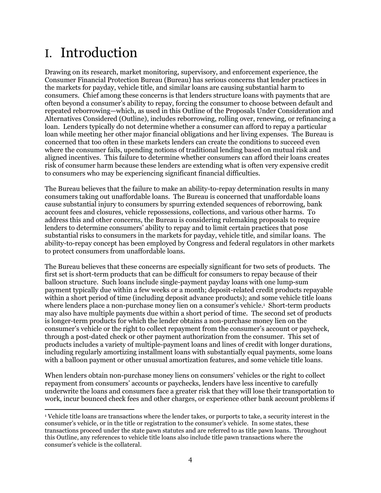# <span id="page-4-0"></span>I. Introduction

Drawing on its research, market monitoring, supervisory, and enforcement experience, the Consumer Financial Protection Bureau (Bureau) has serious concerns that lender practices in the markets for payday, vehicle title, and similar loans are causing substantial harm to consumers. Chief among these concerns is that lenders structure loans with payments that are often beyond a consumer's ability to repay, forcing the consumer to choose between default and repeated reborrowing—which, as used in this Outline of the Proposals Under Consideration and Alternatives Considered (Outline), includes reborrowing, rolling over, renewing, or refinancing a loan. Lenders typically do not determine whether a consumer can afford to repay a particular loan while meeting her other major financial obligations and her living expenses. The Bureau is concerned that too often in these markets lenders can create the conditions to succeed even where the consumer fails, upending notions of traditional lending based on mutual risk and aligned incentives. This failure to determine whether consumers can afford their loans creates risk of consumer harm because these lenders are extending what is often very expensive credit to consumers who may be experiencing significant financial difficulties.

The Bureau believes that the failure to make an ability-to-repay determination results in many consumers taking out unaffordable loans. The Bureau is concerned that unaffordable loans cause substantial injury to consumers by spurring extended sequences of reborrowing, bank account fees and closures, vehicle repossessions, collections, and various other harms. To address this and other concerns, the Bureau is considering rulemaking proposals to require lenders to determine consumers' ability to repay and to limit certain practices that pose substantial risks to consumers in the markets for payday, vehicle title, and similar loans. The ability-to-repay concept has been employed by Congress and federal regulators in other markets to protect consumers from unaffordable loans.

The Bureau believes that these concerns are especially significant for two sets of products. The first set is short-term products that can be difficult for consumers to repay because of their balloon structure. Such loans include single-payment payday loans with one lump-sum payment typically due within a few weeks or a month; deposit-related credit products repayable within a short period of time (including deposit advance products); and some vehicle title loans where lenders place a non-purchase money lien on a consumer's vehicle. 1 Short-term products may also have multiple payments due within a short period of time. The second set of products is longer-term products for which the lender obtains a non-purchase money lien on the consumer's vehicle or the right to collect repayment from the consumer's account or paycheck, through a post-dated check or other payment authorization from the consumer. This set of products includes a variety of multiple-payment loans and lines of credit with longer durations, including regularly amortizing installment loans with substantially equal payments, some loans with a balloon payment or other unusual amortization features, and some vehicle title loans.

When lenders obtain non-purchase money liens on consumers' vehicles or the right to collect repayment from consumers' accounts or paychecks, lenders have less incentive to carefully underwrite the loans and consumers face a greater risk that they will lose their transportation to work, incur bounced check fees and other charges, or experience other bank account problems if

 $\overline{a}$ <sup>1</sup> Vehicle title loans are transactions where the lender takes, or purports to take, a security interest in the consumer's vehicle, or in the title or registration to the consumer's vehicle. In some states, these transactions proceed under the state pawn statutes and are referred to as title pawn loans. Throughout this Outline, any references to vehicle title loans also include title pawn transactions where the consumer's vehicle is the collateral.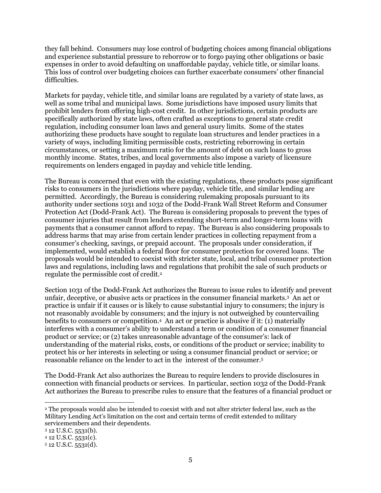they fall behind. Consumers may lose control of budgeting choices among financial obligations and experience substantial pressure to reborrow or to forgo paying other obligations or basic expenses in order to avoid defaulting on unaffordable payday, vehicle title, or similar loans. This loss of control over budgeting choices can further exacerbate consumers' other financial difficulties.

Markets for payday, vehicle title, and similar loans are regulated by a variety of state laws, as well as some tribal and municipal laws. Some jurisdictions have imposed usury limits that prohibit lenders from offering high-cost credit. In other jurisdictions, certain products are specifically authorized by state laws, often crafted as exceptions to general state credit regulation, including consumer loan laws and general usury limits. Some of the states authorizing these products have sought to regulate loan structures and lender practices in a variety of ways, including limiting permissible costs, restricting reborrowing in certain circumstances, or setting a maximum ratio for the amount of debt on such loans to gross monthly income. States, tribes, and local governments also impose a variety of licensure requirements on lenders engaged in payday and vehicle title lending.

The Bureau is concerned that even with the existing regulations, these products pose significant risks to consumers in the jurisdictions where payday, vehicle title, and similar lending are permitted. Accordingly, the Bureau is considering rulemaking proposals pursuant to its authority under sections 1031 and 1032 of the Dodd-Frank Wall Street Reform and Consumer Protection Act (Dodd-Frank Act). The Bureau is considering proposals to prevent the types of consumer injuries that result from lenders extending short-term and longer-term loans with payments that a consumer cannot afford to repay. The Bureau is also considering proposals to address harms that may arise from certain lender practices in collecting repayment from a consumer's checking, savings, or prepaid account. The proposals under consideration, if implemented, would establish a federal floor for consumer protection for covered loans. The proposals would be intended to coexist with stricter state, local, and tribal consumer protection laws and regulations, including laws and regulations that prohibit the sale of such products or regulate the permissible cost of credit.<sup>2</sup>

Section 1031 of the Dodd-Frank Act authorizes the Bureau to issue rules to identify and prevent unfair, deceptive, or abusive acts or practices in the consumer financial markets.<sup>3</sup> An act or practice is unfair if it causes or is likely to cause substantial injury to consumers; the injury is not reasonably avoidable by consumers; and the injury is not outweighed by countervailing benefits to consumers or competition.<sup>4</sup> An act or practice is abusive if it: (1) materially interferes with a consumer's ability to understand a term or condition of a consumer financial product or service; or (2) takes unreasonable advantage of the consumer's: lack of understanding of the material risks, costs, or conditions of the product or service; inability to protect his or her interests in selecting or using a consumer financial product or service; or reasonable reliance on the lender to act in the interest of the consumer. 5

The Dodd-Frank Act also authorizes the Bureau to require lenders to provide disclosures in connection with financial products or services. In particular, section 1032 of the Dodd-Frank Act authorizes the Bureau to prescribe rules to ensure that the features of a financial product or

 $\overline{a}$ 

<sup>2</sup> The proposals would also be intended to coexist with and not alter stricter federal law, such as the Military Lending Act's limitation on the cost and certain terms of credit extended to military servicemembers and their dependents.

<sup>3</sup> 12 U.S.C. 5531(b).

<sup>4</sup> 12 U.S.C. 5531(c).

<sup>5</sup> 12 U.S.C. 5531(d).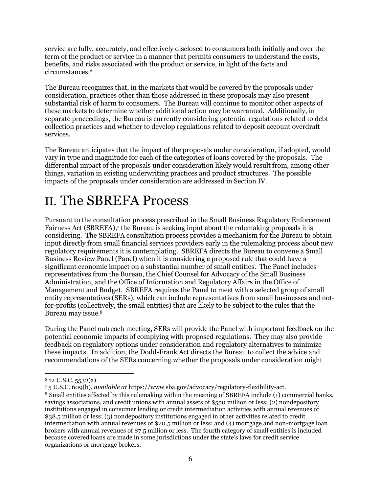service are fully, accurately, and effectively disclosed to consumers both initially and over the term of the product or service in a manner that permits consumers to understand the costs, benefits, and risks associated with the product or service, in light of the facts and circumstances.<sup>6</sup>

The Bureau recognizes that, in the markets that would be covered by the proposals under consideration, practices other than those addressed in these proposals may also present substantial risk of harm to consumers. The Bureau will continue to monitor other aspects of these markets to determine whether additional action may be warranted. Additionally, in separate proceedings, the Bureau is currently considering potential regulations related to debt collection practices and whether to develop regulations related to deposit account overdraft services.

The Bureau anticipates that the impact of the proposals under consideration, if adopted, would vary in type and magnitude for each of the categories of loans covered by the proposals. The differential impact of the proposals under consideration likely would result from, among other things, variation in existing underwriting practices and product structures. The possible impacts of the proposals under consideration are addressed in Section IV.

# <span id="page-6-0"></span>II. The SBREFA Process

Pursuant to the consultation process prescribed in the Small Business Regulatory Enforcement Fairness Act (SBREFA), 7 the Bureau is seeking input about the rulemaking proposals it is considering. The SBREFA consultation process provides a mechanism for the Bureau to obtain input directly from small financial services providers early in the rulemaking process about new regulatory requirements it is contemplating. SBREFA directs the Bureau to convene a Small Business Review Panel (Panel) when it is considering a proposed rule that could have a significant economic impact on a substantial number of small entities. The Panel includes representatives from the Bureau, the Chief Counsel for Advocacy of the Small Business Administration, and the Office of Information and Regulatory Affairs in the Office of Management and Budget. SBREFA requires the Panel to meet with a selected group of small entity representatives (SERs), which can include representatives from small businesses and notfor-profits (collectively, the small entities) that are likely to be subject to the rules that the Bureau may issue.<sup>8</sup>

During the Panel outreach meeting, SERs will provide the Panel with important feedback on the potential economic impacts of complying with proposed regulations. They may also provide feedback on regulatory options under consideration and regulatory alternatives to minimize these impacts. In addition, the Dodd-Frank Act directs the Bureau to collect the advice and recommendations of the SERs concerning whether the proposals under consideration might

 $\overline{a}$  $6$  12 U.S.C. 5532(a).

<sup>7</sup> 5 U.S.C. 609(b), *available at* https://www.sba.gov/advocacy/regulatory-flexibility-act.

<sup>8</sup> Small entities affected by this rulemaking within the meaning of SBREFA include (1) commercial banks, savings associations, and credit unions with annual assets of \$550 million or less; (2) nondepository institutions engaged in consumer lending or credit intermediation activities with annual revenues of \$38.5 million or less; (3) nondepository institutions engaged in other activities related to credit intermediation with annual revenues of \$20.5 million or less; and (4) mortgage and non-mortgage loan brokers with annual revenues of \$7.5 million or less. The fourth category of small entities is included because covered loans are made in some jurisdictions under the state's laws for credit service organizations or mortgage brokers.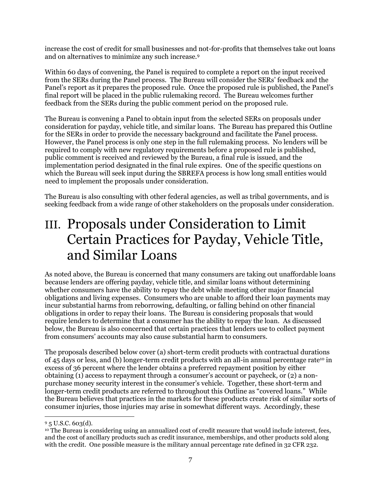increase the cost of credit for small businesses and not-for-profits that themselves take out loans and on alternatives to minimize any such increase.<sup>9</sup>

Within 60 days of convening, the Panel is required to complete a report on the input received from the SERs during the Panel process. The Bureau will consider the SERs' feedback and the Panel's report as it prepares the proposed rule. Once the proposed rule is published, the Panel's final report will be placed in the public rulemaking record. The Bureau welcomes further feedback from the SERs during the public comment period on the proposed rule.

The Bureau is convening a Panel to obtain input from the selected SERs on proposals under consideration for payday, vehicle title, and similar loans. The Bureau has prepared this Outline for the SERs in order to provide the necessary background and facilitate the Panel process. However, the Panel process is only one step in the full rulemaking process. No lenders will be required to comply with new regulatory requirements before a proposed rule is published, public comment is received and reviewed by the Bureau, a final rule is issued, and the implementation period designated in the final rule expires. One of the specific questions on which the Bureau will seek input during the SBREFA process is how long small entities would need to implement the proposals under consideration.

The Bureau is also consulting with other federal agencies, as well as tribal governments, and is seeking feedback from a wide range of other stakeholders on the proposals under consideration.

# <span id="page-7-0"></span>III. Proposals under Consideration to Limit Certain Practices for Payday, Vehicle Title, and Similar Loans

As noted above, the Bureau is concerned that many consumers are taking out unaffordable loans because lenders are offering payday, vehicle title, and similar loans without determining whether consumers have the ability to repay the debt while meeting other major financial obligations and living expenses. Consumers who are unable to afford their loan payments may incur substantial harms from reborrowing, defaulting, or falling behind on other financial obligations in order to repay their loans. The Bureau is considering proposals that would require lenders to determine that a consumer has the ability to repay the loan. As discussed below, the Bureau is also concerned that certain practices that lenders use to collect payment from consumers' accounts may also cause substantial harm to consumers.

The proposals described below cover (a) short-term credit products with contractual durations of 45 days or less, and (b) longer-term credit products with an all-in annual percentage rate<sup>10</sup> in excess of 36 percent where the lender obtains a preferred repayment position by either obtaining (1) access to repayment through a consumer's account or paycheck, or (2) a nonpurchase money security interest in the consumer's vehicle. Together, these short-term and longer-term credit products are referred to throughout this Outline as "covered loans." While the Bureau believes that practices in the markets for these products create risk of similar sorts of consumer injuries, those injuries may arise in somewhat different ways. Accordingly, these

 $\overline{a}$  $95$  U.S.C. 603(d).

<sup>10</sup> The Bureau is considering using an annualized cost of credit measure that would include interest, fees, and the cost of ancillary products such as credit insurance, memberships, and other products sold along with the credit. One possible measure is the military annual percentage rate defined in 32 CFR 232.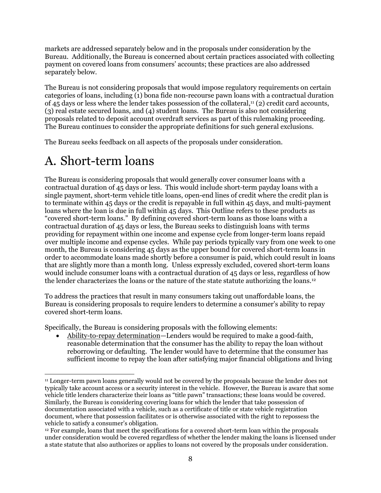markets are addressed separately below and in the proposals under consideration by the Bureau. Additionally, the Bureau is concerned about certain practices associated with collecting payment on covered loans from consumers' accounts; these practices are also addressed separately below.

The Bureau is not considering proposals that would impose regulatory requirements on certain categories of loans, including (1) bona fide non-recourse pawn loans with a contractual duration of 45 days or less where the lender takes possession of the collateral, <sup>11</sup> (2) credit card accounts, (3) real estate secured loans, and (4) student loans. The Bureau is also not considering proposals related to deposit account overdraft services as part of this rulemaking proceeding. The Bureau continues to consider the appropriate definitions for such general exclusions.

The Bureau seeks feedback on all aspects of the proposals under consideration.

## <span id="page-8-0"></span>A. Short-term loans

The Bureau is considering proposals that would generally cover consumer loans with a contractual duration of 45 days or less. This would include short-term payday loans with a single payment, short-term vehicle title loans, open-end lines of credit where the credit plan is to terminate within 45 days or the credit is repayable in full within 45 days, and multi-payment loans where the loan is due in full within 45 days. This Outline refers to these products as "covered short-term loans." By defining covered short-term loans as those loans with a contractual duration of 45 days or less, the Bureau seeks to distinguish loans with terms providing for repayment within one income and expense cycle from longer-term loans repaid over multiple income and expense cycles. While pay periods typically vary from one week to one month, the Bureau is considering 45 days as the upper bound for covered short-term loans in order to accommodate loans made shortly before a consumer is paid, which could result in loans that are slightly more than a month long. Unless expressly excluded, covered short-term loans would include consumer loans with a contractual duration of 45 days or less, regardless of how the lender characterizes the loans or the nature of the state statute authorizing the loans.<sup>12</sup>

To address the practices that result in many consumers taking out unaffordable loans, the Bureau is considering proposals to require lenders to determine a consumer's ability to repay covered short-term loans.

Specifically, the Bureau is considering proposals with the following elements:

 Ability-to-repay determination—Lenders would be required to make a good-faith, reasonable determination that the consumer has the ability to repay the loan without reborrowing or defaulting. The lender would have to determine that the consumer has sufficient income to repay the loan after satisfying major financial obligations and living

 $\overline{a}$ <sup>11</sup> Longer-term pawn loans generally would not be covered by the proposals because the lender does not typically take account access or a security interest in the vehicle. However, the Bureau is aware that some vehicle title lenders characterize their loans as "title pawn" transactions; these loans would be covered. Similarly, the Bureau is considering covering loans for which the lender that take possession of documentation associated with a vehicle, such as a certificate of title or state vehicle registration document, where that possession facilitates or is otherwise associated with the right to repossess the vehicle to satisfy a consumer's obligation.

<sup>12</sup> For example, loans that meet the specifications for a covered short-term loan within the proposals under consideration would be covered regardless of whether the lender making the loans is licensed under a state statute that also authorizes or applies to loans not covered by the proposals under consideration.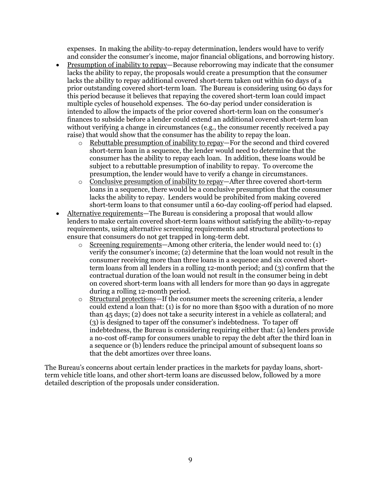expenses. In making the ability-to-repay determination, lenders would have to verify and consider the consumer's income, major financial obligations, and borrowing history.

- Presumption of inability to repay—Because reborrowing may indicate that the consumer lacks the ability to repay, the proposals would create a presumption that the consumer lacks the ability to repay additional covered short-term taken out within 60 days of a prior outstanding covered short-term loan. The Bureau is considering using 60 days for this period because it believes that repaying the covered short-term loan could impact multiple cycles of household expenses. The 60-day period under consideration is intended to allow the impacts of the prior covered short-term loan on the consumer's finances to subside before a lender could extend an additional covered short-term loan without verifying a change in circumstances (e.g., the consumer recently received a pay raise) that would show that the consumer has the ability to repay the loan.
	- o Rebuttable presumption of inability to repay—For the second and third covered short-term loan in a sequence, the lender would need to determine that the consumer has the ability to repay each loan. In addition, these loans would be subject to a rebuttable presumption of inability to repay. To overcome the presumption, the lender would have to verify a change in circumstances.
	- o Conclusive presumption of inability to repay—After three covered short-term loans in a sequence, there would be a conclusive presumption that the consumer lacks the ability to repay. Lenders would be prohibited from making covered short-term loans to that consumer until a 60-day cooling-off period had elapsed.
- Alternative requirements—The Bureau is considering a proposal that would allow lenders to make certain covered short-term loans without satisfying the ability-to-repay requirements, using alternative screening requirements and structural protections to ensure that consumers do not get trapped in long-term debt.
	- $\circ$  Screening requirements—Among other criteria, the lender would need to: (1) verify the consumer's income; (2) determine that the loan would not result in the consumer receiving more than three loans in a sequence and six covered shortterm loans from all lenders in a rolling 12-month period; and (3) confirm that the contractual duration of the loan would not result in the consumer being in debt on covered short-term loans with all lenders for more than 90 days in aggregate during a rolling 12-month period.
	- o Structural protections—If the consumer meets the screening criteria, a lender could extend a loan that: (1) is for no more than \$500 with a duration of no more than 45 days; (2) does not take a security interest in a vehicle as collateral; and (3) is designed to taper off the consumer's indebtedness. To taper off indebtedness, the Bureau is considering requiring either that: (a) lenders provide a no-cost off-ramp for consumers unable to repay the debt after the third loan in a sequence or (b) lenders reduce the principal amount of subsequent loans so that the debt amortizes over three loans.

The Bureau's concerns about certain lender practices in the markets for payday loans, shortterm vehicle title loans, and other short-term loans are discussed below, followed by a more detailed description of the proposals under consideration.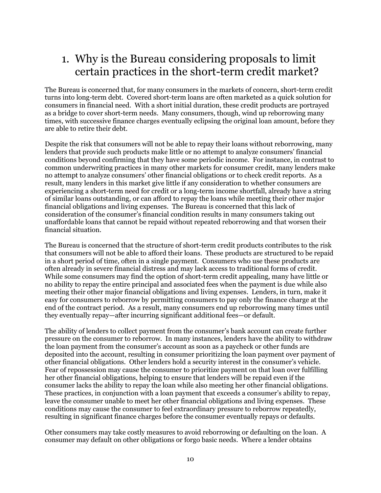## <span id="page-10-0"></span>1. Why is the Bureau considering proposals to limit certain practices in the short-term credit market?

The Bureau is concerned that, for many consumers in the markets of concern, short-term credit turns into long-term debt. Covered short-term loans are often marketed as a quick solution for consumers in financial need. With a short initial duration, these credit products are portrayed as a bridge to cover short-term needs. Many consumers, though, wind up reborrowing many times, with successive finance charges eventually eclipsing the original loan amount, before they are able to retire their debt.

Despite the risk that consumers will not be able to repay their loans without reborrowing, many lenders that provide such products make little or no attempt to analyze consumers' financial conditions beyond confirming that they have some periodic income. For instance, in contrast to common underwriting practices in many other markets for consumer credit, many lenders make no attempt to analyze consumers' other financial obligations or to check credit reports. As a result, many lenders in this market give little if any consideration to whether consumers are experiencing a short-term need for credit or a long-term income shortfall, already have a string of similar loans outstanding, or can afford to repay the loans while meeting their other major financial obligations and living expenses. The Bureau is concerned that this lack of consideration of the consumer's financial condition results in many consumers taking out unaffordable loans that cannot be repaid without repeated reborrowing and that worsen their financial situation.

The Bureau is concerned that the structure of short-term credit products contributes to the risk that consumers will not be able to afford their loans. These products are structured to be repaid in a short period of time, often in a single payment. Consumers who use these products are often already in severe financial distress and may lack access to traditional forms of credit. While some consumers may find the option of short-term credit appealing, many have little or no ability to repay the entire principal and associated fees when the payment is due while also meeting their other major financial obligations and living expenses. Lenders, in turn, make it easy for consumers to reborrow by permitting consumers to pay only the finance charge at the end of the contract period. As a result, many consumers end up reborrowing many times until they eventually repay—after incurring significant additional fees—or default.

The ability of lenders to collect payment from the consumer's bank account can create further pressure on the consumer to reborrow. In many instances, lenders have the ability to withdraw the loan payment from the consumer's account as soon as a paycheck or other funds are deposited into the account, resulting in consumer prioritizing the loan payment over payment of other financial obligations. Other lenders hold a security interest in the consumer's vehicle. Fear of repossession may cause the consumer to prioritize payment on that loan over fulfilling her other financial obligations, helping to ensure that lenders will be repaid even if the consumer lacks the ability to repay the loan while also meeting her other financial obligations. These practices, in conjunction with a loan payment that exceeds a consumer's ability to repay, leave the consumer unable to meet her other financial obligations and living expenses. These conditions may cause the consumer to feel extraordinary pressure to reborrow repeatedly, resulting in significant finance charges before the consumer eventually repays or defaults.

Other consumers may take costly measures to avoid reborrowing or defaulting on the loan. A consumer may default on other obligations or forgo basic needs. Where a lender obtains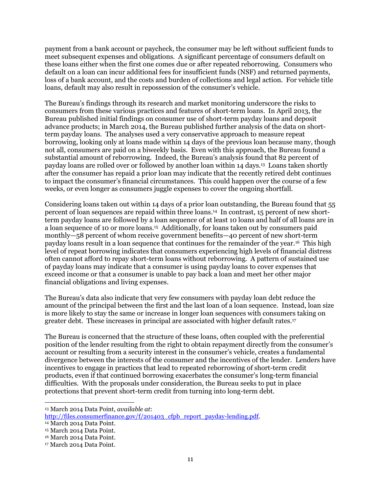payment from a bank account or paycheck, the consumer may be left without sufficient funds to meet subsequent expenses and obligations. A significant percentage of consumers default on these loans either when the first one comes due or after repeated reborrowing. Consumers who default on a loan can incur additional fees for insufficient funds (NSF) and returned payments, loss of a bank account, and the costs and burden of collections and legal action. For vehicle title loans, default may also result in repossession of the consumer's vehicle.

The Bureau's findings through its research and market monitoring underscore the risks to consumers from these various practices and features of short-term loans. In April 2013, the Bureau published initial findings on consumer use of short-term payday loans and deposit advance products; in March 2014, the Bureau published further analysis of the data on shortterm payday loans. The analyses used a very conservative approach to measure repeat borrowing, looking only at loans made within 14 days of the previous loan because many, though not all, consumers are paid on a biweekly basis. Even with this approach, the Bureau found a substantial amount of reborrowing. Indeed, the Bureau's analysis found that 82 percent of payday loans are rolled over or followed by another loan within 14 days.<sup>13</sup> Loans taken shortly after the consumer has repaid a prior loan may indicate that the recently retired debt continues to impact the consumer's financial circumstances. This could happen over the course of a few weeks, or even longer as consumers juggle expenses to cover the ongoing shortfall.

Considering loans taken out within 14 days of a prior loan outstanding, the Bureau found that 55 percent of loan sequences are repaid within three loans. 14 In contrast, 15 percent of new shortterm payday loans are followed by a loan sequence of at least 10 loans and half of all loans are in a loan sequence of 10 or more loans.<sup>15</sup> Additionally, for loans taken out by consumers paid monthly—58 percent of whom receive government benefits—40 percent of new short-term payday loans result in a loan sequence that continues for the remainder of the year.<sup>16</sup> This high level of repeat borrowing indicates that consumers experiencing high levels of financial distress often cannot afford to repay short-term loans without reborrowing. A pattern of sustained use of payday loans may indicate that a consumer is using payday loans to cover expenses that exceed income or that a consumer is unable to pay back a loan and meet her other major financial obligations and living expenses.

The Bureau's data also indicate that very few consumers with payday loan debt reduce the amount of the principal between the first and the last loan of a loan sequence. Instead, loan size is more likely to stay the same or increase in longer loan sequences with consumers taking on greater debt. These increases in principal are associated with higher default rates.<sup>17</sup>

The Bureau is concerned that the structure of these loans, often coupled with the preferential position of the lender resulting from the right to obtain repayment directly from the consumer's account or resulting from a security interest in the consumer's vehicle, creates a fundamental divergence between the interests of the consumer and the incentives of the lender. Lenders have incentives to engage in practices that lead to repeated reborrowing of short-term credit products, even if that continued borrowing exacerbates the consumer's long-term financial difficulties. With the proposals under consideration, the Bureau seeks to put in place protections that prevent short-term credit from turning into long-term debt.

 $\overline{a}$ 

<sup>13</sup> March 2014 Data Point, *available at*:

[http://files.consumerfinance.gov/f/201403\\_cfpb\\_report\\_payday-lending.pdf.](http://files.consumerfinance.gov/f/201403_cfpb_report_payday-lending.pdf)

<sup>14</sup> March 2014 Data Point.

<sup>15</sup> March 2014 Data Point.

<sup>16</sup> March 2014 Data Point.

<sup>17</sup> March 2014 Data Point.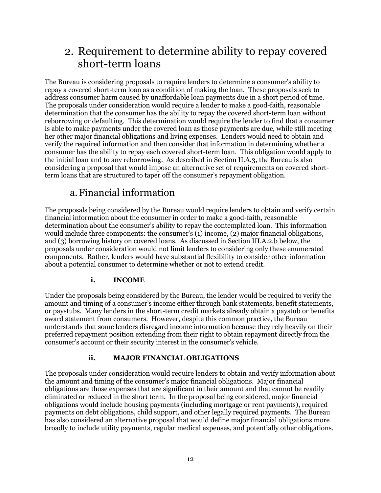## <span id="page-12-0"></span>2. Requirement to determine ability to repay covered short-term loans

The Bureau is considering proposals to require lenders to determine a consumer's ability to repay a covered short-term loan as a condition of making the loan. These proposals seek to address consumer harm caused by unaffordable loan payments due in a short period of time. The proposals under consideration would require a lender to make a good-faith, reasonable determination that the consumer has the ability to repay the covered short-term loan without reborrowing or defaulting. This determination would require the lender to find that a consumer is able to make payments under the covered loan as those payments are due, while still meeting her other major financial obligations and living expenses. Lenders would need to obtain and verify the required information and then consider that information in determining whether a consumer has the ability to repay each covered short-term loan. This obligation would apply to the initial loan and to any reborrowing. As described in Section II.A.3, the Bureau is also considering a proposal that would impose an alternative set of requirements on covered shortterm loans that are structured to taper off the consumer's repayment obligation.

### a.Financial information

<span id="page-12-1"></span>The proposals being considered by the Bureau would require lenders to obtain and verify certain financial information about the consumer in order to make a good-faith, reasonable determination about the consumer's ability to repay the contemplated loan. This information would include three components: the consumer's  $(1)$  income,  $(2)$  major financial obligations, and (3) borrowing history on covered loans. As discussed in Section III.A.2.b below, the proposals under consideration would not limit lenders to considering only these enumerated components. Rather, lenders would have substantial flexibility to consider other information about a potential consumer to determine whether or not to extend credit.

#### **i. INCOME**

Under the proposals being considered by the Bureau, the lender would be required to verify the amount and timing of a consumer's income either through bank statements, benefit statements, or paystubs. Many lenders in the short-term credit markets already obtain a paystub or benefits award statement from consumers. However, despite this common practice, the Bureau understands that some lenders disregard income information because they rely heavily on their preferred repayment position extending from their right to obtain repayment directly from the consumer's account or their security interest in the consumer's vehicle.

#### **ii. MAJOR FINANCIAL OBLIGATIONS**

The proposals under consideration would require lenders to obtain and verify information about the amount and timing of the consumer's major financial obligations. Major financial obligations are those expenses that are significant in their amount and that cannot be readily eliminated or reduced in the short term. In the proposal being considered, major financial obligations would include housing payments (including mortgage or rent payments), required payments on debt obligations, child support, and other legally required payments. The Bureau has also considered an alternative proposal that would define major financial obligations more broadly to include utility payments, regular medical expenses, and potentially other obligations.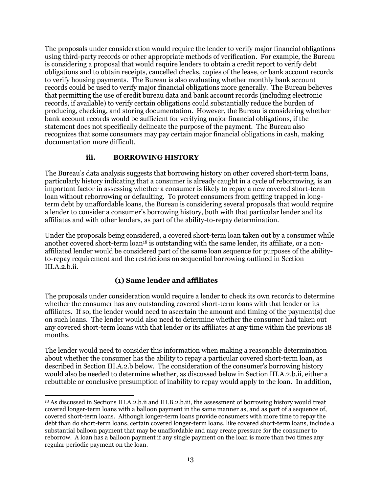The proposals under consideration would require the lender to verify major financial obligations using third-party records or other appropriate methods of verification. For example, the Bureau is considering a proposal that would require lenders to obtain a credit report to verify debt obligations and to obtain receipts, cancelled checks, copies of the lease, or bank account records to verify housing payments. The Bureau is also evaluating whether monthly bank account records could be used to verify major financial obligations more generally. The Bureau believes that permitting the use of credit bureau data and bank account records (including electronic records, if available) to verify certain obligations could substantially reduce the burden of producing, checking, and storing documentation. However, the Bureau is considering whether bank account records would be sufficient for verifying major financial obligations, if the statement does not specifically delineate the purpose of the payment. The Bureau also recognizes that some consumers may pay certain major financial obligations in cash, making documentation more difficult.

#### **iii. BORROWING HISTORY**

The Bureau's data analysis suggests that borrowing history on other covered short-term loans, particularly history indicating that a consumer is already caught in a cycle of reborrowing, is an important factor in assessing whether a consumer is likely to repay a new covered short-term loan without reborrowing or defaulting. To protect consumers from getting trapped in longterm debt by unaffordable loans, the Bureau is considering several proposals that would require a lender to consider a consumer's borrowing history, both with that particular lender and its affiliates and with other lenders, as part of the ability-to-repay determination.

Under the proposals being considered, a covered short-term loan taken out by a consumer while another covered short-term loan<sup>18</sup> is outstanding with the same lender, its affiliate, or a nonaffiliated lender would be considered part of the same loan sequence for purposes of the abilityto-repay requirement and the restrictions on sequential borrowing outlined in Section III.A.2.b.ii.

#### **(1) Same lender and affiliates**

The proposals under consideration would require a lender to check its own records to determine whether the consumer has any outstanding covered short-term loans with that lender or its affiliates. If so, the lender would need to ascertain the amount and timing of the payment(s) due on such loans. The lender would also need to determine whether the consumer had taken out any covered short-term loans with that lender or its affiliates at any time within the previous 18 months.

The lender would need to consider this information when making a reasonable determination about whether the consumer has the ability to repay a particular covered short-term loan, as described in Section III.A.2.b below. The consideration of the consumer's borrowing history would also be needed to determine whether, as discussed below in Section III.A.2.b.ii, either a rebuttable or conclusive presumption of inability to repay would apply to the loan. In addition,

 $\overline{a}$ <sup>18</sup> As discussed in Sections III.A.2.b.ii and III.B.2.b.iii, the assessment of borrowing history would treat covered longer-term loans with a balloon payment in the same manner as, and as part of a sequence of, covered short-term loans. Although longer-term loans provide consumers with more time to repay the debt than do short-term loans, certain covered longer-term loans, like covered short-term loans, include a substantial balloon payment that may be unaffordable and may create pressure for the consumer to reborrow. A loan has a balloon payment if any single payment on the loan is more than two times any regular periodic payment on the loan.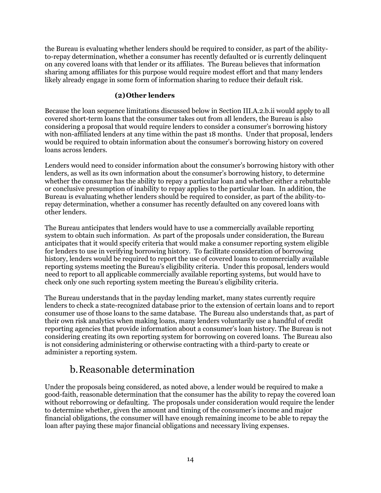the Bureau is evaluating whether lenders should be required to consider, as part of the abilityto-repay determination, whether a consumer has recently defaulted or is currently delinquent on any covered loans with that lender or its affiliates. The Bureau believes that information sharing among affiliates for this purpose would require modest effort and that many lenders likely already engage in some form of information sharing to reduce their default risk.

#### **(2)Other lenders**

Because the loan sequence limitations discussed below in Section III.A.2.b.ii would apply to all covered short-term loans that the consumer takes out from all lenders, the Bureau is also considering a proposal that would require lenders to consider a consumer's borrowing history with non-affiliated lenders at any time within the past 18 months. Under that proposal, lenders would be required to obtain information about the consumer's borrowing history on covered loans across lenders.

Lenders would need to consider information about the consumer's borrowing history with other lenders, as well as its own information about the consumer's borrowing history, to determine whether the consumer has the ability to repay a particular loan and whether either a rebuttable or conclusive presumption of inability to repay applies to the particular loan. In addition, the Bureau is evaluating whether lenders should be required to consider, as part of the ability-torepay determination, whether a consumer has recently defaulted on any covered loans with other lenders.

The Bureau anticipates that lenders would have to use a commercially available reporting system to obtain such information. As part of the proposals under consideration, the Bureau anticipates that it would specify criteria that would make a consumer reporting system eligible for lenders to use in verifying borrowing history. To facilitate consideration of borrowing history, lenders would be required to report the use of covered loans to commercially available reporting systems meeting the Bureau's eligibility criteria. Under this proposal, lenders would need to report to all applicable commercially available reporting systems, but would have to check only one such reporting system meeting the Bureau's eligibility criteria.

The Bureau understands that in the payday lending market, many states currently require lenders to check a state-recognized database prior to the extension of certain loans and to report consumer use of those loans to the same database. The Bureau also understands that, as part of their own risk analytics when making loans, many lenders voluntarily use a handful of credit reporting agencies that provide information about a consumer's loan history. The Bureau is not considering creating its own reporting system for borrowing on covered loans. The Bureau also is not considering administering or otherwise contracting with a third-party to create or administer a reporting system.

### b.Reasonable determination

<span id="page-14-0"></span>Under the proposals being considered, as noted above, a lender would be required to make a good-faith, reasonable determination that the consumer has the ability to repay the covered loan without reborrowing or defaulting. The proposals under consideration would require the lender to determine whether, given the amount and timing of the consumer's income and major financial obligations, the consumer will have enough remaining income to be able to repay the loan after paying these major financial obligations and necessary living expenses.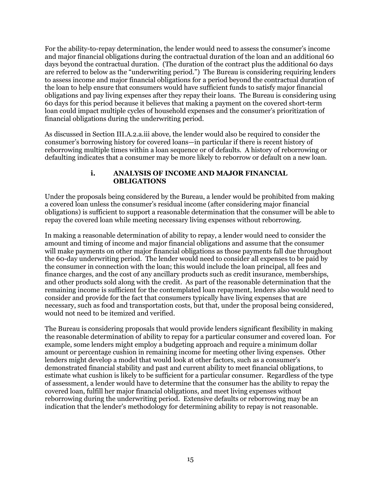For the ability-to-repay determination, the lender would need to assess the consumer's income and major financial obligations during the contractual duration of the loan and an additional 60 days beyond the contractual duration. (The duration of the contract plus the additional 60 days are referred to below as the "underwriting period.") The Bureau is considering requiring lenders to assess income and major financial obligations for a period beyond the contractual duration of the loan to help ensure that consumers would have sufficient funds to satisfy major financial obligations and pay living expenses after they repay their loans. The Bureau is considering using 60 days for this period because it believes that making a payment on the covered short-term loan could impact multiple cycles of household expenses and the consumer's prioritization of financial obligations during the underwriting period.

As discussed in Section III.A.2.a.iii above, the lender would also be required to consider the consumer's borrowing history for covered loans—in particular if there is recent history of reborrowing multiple times within a loan sequence or of defaults. A history of reborrowing or defaulting indicates that a consumer may be more likely to reborrow or default on a new loan.

#### **i. ANALYSIS OF INCOME AND MAJOR FINANCIAL OBLIGATIONS**

Under the proposals being considered by the Bureau, a lender would be prohibited from making a covered loan unless the consumer's residual income (after considering major financial obligations) is sufficient to support a reasonable determination that the consumer will be able to repay the covered loan while meeting necessary living expenses without reborrowing.

In making a reasonable determination of ability to repay, a lender would need to consider the amount and timing of income and major financial obligations and assume that the consumer will make payments on other major financial obligations as those payments fall due throughout the 60-day underwriting period. The lender would need to consider all expenses to be paid by the consumer in connection with the loan; this would include the loan principal, all fees and finance charges, and the cost of any ancillary products such as credit insurance, memberships, and other products sold along with the credit. As part of the reasonable determination that the remaining income is sufficient for the contemplated loan repayment, lenders also would need to consider and provide for the fact that consumers typically have living expenses that are necessary, such as food and transportation costs, but that, under the proposal being considered, would not need to be itemized and verified.

The Bureau is considering proposals that would provide lenders significant flexibility in making the reasonable determination of ability to repay for a particular consumer and covered loan. For example, some lenders might employ a budgeting approach and require a minimum dollar amount or percentage cushion in remaining income for meeting other living expenses. Other lenders might develop a model that would look at other factors, such as a consumer's demonstrated financial stability and past and current ability to meet financial obligations, to estimate what cushion is likely to be sufficient for a particular consumer. Regardless of the type of assessment, a lender would have to determine that the consumer has the ability to repay the covered loan, fulfill her major financial obligations, and meet living expenses without reborrowing during the underwriting period. Extensive defaults or reborrowing may be an indication that the lender's methodology for determining ability to repay is not reasonable.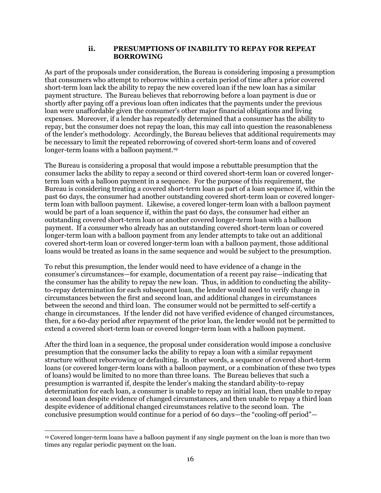#### **ii. PRESUMPTIONS OF INABILITY TO REPAY FOR REPEAT BORROWING**

As part of the proposals under consideration, the Bureau is considering imposing a presumption that consumers who attempt to reborrow within a certain period of time after a prior covered short-term loan lack the ability to repay the new covered loan if the new loan has a similar payment structure. The Bureau believes that reborrowing before a loan payment is due or shortly after paying off a previous loan often indicates that the payments under the previous loan were unaffordable given the consumer's other major financial obligations and living expenses. Moreover, if a lender has repeatedly determined that a consumer has the ability to repay, but the consumer does not repay the loan, this may call into question the reasonableness of the lender's methodology. Accordingly, the Bureau believes that additional requirements may be necessary to limit the repeated reborrowing of covered short-term loans and of covered longer-term loans with a balloon payment. 19

The Bureau is considering a proposal that would impose a rebuttable presumption that the consumer lacks the ability to repay a second or third covered short-term loan or covered longerterm loan with a balloon payment in a sequence. For the purpose of this requirement, the Bureau is considering treating a covered short-term loan as part of a loan sequence if, within the past 60 days, the consumer had another outstanding covered short-term loan or covered longerterm loan with balloon payment. Likewise, a covered longer-term loan with a balloon payment would be part of a loan sequence if, within the past 60 days, the consumer had either an outstanding covered short-term loan or another covered longer-term loan with a balloon payment. If a consumer who already has an outstanding covered short-term loan or covered longer-term loan with a balloon payment from any lender attempts to take out an additional covered short-term loan or covered longer-term loan with a balloon payment, those additional loans would be treated as loans in the same sequence and would be subject to the presumption.

To rebut this presumption, the lender would need to have evidence of a change in the consumer's circumstances—for example, documentation of a recent pay raise—indicating that the consumer has the ability to repay the new loan. Thus, in addition to conducting the abilityto-repay determination for each subsequent loan, the lender would need to verify change in circumstances between the first and second loan, and additional changes in circumstances between the second and third loan. The consumer would not be permitted to self-certify a change in circumstances. If the lender did not have verified evidence of changed circumstances, then, for a 60-day period after repayment of the prior loan, the lender would not be permitted to extend a covered short-term loan or covered longer-term loan with a balloon payment.

After the third loan in a sequence, the proposal under consideration would impose a conclusive presumption that the consumer lacks the ability to repay a loan with a similar repayment structure without reborrowing or defaulting. In other words, a sequence of covered short-term loans (or covered longer-term loans with a balloon payment, or a combination of these two types of loans) would be limited to no more than three loans. The Bureau believes that such a presumption is warranted if, despite the lender's making the standard ability-to-repay determination for each loan, a consumer is unable to repay an initial loan, then unable to repay a second loan despite evidence of changed circumstances, and then unable to repay a third loan despite evidence of additional changed circumstances relative to the second loan. The conclusive presumption would continue for a period of 60 days—the "cooling-off period"—

 $\overline{a}$ <sup>19</sup> Covered longer-term loans have a balloon payment if any single payment on the loan is more than two times any regular periodic payment on the loan.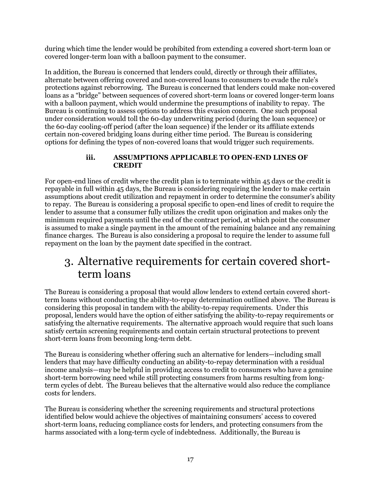during which time the lender would be prohibited from extending a covered short-term loan or covered longer-term loan with a balloon payment to the consumer.

In addition, the Bureau is concerned that lenders could, directly or through their affiliates, alternate between offering covered and non-covered loans to consumers to evade the rule's protections against reborrowing. The Bureau is concerned that lenders could make non-covered loans as a "bridge" between sequences of covered short-term loans or covered longer-term loans with a balloon payment, which would undermine the presumptions of inability to repay. The Bureau is continuing to assess options to address this evasion concern. One such proposal under consideration would toll the 60-day underwriting period (during the loan sequence) or the 60-day cooling-off period (after the loan sequence) if the lender or its affiliate extends certain non-covered bridging loans during either time period. The Bureau is considering options for defining the types of non-covered loans that would trigger such requirements.

#### **iii. ASSUMPTIONS APPLICABLE TO OPEN-END LINES OF CREDIT**

For open-end lines of credit where the credit plan is to terminate within 45 days or the credit is repayable in full within 45 days, the Bureau is considering requiring the lender to make certain assumptions about credit utilization and repayment in order to determine the consumer's ability to repay. The Bureau is considering a proposal specific to open-end lines of credit to require the lender to assume that a consumer fully utilizes the credit upon origination and makes only the minimum required payments until the end of the contract period, at which point the consumer is assumed to make a single payment in the amount of the remaining balance and any remaining finance charges. The Bureau is also considering a proposal to require the lender to assume full repayment on the loan by the payment date specified in the contract.

### <span id="page-17-0"></span>3. Alternative requirements for certain covered shortterm loans

The Bureau is considering a proposal that would allow lenders to extend certain covered shortterm loans without conducting the ability-to-repay determination outlined above. The Bureau is considering this proposal in tandem with the ability-to-repay requirements. Under this proposal, lenders would have the option of either satisfying the ability-to-repay requirements or satisfying the alternative requirements. The alternative approach would require that such loans satisfy certain screening requirements and contain certain structural protections to prevent short-term loans from becoming long-term debt.

The Bureau is considering whether offering such an alternative for lenders—including small lenders that may have difficulty conducting an ability-to-repay determination with a residual income analysis—may be helpful in providing access to credit to consumers who have a genuine short-term borrowing need while still protecting consumers from harms resulting from longterm cycles of debt. The Bureau believes that the alternative would also reduce the compliance costs for lenders.

The Bureau is considering whether the screening requirements and structural protections identified below would achieve the objectives of maintaining consumers' access to covered short-term loans, reducing compliance costs for lenders, and protecting consumers from the harms associated with a long-term cycle of indebtedness. Additionally, the Bureau is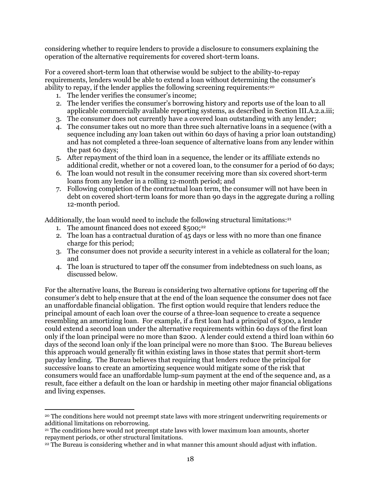considering whether to require lenders to provide a disclosure to consumers explaining the operation of the alternative requirements for covered short-term loans.

For a covered short-term loan that otherwise would be subject to the ability-to-repay requirements, lenders would be able to extend a loan without determining the consumer's ability to repay, if the lender applies the following screening requirements: 20

- 1. The lender verifies the consumer's income;
- 2. The lender verifies the consumer's borrowing history and reports use of the loan to all applicable commercially available reporting systems, as described in Section III.A.2.a.iii;
- 3. The consumer does not currently have a covered loan outstanding with any lender;
- 4. The consumer takes out no more than three such alternative loans in a sequence (with a sequence including any loan taken out within 60 days of having a prior loan outstanding) and has not completed a three-loan sequence of alternative loans from any lender within the past 60 days;
- 5. After repayment of the third loan in a sequence, the lender or its affiliate extends no additional credit, whether or not a covered loan, to the consumer for a period of 60 days;
- 6. The loan would not result in the consumer receiving more than six covered short-term loans from any lender in a rolling 12-month period; and
- 7. Following completion of the contractual loan term, the consumer will not have been in debt on covered short-term loans for more than 90 days in the aggregate during a rolling 12-month period.

Additionally, the loan would need to include the following structural limitations: $21$ 

- 1. The amount financed does not exceed  $$500$ ;<sup>22</sup>
- 2. The loan has a contractual duration of 45 days or less with no more than one finance charge for this period;
- 3. The consumer does not provide a security interest in a vehicle as collateral for the loan; and
- 4. The loan is structured to taper off the consumer from indebtedness on such loans, as discussed below.

For the alternative loans, the Bureau is considering two alternative options for tapering off the consumer's debt to help ensure that at the end of the loan sequence the consumer does not face an unaffordable financial obligation. The first option would require that lenders reduce the principal amount of each loan over the course of a three-loan sequence to create a sequence resembling an amortizing loan. For example, if a first loan had a principal of \$300, a lender could extend a second loan under the alternative requirements within 60 days of the first loan only if the loan principal were no more than \$200. A lender could extend a third loan within 60 days of the second loan only if the loan principal were no more than \$100. The Bureau believes this approach would generally fit within existing laws in those states that permit short-term payday lending. The Bureau believes that requiring that lenders reduce the principal for successive loans to create an amortizing sequence would mitigate some of the risk that consumers would face an unaffordable lump-sum payment at the end of the sequence and, as a result, face either a default on the loan or hardship in meeting other major financial obligations and living expenses.

 $\overline{a}$ <sup>20</sup> The conditions here would not preempt state laws with more stringent underwriting requirements or additional limitations on reborrowing.

<sup>21</sup> The conditions here would not preempt state laws with lower maximum loan amounts, shorter repayment periods, or other structural limitations.

<sup>22</sup> The Bureau is considering whether and in what manner this amount should adjust with inflation.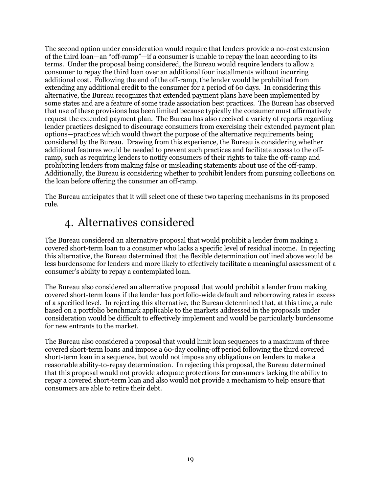The second option under consideration would require that lenders provide a no-cost extension of the third loan—an "off-ramp"—if a consumer is unable to repay the loan according to its terms. Under the proposal being considered, the Bureau would require lenders to allow a consumer to repay the third loan over an additional four installments without incurring additional cost. Following the end of the off-ramp, the lender would be prohibited from extending any additional credit to the consumer for a period of 60 days. In considering this alternative, the Bureau recognizes that extended payment plans have been implemented by some states and are a feature of some trade association best practices. The Bureau has observed that use of these provisions has been limited because typically the consumer must affirmatively request the extended payment plan. The Bureau has also received a variety of reports regarding lender practices designed to discourage consumers from exercising their extended payment plan options—practices which would thwart the purpose of the alternative requirements being considered by the Bureau. Drawing from this experience, the Bureau is considering whether additional features would be needed to prevent such practices and facilitate access to the offramp, such as requiring lenders to notify consumers of their rights to take the off-ramp and prohibiting lenders from making false or misleading statements about use of the off-ramp. Additionally, the Bureau is considering whether to prohibit lenders from pursuing collections on the loan before offering the consumer an off-ramp.

The Bureau anticipates that it will select one of these two tapering mechanisms in its proposed rule.

## <span id="page-19-0"></span>4. Alternatives considered

The Bureau considered an alternative proposal that would prohibit a lender from making a covered short-term loan to a consumer who lacks a specific level of residual income. In rejecting this alternative, the Bureau determined that the flexible determination outlined above would be less burdensome for lenders and more likely to effectively facilitate a meaningful assessment of a consumer's ability to repay a contemplated loan.

The Bureau also considered an alternative proposal that would prohibit a lender from making covered short-term loans if the lender has portfolio-wide default and reborrowing rates in excess of a specified level. In rejecting this alternative, the Bureau determined that, at this time, a rule based on a portfolio benchmark applicable to the markets addressed in the proposals under consideration would be difficult to effectively implement and would be particularly burdensome for new entrants to the market.

The Bureau also considered a proposal that would limit loan sequences to a maximum of three covered short-term loans and impose a 60-day cooling-off period following the third covered short-term loan in a sequence, but would not impose any obligations on lenders to make a reasonable ability-to-repay determination. In rejecting this proposal, the Bureau determined that this proposal would not provide adequate protections for consumers lacking the ability to repay a covered short-term loan and also would not provide a mechanism to help ensure that consumers are able to retire their debt.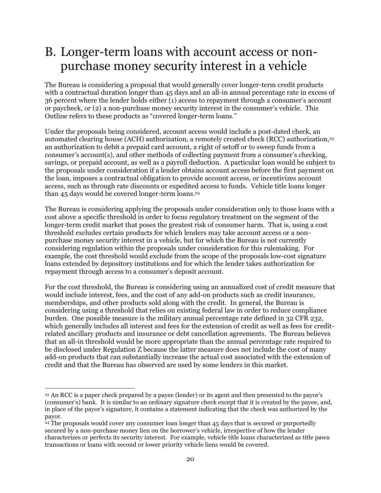## <span id="page-20-0"></span>B. Longer-term loans with account access or nonpurchase money security interest in a vehicle

The Bureau is considering a proposal that would generally cover longer-term credit products with a contractual duration longer than 45 days and an all-in annual percentage rate in excess of 36 percent where the lender holds either (1) access to repayment through a consumer's account or paycheck, or (2) a non-purchase money security interest in the consumer's vehicle. This Outline refers to these products as "covered longer-term loans."

Under the proposals being considered, account access would include a post-dated check, an automated clearing house (ACH) authorization, a remotely created check (RCC) authorization, 23 an authorization to debit a prepaid card account, a right of setoff or to sweep funds from a consumer's account(s), and other methods of collecting payment from a consumer's checking, savings, or prepaid account, as well as a payroll deduction. A particular loan would be subject to the proposals under consideration if a lender obtains account access before the first payment on the loan, imposes a contractual obligation to provide account access, or incentivizes account access, such as through rate discounts or expedited access to funds. Vehicle title loans longer than 45 days would be covered longer-term loans. 24

The Bureau is considering applying the proposals under consideration only to those loans with a cost above a specific threshold in order to focus regulatory treatment on the segment of the longer-term credit market that poses the greatest risk of consumer harm. That is, using a cost threshold excludes certain products for which lenders may take account access or a nonpurchase money security interest in a vehicle, but for which the Bureau is not currently considering regulation within the proposals under consideration for this rulemaking. For example, the cost threshold would exclude from the scope of the proposals low-cost signature loans extended by depository institutions and for which the lender takes authorization for repayment through access to a consumer's deposit account.

For the cost threshold, the Bureau is considering using an annualized cost of credit measure that would include interest, fees, and the cost of any add-on products such as credit insurance, memberships, and other products sold along with the credit. In general, the Bureau is considering using a threshold that relies on existing federal law in order to reduce compliance burden. One possible measure is the military annual percentage rate defined in 32 CFR 232, which generally includes all interest and fees for the extension of credit as well as fees for creditrelated ancillary products and insurance or debt cancellation agreements. The Bureau believes that an all-in threshold would be more appropriate than the annual percentage rate required to be disclosed under Regulation Z because the latter measure does not include the cost of many add-on products that can substantially increase the actual cost associated with the extension of credit and that the Bureau has observed are used by some lenders in this market.

 $\overline{a}$ <sup>23</sup> An RCC is a paper check prepared by a payee (lender) or its agent and then presented to the payor's (consumer's) bank. It is similar to an ordinary signature check except that it is created by the payee, and, in place of the payor's signature, it contains a statement indicating that the check was authorized by the payor.

<sup>&</sup>lt;sup>24</sup> The proposals would cover any consumer loan longer than 45 days that is secured or purportedly secured by a non-purchase money lien on the borrower's vehicle, irrespective of how the lender characterizes or perfects its security interest. For example, vehicle title loans characterized as title pawn transactions or loans with second or lower priority vehicle liens would be covered.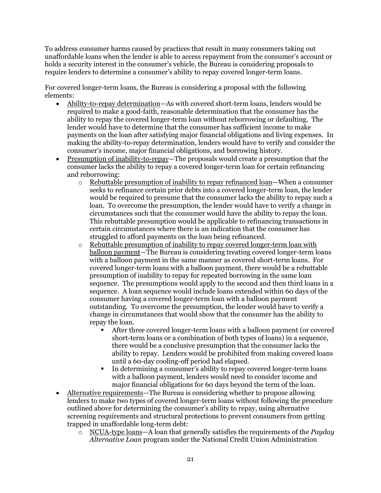To address consumer harms caused by practices that result in many consumers taking out unaffordable loans when the lender is able to access repayment from the consumer's account or holds a security interest in the consumer's vehicle, the Bureau is considering proposals to require lenders to determine a consumer's ability to repay covered longer-term loans.

For covered longer-term loans, the Bureau is considering a proposal with the following elements:

- Ability-to-repay determination—As with covered short-term loans, lenders would be required to make a good-faith, reasonable determination that the consumer has the ability to repay the covered longer-term loan without reborrowing or defaulting. The lender would have to determine that the consumer has sufficient income to make payments on the loan after satisfying major financial obligations and living expenses. In making the ability-to-repay determination, lenders would have to verify and consider the consumer's income, major financial obligations, and borrowing history.
- Presumption of inability-to-repay—The proposals would create a presumption that the consumer lacks the ability to repay a covered longer-term loan for certain refinancing and reborrowing:
	- o Rebuttable presumption of inability to repay refinanced loan—When a consumer seeks to refinance certain prior debts into a covered longer-term loan, the lender would be required to presume that the consumer lacks the ability to repay such a loan. To overcome the presumption, the lender would have to verify a change in circumstances such that the consumer would have the ability to repay the loan. This rebuttable presumption would be applicable to refinancing transactions in certain circumstances where there is an indication that the consumer has struggled to afford payments on the loan being refinanced.
	- o Rebuttable presumption of inability to repay covered longer-term loan with balloon payment—The Bureau is considering treating covered longer-term loans with a balloon payment in the same manner as covered short-term loans. For covered longer-term loans with a balloon payment, there would be a rebuttable presumption of inability to repay for repeated borrowing in the same loan sequence. The presumptions would apply to the second and then third loans in a sequence. A loan sequence would include loans extended within 60 days of the consumer having a covered longer-term loan with a balloon payment outstanding. To overcome the presumption, the lender would have to verify a change in circumstances that would show that the consumer has the ability to repay the loan.
		- After three covered longer-term loans with a balloon payment (or covered short-term loans or a combination of both types of loans) in a sequence, there would be a conclusive presumption that the consumer lacks the ability to repay. Lenders would be prohibited from making covered loans until a 60-day cooling-off period had elapsed.
		- In determining a consumer's ability to repay covered longer-term loans with a balloon payment, lenders would need to consider income and major financial obligations for 60 days beyond the term of the loan.
- Alternative requirements—The Bureau is considering whether to propose allowing lenders to make two types of covered longer-term loans without following the procedure outlined above for determining the consumer's ability to repay, using alternative screening requirements and structural protections to prevent consumers from getting trapped in unaffordable long-term debt:
	- o NCUA-type loans—A loan that generally satisfies the requirements of the *Payday Alternative Loan* program under the National Credit Union Administration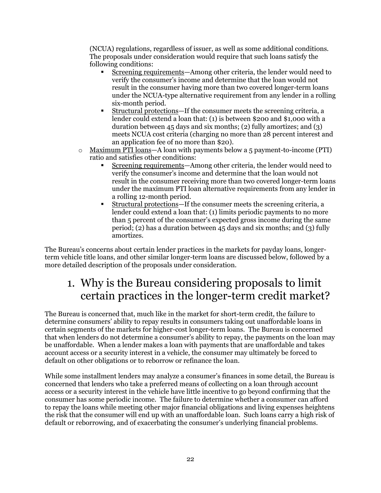(NCUA) regulations, regardless of issuer, as well as some additional conditions. The proposals under consideration would require that such loans satisfy the following conditions:

- Screening requirements—Among other criteria, the lender would need to verify the consumer's income and determine that the loan would not result in the consumer having more than two covered longer-term loans under the NCUA-type alternative requirement from any lender in a rolling six-month period.
- Structural protections—If the consumer meets the screening criteria, a lender could extend a loan that: (1) is between \$200 and \$1,000 with a duration between 45 days and six months; (2) fully amortizes; and (3) meets NCUA cost criteria (charging no more than 28 percent interest and an application fee of no more than \$20).
- o Maximum PTI loans—A loan with payments below a 5 payment-to-income (PTI) ratio and satisfies other conditions:
	- Screening requirements—Among other criteria, the lender would need to verify the consumer's income and determine that the loan would not result in the consumer receiving more than two covered longer-term loans under the maximum PTI loan alternative requirements from any lender in a rolling 12-month period.
	- Structural protections—If the consumer meets the screening criteria, a lender could extend a loan that: (1) limits periodic payments to no more than 5 percent of the consumer's expected gross income during the same period; (2) has a duration between 45 days and six months; and (3) fully amortizes.

The Bureau's concerns about certain lender practices in the markets for payday loans, longerterm vehicle title loans, and other similar longer-term loans are discussed below, followed by a more detailed description of the proposals under consideration.

## <span id="page-22-0"></span>1. Why is the Bureau considering proposals to limit certain practices in the longer-term credit market?

The Bureau is concerned that, much like in the market for short-term credit, the failure to determine consumers' ability to repay results in consumers taking out unaffordable loans in certain segments of the markets for higher-cost longer-term loans. The Bureau is concerned that when lenders do not determine a consumer's ability to repay, the payments on the loan may be unaffordable. When a lender makes a loan with payments that are unaffordable and takes account access or a security interest in a vehicle, the consumer may ultimately be forced to default on other obligations or to reborrow or refinance the loan.

While some installment lenders may analyze a consumer's finances in some detail, the Bureau is concerned that lenders who take a preferred means of collecting on a loan through account access or a security interest in the vehicle have little incentive to go beyond confirming that the consumer has some periodic income. The failure to determine whether a consumer can afford to repay the loans while meeting other major financial obligations and living expenses heightens the risk that the consumer will end up with an unaffordable loan. Such loans carry a high risk of default or reborrowing, and of exacerbating the consumer's underlying financial problems.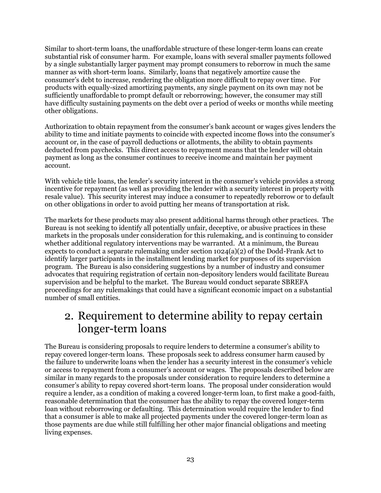Similar to short-term loans, the unaffordable structure of these longer-term loans can create substantial risk of consumer harm. For example, loans with several smaller payments followed by a single substantially larger payment may prompt consumers to reborrow in much the same manner as with short-term loans. Similarly, loans that negatively amortize cause the consumer's debt to increase, rendering the obligation more difficult to repay over time. For products with equally-sized amortizing payments, any single payment on its own may not be sufficiently unaffordable to prompt default or reborrowing; however, the consumer may still have difficulty sustaining payments on the debt over a period of weeks or months while meeting other obligations.

Authorization to obtain repayment from the consumer's bank account or wages gives lenders the ability to time and initiate payments to coincide with expected income flows into the consumer's account or, in the case of payroll deductions or allotments, the ability to obtain payments deducted from paychecks. This direct access to repayment means that the lender will obtain payment as long as the consumer continues to receive income and maintain her payment account.

With vehicle title loans, the lender's security interest in the consumer's vehicle provides a strong incentive for repayment (as well as providing the lender with a security interest in property with resale value). This security interest may induce a consumer to repeatedly reborrow or to default on other obligations in order to avoid putting her means of transportation at risk.

The markets for these products may also present additional harms through other practices. The Bureau is not seeking to identify all potentially unfair, deceptive, or abusive practices in these markets in the proposals under consideration for this rulemaking, and is continuing to consider whether additional regulatory interventions may be warranted. At a minimum, the Bureau expects to conduct a separate rulemaking under section 1024(a)(2) of the Dodd-Frank Act to identify larger participants in the installment lending market for purposes of its supervision program. The Bureau is also considering suggestions by a number of industry and consumer advocates that requiring registration of certain non-depository lenders would facilitate Bureau supervision and be helpful to the market. The Bureau would conduct separate SBREFA proceedings for any rulemakings that could have a significant economic impact on a substantial number of small entities.

## <span id="page-23-0"></span>2. Requirement to determine ability to repay certain longer-term loans

The Bureau is considering proposals to require lenders to determine a consumer's ability to repay covered longer-term loans. These proposals seek to address consumer harm caused by the failure to underwrite loans when the lender has a security interest in the consumer's vehicle or access to repayment from a consumer's account or wages. The proposals described below are similar in many regards to the proposals under consideration to require lenders to determine a consumer's ability to repay covered short-term loans. The proposal under consideration would require a lender, as a condition of making a covered longer-term loan, to first make a good-faith, reasonable determination that the consumer has the ability to repay the covered longer-term loan without reborrowing or defaulting. This determination would require the lender to find that a consumer is able to make all projected payments under the covered longer-term loan as those payments are due while still fulfilling her other major financial obligations and meeting living expenses.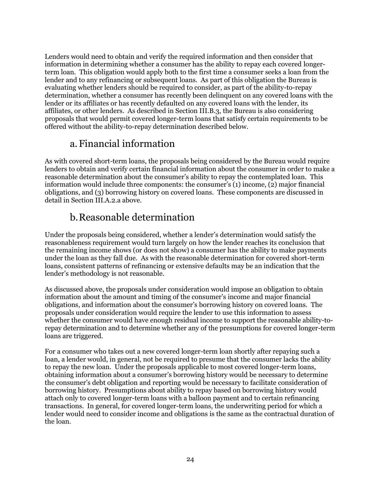Lenders would need to obtain and verify the required information and then consider that information in determining whether a consumer has the ability to repay each covered longerterm loan. This obligation would apply both to the first time a consumer seeks a loan from the lender and to any refinancing or subsequent loans. As part of this obligation the Bureau is evaluating whether lenders should be required to consider, as part of the ability-to-repay determination, whether a consumer has recently been delinquent on any covered loans with the lender or its affiliates or has recently defaulted on any covered loans with the lender, its affiliates, or other lenders. As described in Section III.B.3, the Bureau is also considering proposals that would permit covered longer-term loans that satisfy certain requirements to be offered without the ability-to-repay determination described below.

### a.Financial information

<span id="page-24-0"></span>As with covered short-term loans, the proposals being considered by the Bureau would require lenders to obtain and verify certain financial information about the consumer in order to make a reasonable determination about the consumer's ability to repay the contemplated loan. This information would include three components: the consumer's (1) income, (2) major financial obligations, and (3) borrowing history on covered loans. These components are discussed in detail in Section III.A.2.a above.

### b.Reasonable determination

<span id="page-24-1"></span>Under the proposals being considered, whether a lender's determination would satisfy the reasonableness requirement would turn largely on how the lender reaches its conclusion that the remaining income shows (or does not show) a consumer has the ability to make payments under the loan as they fall due. As with the reasonable determination for covered short-term loans, consistent patterns of refinancing or extensive defaults may be an indication that the lender's methodology is not reasonable.

As discussed above, the proposals under consideration would impose an obligation to obtain information about the amount and timing of the consumer's income and major financial obligations, and information about the consumer's borrowing history on covered loans. The proposals under consideration would require the lender to use this information to assess whether the consumer would have enough residual income to support the reasonable ability-torepay determination and to determine whether any of the presumptions for covered longer-term loans are triggered.

For a consumer who takes out a new covered longer-term loan shortly after repaying such a loan, a lender would, in general, not be required to presume that the consumer lacks the ability to repay the new loan. Under the proposals applicable to most covered longer-term loans, obtaining information about a consumer's borrowing history would be necessary to determine the consumer's debt obligation and reporting would be necessary to facilitate consideration of borrowing history. Presumptions about ability to repay based on borrowing history would attach only to covered longer-term loans with a balloon payment and to certain refinancing transactions. In general, for covered longer-term loans, the underwriting period for which a lender would need to consider income and obligations is the same as the contractual duration of the loan.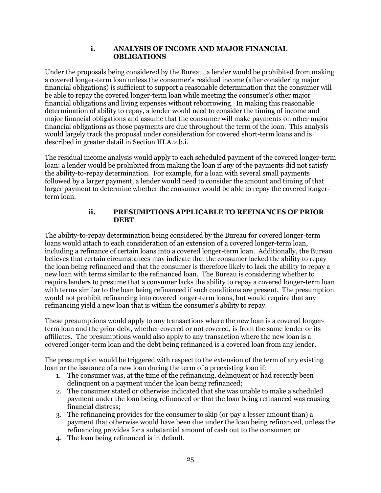#### **i. ANALYSIS OF INCOME AND MAJOR FINANCIAL OBLIGATIONS**

Under the proposals being considered by the Bureau, a lender would be prohibited from making a covered longer-term loan unless the consumer's residual income (after considering major financial obligations) is sufficient to support a reasonable determination that the consumer will be able to repay the covered longer-term loan while meeting the consumer's other major financial obligations and living expenses without reborrowing. In making this reasonable determination of ability to repay, a lender would need to consider the timing of income and major financial obligations and assume that the consumer will make payments on other major financial obligations as those payments are due throughout the term of the loan. This analysis would largely track the proposal under consideration for covered short-term loans and is described in greater detail in Section III.A.2.b.i.

The residual income analysis would apply to each scheduled payment of the covered longer-term loan: a lender would be prohibited from making the loan if any of the payments did not satisfy the ability-to-repay determination. For example, for a loan with several small payments followed by a larger payment, a lender would need to consider the amount and timing of that larger payment to determine whether the consumer would be able to repay the covered longerterm loan.

#### **ii. PRESUMPTIONS APPLICABLE TO REFINANCES OF PRIOR DEBT**

The ability-to-repay determination being considered by the Bureau for covered longer-term loans would attach to each consideration of an extension of a covered longer-term loan, including a refinance of certain loans into a covered longer-term loan. Additionally, the Bureau believes that certain circumstances may indicate that the consumer lacked the ability to repay the loan being refinanced and that the consumer is therefore likely to lack the ability to repay a new loan with terms similar to the refinanced loan. The Bureau is considering whether to require lenders to presume that a consumer lacks the ability to repay a covered longer-term loan with terms similar to the loan being refinanced if such conditions are present. The presumption would not prohibit refinancing into covered longer-term loans, but would require that any refinancing yield a new loan that is within the consumer's ability to repay.

These presumptions would apply to any transactions where the new loan is a covered longerterm loan and the prior debt, whether covered or not covered, is from the same lender or its affiliates. The presumptions would also apply to any transaction where the new loan is a covered longer-term loan and the debt being refinanced is a covered loan from any lender.

The presumption would be triggered with respect to the extension of the term of any existing loan or the issuance of a new loan during the term of a preexisting loan if:

- 1. The consumer was, at the time of the refinancing, delinquent or had recently been delinquent on a payment under the loan being refinanced;
- 2. The consumer stated or otherwise indicated that she was unable to make a scheduled payment under the loan being refinanced or that the loan being refinanced was causing financial distress;
- 3. The refinancing provides for the consumer to skip (or pay a lesser amount than) a payment that otherwise would have been due under the loan being refinanced, unless the refinancing provides for a substantial amount of cash out to the consumer; or
- 4. The loan being refinanced is in default.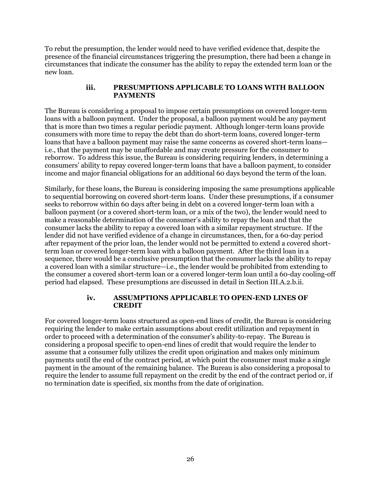To rebut the presumption, the lender would need to have verified evidence that, despite the presence of the financial circumstances triggering the presumption, there had been a change in circumstances that indicate the consumer has the ability to repay the extended term loan or the new loan.

#### **iii. PRESUMPTIONS APPLICABLE TO LOANS WITH BALLOON PAYMENTS**

The Bureau is considering a proposal to impose certain presumptions on covered longer-term loans with a balloon payment. Under the proposal, a balloon payment would be any payment that is more than two times a regular periodic payment. Although longer-term loans provide consumers with more time to repay the debt than do short-term loans, covered longer-term loans that have a balloon payment may raise the same concerns as covered short-term loans i.e., that the payment may be unaffordable and may create pressure for the consumer to reborrow. To address this issue, the Bureau is considering requiring lenders, in determining a consumers' ability to repay covered longer-term loans that have a balloon payment, to consider income and major financial obligations for an additional 60 days beyond the term of the loan.

Similarly, for these loans, the Bureau is considering imposing the same presumptions applicable to sequential borrowing on covered short-term loans. Under these presumptions, if a consumer seeks to reborrow within 60 days after being in debt on a covered longer-term loan with a balloon payment (or a covered short-term loan, or a mix of the two), the lender would need to make a reasonable determination of the consumer's ability to repay the loan and that the consumer lacks the ability to repay a covered loan with a similar repayment structure. If the lender did not have verified evidence of a change in circumstances, then, for a 60-day period after repayment of the prior loan, the lender would not be permitted to extend a covered shortterm loan or covered longer-term loan with a balloon payment. After the third loan in a sequence, there would be a conclusive presumption that the consumer lacks the ability to repay a covered loan with a similar structure—i.e., the lender would be prohibited from extending to the consumer a covered short-term loan or a covered longer-term loan until a 60-day cooling-off period had elapsed. These presumptions are discussed in detail in Section III.A.2.b.ii.

#### **iv. ASSUMPTIONS APPLICABLE TO OPEN-END LINES OF CREDIT**

For covered longer-term loans structured as open-end lines of credit, the Bureau is considering requiring the lender to make certain assumptions about credit utilization and repayment in order to proceed with a determination of the consumer's ability-to-repay. The Bureau is considering a proposal specific to open-end lines of credit that would require the lender to assume that a consumer fully utilizes the credit upon origination and makes only minimum payments until the end of the contract period, at which point the consumer must make a single payment in the amount of the remaining balance. The Bureau is also considering a proposal to require the lender to assume full repayment on the credit by the end of the contract period or, if no termination date is specified, six months from the date of origination.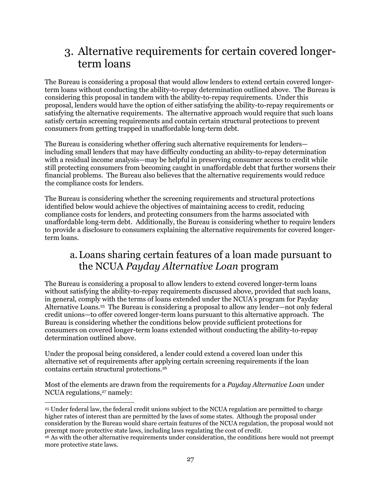## <span id="page-27-0"></span>3. Alternative requirements for certain covered longerterm loans

The Bureau is considering a proposal that would allow lenders to extend certain covered longerterm loans without conducting the ability-to-repay determination outlined above. The Bureau is considering this proposal in tandem with the ability-to-repay requirements. Under this proposal, lenders would have the option of either satisfying the ability-to-repay requirements or satisfying the alternative requirements. The alternative approach would require that such loans satisfy certain screening requirements and contain certain structural protections to prevent consumers from getting trapped in unaffordable long-term debt.

The Bureau is considering whether offering such alternative requirements for lenders including small lenders that may have difficulty conducting an ability-to-repay determination with a residual income analysis—may be helpful in preserving consumer access to credit while still protecting consumers from becoming caught in unaffordable debt that further worsens their financial problems. The Bureau also believes that the alternative requirements would reduce the compliance costs for lenders.

The Bureau is considering whether the screening requirements and structural protections identified below would achieve the objectives of maintaining access to credit, reducing compliance costs for lenders, and protecting consumers from the harms associated with unaffordable long-term debt. Additionally, the Bureau is considering whether to require lenders to provide a disclosure to consumers explaining the alternative requirements for covered longerterm loans.

### <span id="page-27-1"></span>a.Loans sharing certain features of a loan made pursuant to the NCUA *Payday Alternative Loan* program

The Bureau is considering a proposal to allow lenders to extend covered longer-term loans without satisfying the ability-to-repay requirements discussed above, provided that such loans, in general, comply with the terms of loans extended under the NCUA's program for Payday Alternative Loans.<sup>25</sup> The Bureau is considering a proposal to allow any lender—not only federal credit unions—to offer covered longer-term loans pursuant to this alternative approach. The Bureau is considering whether the conditions below provide sufficient protections for consumers on covered longer-term loans extended without conducting the ability-to-repay determination outlined above.

Under the proposal being considered, a lender could extend a covered loan under this alternative set of requirements after applying certain screening requirements if the loan contains certain structural protections.<sup>26</sup>

Most of the elements are drawn from the requirements for a *Payday Alternative Loan* under NCUA regulations,<sup>27</sup> namely:

 $\overline{a}$ <sup>25</sup> Under federal law, the federal credit unions subject to the NCUA regulation are permitted to charge higher rates of interest than are permitted by the laws of some states. Although the proposal under consideration by the Bureau would share certain features of the NCUA regulation, the proposal would not preempt more protective state laws, including laws regulating the cost of credit.

<sup>26</sup> As with the other alternative requirements under consideration, the conditions here would not preempt more protective state laws.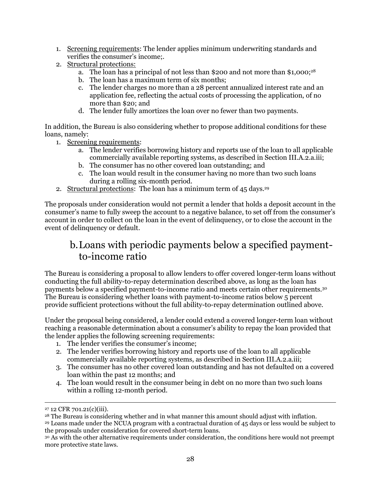- 1. Screening requirements: The lender applies minimum underwriting standards and verifies the consumer's income;.
- 2. Structural protections:
	- a. The loan has a principal of not less than \$200 and not more than \$1,000; 28
	- b. The loan has a maximum term of six months;
	- c. The lender charges no more than a 28 percent annualized interest rate and an application fee, reflecting the actual costs of processing the application, of no more than \$20; and
	- d. The lender fully amortizes the loan over no fewer than two payments.

In addition, the Bureau is also considering whether to propose additional conditions for these loans, namely:

- 1. Screening requirements:
	- a. The lender verifies borrowing history and reports use of the loan to all applicable commercially available reporting systems, as described in Section III.A.2.a.iii;
	- b. The consumer has no other covered loan outstanding; and
	- c. The loan would result in the consumer having no more than two such loans during a rolling six-month period.
- 2. Structural protections: The loan has a minimum term of 45 days.<sup>29</sup>

The proposals under consideration would not permit a lender that holds a deposit account in the consumer's name to fully sweep the account to a negative balance, to set off from the consumer's account in order to collect on the loan in the event of delinquency, or to close the account in the event of delinquency or default.

### <span id="page-28-0"></span>b.Loans with periodic payments below a specified paymentto-income ratio

The Bureau is considering a proposal to allow lenders to offer covered longer-term loans without conducting the full ability-to-repay determination described above, as long as the loan has payments below a specified payment-to-income ratio and meets certain other requirements.<sup>30</sup> The Bureau is considering whether loans with payment-to-income ratios below 5 percent provide sufficient protections without the full ability-to-repay determination outlined above.

Under the proposal being considered, a lender could extend a covered longer-term loan without reaching a reasonable determination about a consumer's ability to repay the loan provided that the lender applies the following screening requirements:

- 1. The lender verifies the consumer's income;
- 2. The lender verifies borrowing history and reports use of the loan to all applicable commercially available reporting systems, as described in Section III.A.2.a.iii;
- 3. The consumer has no other covered loan outstanding and has not defaulted on a covered loan within the past 12 months; and
- 4. The loan would result in the consumer being in debt on no more than two such loans within a rolling 12-month period.

 $\overline{a}$ 

<sup>27</sup> 12 CFR 701.21(c)(iii).

<sup>28</sup> The Bureau is considering whether and in what manner this amount should adjust with inflation.

<sup>29</sup> Loans made under the NCUA program with a contractual duration of 45 days or less would be subject to the proposals under consideration for covered short-term loans.

<sup>30</sup> As with the other alternative requirements under consideration, the conditions here would not preempt more protective state laws.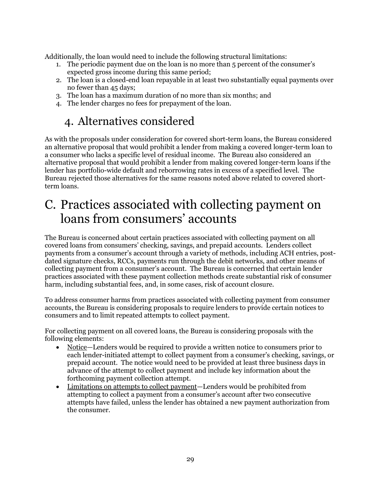Additionally, the loan would need to include the following structural limitations:

- 1. The periodic payment due on the loan is no more than 5 percent of the consumer's expected gross income during this same period;
- 2. The loan is a closed-end loan repayable in at least two substantially equal payments over no fewer than 45 days;
- 3. The loan has a maximum duration of no more than six months; and
- 4. The lender charges no fees for prepayment of the loan.

## 4. Alternatives considered

<span id="page-29-0"></span>As with the proposals under consideration for covered short-term loans, the Bureau considered an alternative proposal that would prohibit a lender from making a covered longer-term loan to a consumer who lacks a specific level of residual income. The Bureau also considered an alternative proposal that would prohibit a lender from making covered longer-term loans if the lender has portfolio-wide default and reborrowing rates in excess of a specified level. The Bureau rejected those alternatives for the same reasons noted above related to covered shortterm loans.

## <span id="page-29-1"></span>C. Practices associated with collecting payment on loans from consumers' accounts

The Bureau is concerned about certain practices associated with collecting payment on all covered loans from consumers' checking, savings, and prepaid accounts. Lenders collect payments from a consumer's account through a variety of methods, including ACH entries, postdated signature checks, RCCs, payments run through the debit networks, and other means of collecting payment from a consumer's account. The Bureau is concerned that certain lender practices associated with these payment collection methods create substantial risk of consumer harm, including substantial fees, and, in some cases, risk of account closure.

To address consumer harms from practices associated with collecting payment from consumer accounts, the Bureau is considering proposals to require lenders to provide certain notices to consumers and to limit repeated attempts to collect payment.

For collecting payment on all covered loans, the Bureau is considering proposals with the following elements:

- Notice—Lenders would be required to provide a written notice to consumers prior to each lender-initiated attempt to collect payment from a consumer's checking, savings, or prepaid account. The notice would need to be provided at least three business days in advance of the attempt to collect payment and include key information about the forthcoming payment collection attempt.
- Limitations on attempts to collect payment—Lenders would be prohibited from attempting to collect a payment from a consumer's account after two consecutive attempts have failed, unless the lender has obtained a new payment authorization from the consumer.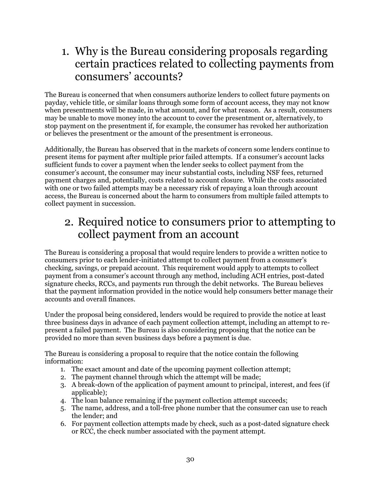## <span id="page-30-0"></span>1. Why is the Bureau considering proposals regarding certain practices related to collecting payments from consumers' accounts?

The Bureau is concerned that when consumers authorize lenders to collect future payments on payday, vehicle title, or similar loans through some form of account access, they may not know when presentments will be made, in what amount, and for what reason. As a result, consumers may be unable to move money into the account to cover the presentment or, alternatively, to stop payment on the presentment if, for example, the consumer has revoked her authorization or believes the presentment or the amount of the presentment is erroneous.

Additionally, the Bureau has observed that in the markets of concern some lenders continue to present items for payment after multiple prior failed attempts. If a consumer's account lacks sufficient funds to cover a payment when the lender seeks to collect payment from the consumer's account, the consumer may incur substantial costs, including NSF fees, returned payment charges and, potentially, costs related to account closure. While the costs associated with one or two failed attempts may be a necessary risk of repaying a loan through account access, the Bureau is concerned about the harm to consumers from multiple failed attempts to collect payment in succession.

## <span id="page-30-1"></span>2. Required notice to consumers prior to attempting to collect payment from an account

The Bureau is considering a proposal that would require lenders to provide a written notice to consumers prior to each lender-initiated attempt to collect payment from a consumer's checking, savings, or prepaid account. This requirement would apply to attempts to collect payment from a consumer's account through any method, including ACH entries, post-dated signature checks, RCCs, and payments run through the debit networks. The Bureau believes that the payment information provided in the notice would help consumers better manage their accounts and overall finances.

Under the proposal being considered, lenders would be required to provide the notice at least three business days in advance of each payment collection attempt, including an attempt to represent a failed payment. The Bureau is also considering proposing that the notice can be provided no more than seven business days before a payment is due.

The Bureau is considering a proposal to require that the notice contain the following information:

- 1. The exact amount and date of the upcoming payment collection attempt;
- 2. The payment channel through which the attempt will be made;
- 3. A break-down of the application of payment amount to principal, interest, and fees (if applicable):
- 4. The loan balance remaining if the payment collection attempt succeeds;
- 5. The name, address, and a toll-free phone number that the consumer can use to reach the lender; and
- 6. For payment collection attempts made by check, such as a post-dated signature check or RCC, the check number associated with the payment attempt.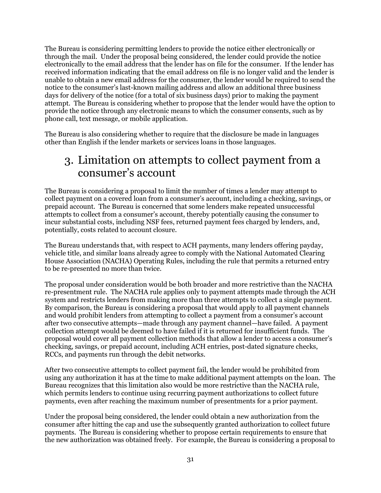The Bureau is considering permitting lenders to provide the notice either electronically or through the mail. Under the proposal being considered, the lender could provide the notice electronically to the email address that the lender has on file for the consumer. If the lender has received information indicating that the email address on file is no longer valid and the lender is unable to obtain a new email address for the consumer, the lender would be required to send the notice to the consumer's last-known mailing address and allow an additional three business days for delivery of the notice (for a total of six business days) prior to making the payment attempt. The Bureau is considering whether to propose that the lender would have the option to provide the notice through any electronic means to which the consumer consents, such as by phone call, text message, or mobile application.

The Bureau is also considering whether to require that the disclosure be made in languages other than English if the lender markets or services loans in those languages.

### <span id="page-31-0"></span>3. Limitation on attempts to collect payment from a consumer's account

The Bureau is considering a proposal to limit the number of times a lender may attempt to collect payment on a covered loan from a consumer's account, including a checking, savings, or prepaid account. The Bureau is concerned that some lenders make repeated unsuccessful attempts to collect from a consumer's account, thereby potentially causing the consumer to incur substantial costs, including NSF fees, returned payment fees charged by lenders, and, potentially, costs related to account closure.

The Bureau understands that, with respect to ACH payments, many lenders offering payday, vehicle title, and similar loans already agree to comply with the National Automated Clearing House Association (NACHA) Operating Rules, including the rule that permits a returned entry to be re-presented no more than twice.

The proposal under consideration would be both broader and more restrictive than the NACHA re-presentment rule. The NACHA rule applies only to payment attempts made through the ACH system and restricts lenders from making more than three attempts to collect a single payment. By comparison, the Bureau is considering a proposal that would apply to all payment channels and would prohibit lenders from attempting to collect a payment from a consumer's account after two consecutive attempts—made through any payment channel—have failed. A payment collection attempt would be deemed to have failed if it is returned for insufficient funds. The proposal would cover all payment collection methods that allow a lender to access a consumer's checking, savings, or prepaid account, including ACH entries, post-dated signature checks, RCCs, and payments run through the debit networks.

After two consecutive attempts to collect payment fail, the lender would be prohibited from using any authorization it has at the time to make additional payment attempts on the loan. The Bureau recognizes that this limitation also would be more restrictive than the NACHA rule, which permits lenders to continue using recurring payment authorizations to collect future payments, even after reaching the maximum number of presentments for a prior payment.

Under the proposal being considered, the lender could obtain a new authorization from the consumer after hitting the cap and use the subsequently granted authorization to collect future payments. The Bureau is considering whether to propose certain requirements to ensure that the new authorization was obtained freely. For example, the Bureau is considering a proposal to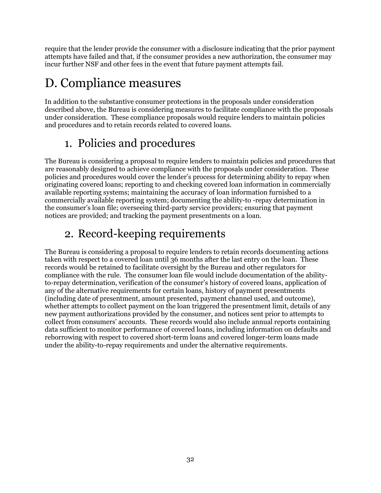require that the lender provide the consumer with a disclosure indicating that the prior payment attempts have failed and that, if the consumer provides a new authorization, the consumer may incur further NSF and other fees in the event that future payment attempts fail.

# <span id="page-32-0"></span>D. Compliance measures

In addition to the substantive consumer protections in the proposals under consideration described above, the Bureau is considering measures to facilitate compliance with the proposals under consideration. These compliance proposals would require lenders to maintain policies and procedures and to retain records related to covered loans.

## 1. Policies and procedures

<span id="page-32-1"></span>The Bureau is considering a proposal to require lenders to maintain policies and procedures that are reasonably designed to achieve compliance with the proposals under consideration. These policies and procedures would cover the lender's process for determining ability to repay when originating covered loans; reporting to and checking covered loan information in commercially available reporting systems; maintaining the accuracy of loan information furnished to a commercially available reporting system; documenting the ability-to -repay determination in the consumer's loan file; overseeing third-party service providers; ensuring that payment notices are provided; and tracking the payment presentments on a loan.

## 2. Record-keeping requirements

<span id="page-32-2"></span>The Bureau is considering a proposal to require lenders to retain records documenting actions taken with respect to a covered loan until 36 months after the last entry on the loan. These records would be retained to facilitate oversight by the Bureau and other regulators for compliance with the rule. The consumer loan file would include documentation of the abilityto-repay determination, verification of the consumer's history of covered loans, application of any of the alternative requirements for certain loans, history of payment presentments (including date of presentment, amount presented, payment channel used, and outcome), whether attempts to collect payment on the loan triggered the presentment limit, details of any new payment authorizations provided by the consumer, and notices sent prior to attempts to collect from consumers' accounts. These records would also include annual reports containing data sufficient to monitor performance of covered loans, including information on defaults and reborrowing with respect to covered short-term loans and covered longer-term loans made under the ability-to-repay requirements and under the alternative requirements.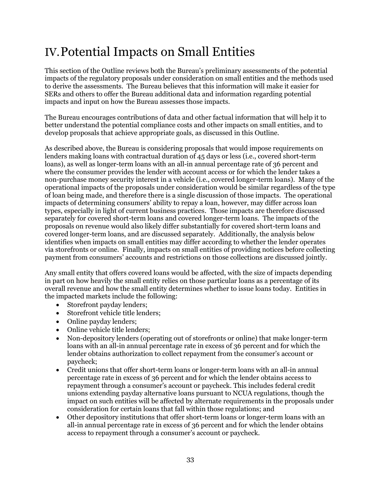# <span id="page-33-0"></span>IV.Potential Impacts on Small Entities

This section of the Outline reviews both the Bureau's preliminary assessments of the potential impacts of the regulatory proposals under consideration on small entities and the methods used to derive the assessments. The Bureau believes that this information will make it easier for SERs and others to offer the Bureau additional data and information regarding potential impacts and input on how the Bureau assesses those impacts.

The Bureau encourages contributions of data and other factual information that will help it to better understand the potential compliance costs and other impacts on small entities, and to develop proposals that achieve appropriate goals, as discussed in this Outline.

As described above, the Bureau is considering proposals that would impose requirements on lenders making loans with contractual duration of 45 days or less (i.e., covered short-term loans), as well as longer-term loans with an all-in annual percentage rate of 36 percent and where the consumer provides the lender with account access or for which the lender takes a non-purchase money security interest in a vehicle (i.e., covered longer-term loans). Many of the operational impacts of the proposals under consideration would be similar regardless of the type of loan being made, and therefore there is a single discussion of those impacts. The operational impacts of determining consumers' ability to repay a loan, however, may differ across loan types, especially in light of current business practices. Those impacts are therefore discussed separately for covered short-term loans and covered longer-term loans. The impacts of the proposals on revenue would also likely differ substantially for covered short-term loans and covered longer-term loans, and are discussed separately. Additionally, the analysis below identifies when impacts on small entities may differ according to whether the lender operates via storefronts or online. Finally, impacts on small entities of providing notices before collecting payment from consumers' accounts and restrictions on those collections are discussed jointly.

Any small entity that offers covered loans would be affected, with the size of impacts depending in part on how heavily the small entity relies on those particular loans as a percentage of its overall revenue and how the small entity determines whether to issue loans today. Entities in the impacted markets include the following:

- Storefront payday lenders;
- Storefront vehicle title lenders;
- Online payday lenders;
- Online vehicle title lenders;
- Non-depository lenders (operating out of storefronts or online) that make longer-term loans with an all-in annual percentage rate in excess of 36 percent and for which the lender obtains authorization to collect repayment from the consumer's account or paycheck;
- Credit unions that offer short-term loans or longer-term loans with an all-in annual percentage rate in excess of 36 percent and for which the lender obtains access to repayment through a consumer's account or paycheck. This includes federal credit unions extending payday alternative loans pursuant to NCUA regulations, though the impact on such entities will be affected by alternate requirements in the proposals under consideration for certain loans that fall within those regulations; and
- Other depository institutions that offer short-term loans or longer-term loans with an all-in annual percentage rate in excess of 36 percent and for which the lender obtains access to repayment through a consumer's account or paycheck.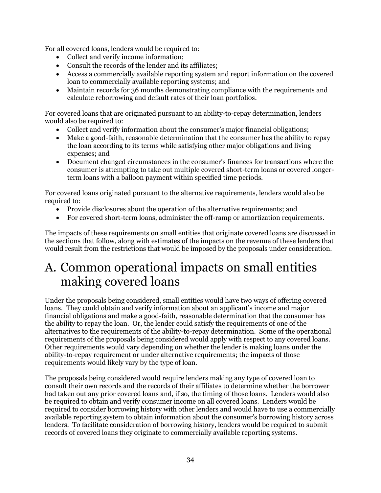For all covered loans, lenders would be required to:

- Collect and verify income information;
- Consult the records of the lender and its affiliates;
- Access a commercially available reporting system and report information on the covered loan to commercially available reporting systems; and
- Maintain records for 36 months demonstrating compliance with the requirements and calculate reborrowing and default rates of their loan portfolios.

For covered loans that are originated pursuant to an ability-to-repay determination, lenders would also be required to:

- Collect and verify information about the consumer's major financial obligations;
- Make a good-faith, reasonable determination that the consumer has the ability to repay the loan according to its terms while satisfying other major obligations and living expenses; and
- Document changed circumstances in the consumer's finances for transactions where the consumer is attempting to take out multiple covered short-term loans or covered longerterm loans with a balloon payment within specified time periods.

For covered loans originated pursuant to the alternative requirements, lenders would also be required to:

- Provide disclosures about the operation of the alternative requirements; and
- For covered short-term loans, administer the off-ramp or amortization requirements.

The impacts of these requirements on small entities that originate covered loans are discussed in the sections that follow, along with estimates of the impacts on the revenue of these lenders that would result from the restrictions that would be imposed by the proposals under consideration.

## <span id="page-34-0"></span>A. Common operational impacts on small entities making covered loans

Under the proposals being considered, small entities would have two ways of offering covered loans. They could obtain and verify information about an applicant's income and major financial obligations and make a good-faith, reasonable determination that the consumer has the ability to repay the loan. Or, the lender could satisfy the requirements of one of the alternatives to the requirements of the ability-to-repay determination. Some of the operational requirements of the proposals being considered would apply with respect to any covered loans. Other requirements would vary depending on whether the lender is making loans under the ability-to-repay requirement or under alternative requirements; the impacts of those requirements would likely vary by the type of loan.

The proposals being considered would require lenders making any type of covered loan to consult their own records and the records of their affiliates to determine whether the borrower had taken out any prior covered loans and, if so, the timing of those loans. Lenders would also be required to obtain and verify c0nsumer income on all covered loans. Lenders would be required to consider borrowing history with other lenders and would have to use a commercially available reporting system to obtain information about the consumer's borrowing history across lenders. To facilitate consideration of borrowing history, lenders would be required to submit records of covered loans they originate to commercially available reporting systems.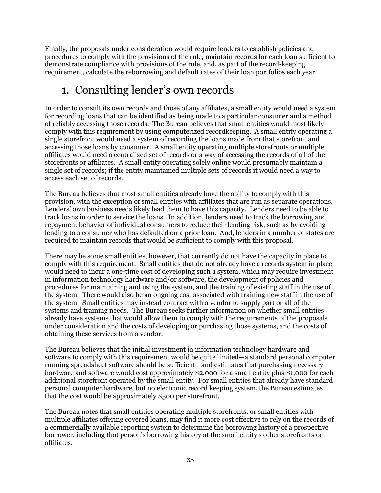Finally, the proposals under consideration would require lenders to establish policies and procedures to comply with the provisions of the rule, maintain records for each loan sufficient to demonstrate compliance with provisions of the rule, and, as part of the record-keeping requirement, calculate the reborrowing and default rates of their loan portfolios each year.

## <span id="page-35-0"></span>1. Consulting lender's own records

In order to consult its own records and those of any affiliates, a small entity would need a system for recording loans that can be identified as being made to a particular consumer and a method of reliably accessing those records. The Bureau believes that small entities would most likely comply with this requirement by using computerized recordkeeping. A small entity operating a single storefront would need a system of recording the loans made from that storefront and accessing those loans by consumer. A small entity operating multiple storefronts or multiple affiliates would need a centralized set of records or a way of accessing the records of all of the storefronts or affiliates. A small entity operating solely online would presumably maintain a single set of records; if the entity maintained multiple sets of records it would need a way to access each set of records.

The Bureau believes that most small entities already have the ability to comply with this provision, with the exception of small entities with affiliates that are run as separate operations. Lenders' own business needs likely lead them to have this capacity. Lenders need to be able to track loans in order to service the loans. In addition, lenders need to track the borrowing and repayment behavior of individual consumers to reduce their lending risk, such as by avoiding lending to a consumer who has defaulted on a prior loan. And, lenders in a number of states are required to maintain records that would be sufficient to comply with this proposal.

There may be some small entities, however, that currently do not have the capacity in place to comply with this requirement. Small entities that do not already have a records system in place would need to incur a one-time cost of developing such a system, which may require investment in information technology hardware and/or software, the development of policies and procedures for maintaining and using the system, and the training of existing staff in the use of the system. There would also be an ongoing cost associated with training new staff in the use of the system. Small entities may instead contract with a vendor to supply part or all of the systems and training needs. The Bureau seeks further information on whether small entities already have systems that would allow them to comply with the requirements of the proposals under consideration and the costs of developing or purchasing those systems, and the costs of obtaining these services from a vendor.

The Bureau believes that the initial investment in information technology hardware and software to comply with this requirement would be quite limited—a standard personal computer running spreadsheet software should be sufficient—and estimates that purchasing necessary hardware and software would cost approximately \$2,000 for a small entity plus \$1,000 for each additional storefront operated by the small entity. For small entities that already have standard personal computer hardware, but no electronic record keeping system, the Bureau estimates that the cost would be approximately \$500 per storefront.

The Bureau notes that small entities operating multiple storefronts, or small entities with multiple affiliates offering covered loans, may find it more cost effective to rely on the records of a commercially available reporting system to determine the borrowing history of a prospective borrower, including that person's borrowing history at the small entity's other storefronts or affiliates.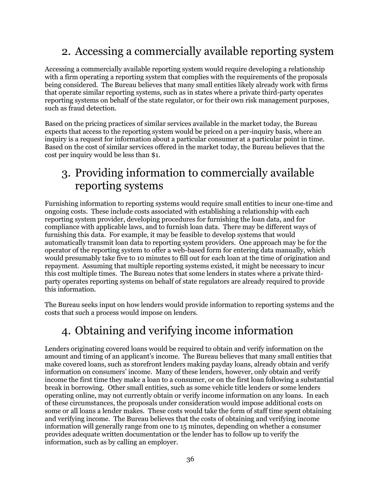# 2. Accessing a commercially available reporting system

Accessing a commercially available reporting system would require developing a relationship with a firm operating a reporting system that complies with the requirements of the proposals being considered. The Bureau believes that many small entities likely already work with firms that operate similar reporting systems, such as in states where a private third-party operates reporting systems on behalf of the state regulator, or for their own risk management purposes, such as fraud detection.

Based on the pricing practices of similar services available in the market today, the Bureau expects that access to the reporting system would be priced on a per-inquiry basis, where an inquiry is a request for information about a particular consumer at a particular point in time. Based on the cost of similar services offered in the market today, the Bureau believes that the cost per inquiry would be less than \$1.

# 3. Providing information to commercially available reporting systems

Furnishing information to reporting systems would require small entities to incur one-time and ongoing costs. These include costs associated with establishing a relationship with each reporting system provider, developing procedures for furnishing the loan data, and for compliance with applicable laws, and to furnish loan data. There may be different ways of furnishing this data. For example, it may be feasible to develop systems that would automatically transmit loan data to reporting system providers. One approach may be for the operator of the reporting system to offer a web-based form for entering data manually, which would presumably take five to 10 minutes to fill out for each loan at the time of origination and repayment. Assuming that multiple reporting systems existed, it might be necessary to incur this cost multiple times. The Bureau notes that some lenders in states where a private thirdparty operates reporting systems on behalf of state regulators are already required to provide this information.

The Bureau seeks input on how lenders would provide information to reporting systems and the costs that such a process would impose on lenders.

# 4. Obtaining and verifying income information

Lenders originating covered loans would be required to obtain and verify information on the amount and timing of an applicant's income. The Bureau believes that many small entities that make covered loans, such as storefront lenders making payday loans, already obtain and verify information on consumers' income. Many of these lenders, however, only obtain and verify income the first time they make a loan to a consumer, or on the first loan following a substantial break in borrowing. Other small entities, such as some vehicle title lenders or some lenders operating online, may not currently obtain or verify income information on any loans. In each of these circumstances, the proposals under consideration would impose additional costs on some or all loans a lender makes. These costs would take the form of staff time spent obtaining and verifying income. The Bureau believes that the costs of obtaining and verifying income information will generally range from one to 15 minutes, depending on whether a consumer provides adequate written documentation or the lender has to follow up to verify the information, such as by calling an employer.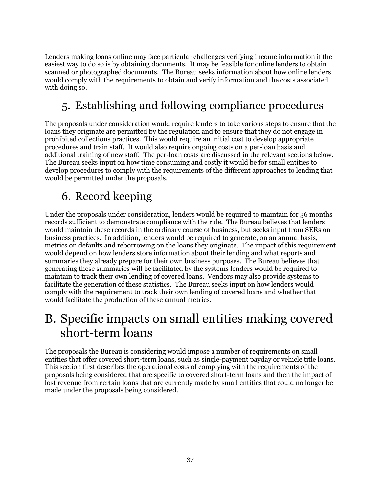Lenders making loans online may face particular challenges verifying income information if the easiest way to do so is by obtaining documents. It may be feasible for online lenders to obtain scanned or photographed documents. The Bureau seeks information about how online lenders would comply with the requirements to obtain and verify information and the costs associated with doing so.

# 5. Establishing and following compliance procedures

The proposals under consideration would require lenders to take various steps to ensure that the loans they originate are permitted by the regulation and to ensure that they do not engage in prohibited collections practices. This would require an initial cost to develop appropriate procedures and train staff. It would also require ongoing costs on a per-loan basis and additional training of new staff. The per-loan costs are discussed in the relevant sections below. The Bureau seeks input on how time consuming and costly it would be for small entities to develop procedures to comply with the requirements of the different approaches to lending that would be permitted under the proposals.

# 6. Record keeping

Under the proposals under consideration, lenders would be required to maintain for 36 months records sufficient to demonstrate compliance with the rule. The Bureau believes that lenders would maintain these records in the ordinary course of business, but seeks input from SERs on business practices. In addition, lenders would be required to generate, on an annual basis, metrics on defaults and reborrowing on the loans they originate. The impact of this requirement would depend on how lenders store information about their lending and what reports and summaries they already prepare for their own business purposes. The Bureau believes that generating these summaries will be facilitated by the systems lenders would be required to maintain to track their own lending of covered loans. Vendors may also provide systems to facilitate the generation of these statistics. The Bureau seeks input on how lenders would comply with the requirement to track their own lending of covered loans and whether that would facilitate the production of these annual metrics.

# B. Specific impacts on small entities making covered short-term loans

The proposals the Bureau is considering would impose a number of requirements on small entities that offer covered short-term loans, such as single-payment payday or vehicle title loans. This section first describes the operational costs of complying with the requirements of the proposals being considered that are specific to covered short-term loans and then the impact of lost revenue from certain loans that are currently made by small entities that could no longer be made under the proposals being considered.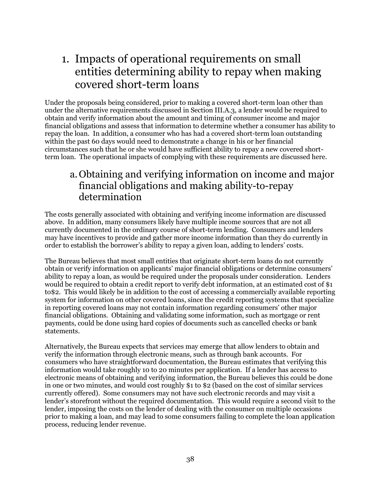# 1. Impacts of operational requirements on small entities determining ability to repay when making covered short-term loans

Under the proposals being considered, prior to making a covered short-term loan other than under the alternative requirements discussed in Section III.A.3, a lender would be required to obtain and verify information about the amount and timing of consumer income and major financial obligations and assess that information to determine whether a consumer has ability to repay the loan. In addition, a consumer who has had a covered short-term loan outstanding within the past 60 days would need to demonstrate a change in his or her financial circumstances such that he or she would have sufficient ability to repay a new covered shortterm loan. The operational impacts of complying with these requirements are discussed here.

### a.Obtaining and verifying information on income and major financial obligations and making ability-to-repay determination

The costs generally associated with obtaining and verifying income information are discussed above. In addition, many consumers likely have multiple income sources that are not all currently documented in the ordinary course of short-term lending. Consumers and lenders may have incentives to provide and gather more income information than they do currently in order to establish the borrower's ability to repay a given loan, adding to lenders' costs.

The Bureau believes that most small entities that originate short-term loans do not currently obtain or verify information on applicants' major financial obligations or determine consumers' ability to repay a loan, as would be required under the proposals under consideration. Lenders would be required to obtain a credit report to verify debt information, at an estimated cost of \$1 to\$2. This would likely be in addition to the cost of accessing a commercially available reporting system for information on other covered loans, since the credit reporting systems that specialize in reporting covered loans may not contain information regarding consumers' other major financial obligations. Obtaining and validating some information, such as mortgage or rent payments, could be done using hard copies of documents such as cancelled checks or bank statements.

Alternatively, the Bureau expects that services may emerge that allow lenders to obtain and verify the information through electronic means, such as through bank accounts. For consumers who have straightforward documentation, the Bureau estimates that verifying this information would take roughly 10 to 20 minutes per application. If a lender has access to electronic means of obtaining and verifying information, the Bureau believes this could be done in one or two minutes, and would cost roughly \$1 to \$2 (based on the cost of similar services currently offered). Some consumers may not have such electronic records and may visit a lender's storefront without the required documentation. This would require a second visit to the lender, imposing the costs on the lender of dealing with the consumer on multiple occasions prior to making a loan, and may lead to some consumers failing to complete the loan application process, reducing lender revenue.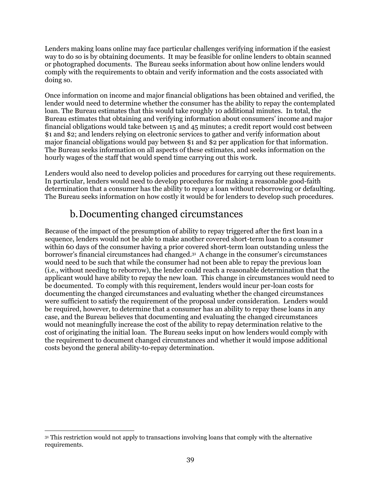Lenders making loans online may face particular challenges verifying information if the easiest way to do so is by obtaining documents. It may be feasible for online lenders to obtain scanned or photographed documents. The Bureau seeks information about how online lenders would comply with the requirements to obtain and verify information and the costs associated with doing so.

Once information on income and major financial obligations has been obtained and verified, the lender would need to determine whether the consumer has the ability to repay the contemplated loan. The Bureau estimates that this would take roughly 10 additional minutes. In total, the Bureau estimates that obtaining and verifying information about consumers' income and major financial obligations would take between 15 and 45 minutes; a credit report would cost between \$1 and \$2; and lenders relying on electronic services to gather and verify information about major financial obligations would pay between \$1 and \$2 per application for that information. The Bureau seeks information on all aspects of these estimates, and seeks information on the hourly wages of the staff that would spend time carrying out this work.

Lenders would also need to develop policies and procedures for carrying out these requirements. In particular, lenders would need to develop procedures for making a reasonable good-faith determination that a consumer has the ability to repay a loan without reborrowing or defaulting. The Bureau seeks information on how costly it would be for lenders to develop such procedures.

## b.Documenting changed circumstances

Because of the impact of the presumption of ability to repay triggered after the first loan in a sequence, lenders would not be able to make another covered short-term loan to a consumer within 60 days of the consumer having a prior covered short-term loan outstanding unless the borrower's financial circumstances had changed. 31 A change in the consumer's circumstances would need to be such that while the consumer had not been able to repay the previous loan (i.e., without needing to reborrow), the lender could reach a reasonable determination that the applicant would have ability to repay the new loan. This change in circumstances would need to be documented. To comply with this requirement, lenders would incur per-loan costs for documenting the changed circumstances and evaluating whether the changed circumstances were sufficient to satisfy the requirement of the proposal under consideration. Lenders would be required, however, to determine that a consumer has an ability to repay these loans in any case, and the Bureau believes that documenting and evaluating the changed circumstances would not meaningfully increase the cost of the ability to repay determination relative to the cost of originating the initial loan. The Bureau seeks input on how lenders would comply with the requirement to document changed circumstances and whether it would impose additional costs beyond the general ability-to-repay determination.

 $\overline{a}$ <sup>31</sup> This restriction would not apply to transactions involving loans that comply with the alternative requirements.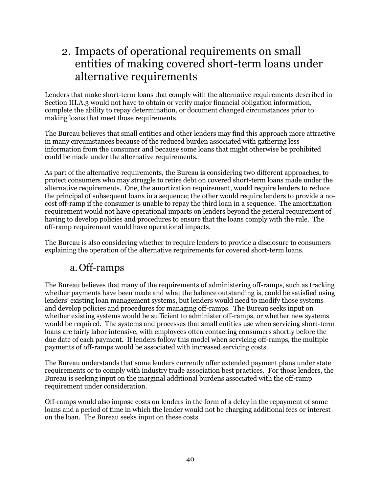## 2. Impacts of operational requirements on small entities of making covered short-term loans under alternative requirements

Lenders that make short-term loans that comply with the alternative requirements described in Section III.A.3 would not have to obtain or verify major financial obligation information, complete the ability to repay determination, or document changed circumstances prior to making loans that meet those requirements.

The Bureau believes that small entities and other lenders may find this approach more attractive in many circumstances because of the reduced burden associated with gathering less information from the consumer and because some loans that might otherwise be prohibited could be made under the alternative requirements.

As part of the alternative requirements, the Bureau is considering two different approaches, to protect consumers who may struggle to retire debt on covered short-term loans made under the alternative requirements. One, the amortization requirement, would require lenders to reduce the principal of subsequent loans in a sequence; the other would require lenders to provide a nocost off-ramp if the consumer is unable to repay the third loan in a sequence. The amortization requirement would not have operational impacts on lenders beyond the general requirement of having to develop policies and procedures to ensure that the loans comply with the rule. The off-ramp requirement would have operational impacts.

The Bureau is also considering whether to require lenders to provide a disclosure to consumers explaining the operation of the alternative requirements for covered short-term loans.

### a.Off-ramps

The Bureau believes that many of the requirements of administering off-ramps, such as tracking whether payments have been made and what the balance outstanding is, could be satisfied using lenders' existing loan management systems, but lenders would need to modify those systems and develop policies and procedures for managing off-ramps. The Bureau seeks input on whether existing systems would be sufficient to administer off-ramps, or whether new systems would be required. The systems and processes that small entities use when servicing short-term loans are fairly labor intensive, with employees often contacting consumers shortly before the due date of each payment. If lenders follow this model when servicing off-ramps, the multiple payments of off-ramps would be associated with increased servicing costs.

The Bureau understands that some lenders currently offer extended payment plans under state requirements or to comply with industry trade association best practices. For those lenders, the Bureau is seeking input on the marginal additional burdens associated with the off-ramp requirement under consideration.

Off-ramps would also impose costs on lenders in the form of a delay in the repayment of some loans and a period of time in which the lender would not be charging additional fees or interest on the loan. The Bureau seeks input on these costs.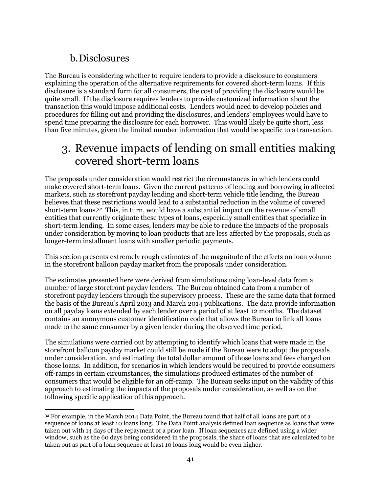### b.Disclosures

The Bureau is considering whether to require lenders to provide a disclosure to consumers explaining the operation of the alternative requirements for covered short-term loans. If this disclosure is a standard form for all consumers, the cost of providing the disclosure would be quite small. If the disclosure requires lenders to provide customized information about the transaction this would impose additional costs. Lenders would need to develop policies and procedures for filling out and providing the disclosures, and lenders' employees would have to spend time preparing the disclosure for each borrower. This would likely be quite short, less than five minutes, given the limited number information that would be specific to a transaction.

# 3. Revenue impacts of lending on small entities making covered short-term loans

The proposals under consideration would restrict the circumstances in which lenders could make covered short-term loans. Given the current patterns of lending and borrowing in affected markets, such as storefront payday lending and short-term vehicle title lending, the Bureau believes that these restrictions would lead to a substantial reduction in the volume of covered short-term loans.<sup>32</sup> This, in turn, would have a substantial impact on the revenue of small entities that currently originate these types of loans, especially small entities that specialize in short-term lending. In some cases, lenders may be able to reduce the impacts of the proposals under consideration by moving to loan products that are less affected by the proposals, such as longer-term installment loans with smaller periodic payments.

This section presents extremely rough estimates of the magnitude of the effects on loan volume in the storefront balloon payday market from the proposals under consideration.

The estimates presented here were derived from simulations using loan-level data from a number of large storefront payday lenders. The Bureau obtained data from a number of storefront payday lenders through the supervisory process. These are the same data that formed the basis of the Bureau's April 2013 and March 2014 publications. The data provide information on all payday loans extended by each lender over a period of at least 12 months. The dataset contains an anonymous customer identification code that allows the Bureau to link all loans made to the same consumer by a given lender during the observed time period.

The simulations were carried out by attempting to identify which loans that were made in the storefront balloon payday market could still be made if the Bureau were to adopt the proposals under consideration, and estimating the total dollar amount of those loans and fees charged on those loans. In addition, for scenarios in which lenders would be required to provide consumers off-ramps in certain circumstances, the simulations produced estimates of the number of consumers that would be eligible for an off-ramp. The Bureau seeks input on the validity of this approach to estimating the impacts of the proposals under consideration, as well as on the following specific application of this approach.

 $\overline{a}$ <sup>32</sup> For example, in the March 2014 Data Point, the Bureau found that half of all loans are part of a sequence of loans at least 10 loans long. The Data Point analysis defined loan sequence as loans that were taken out with 14 days of the repayment of a prior loan. If loan sequences are defined using a wider window, such as the 60 days being considered in the proposals, the share of loans that are calculated to be taken out as part of a loan sequence at least 10 loans long would be even higher.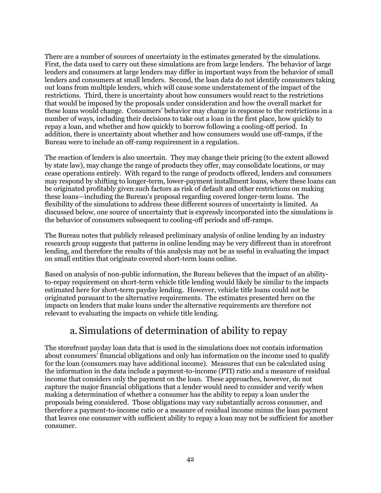There are a number of sources of uncertainty in the estimates generated by the simulations. First, the data used to carry out these simulations are from large lenders. The behavior of large lenders and consumers at large lenders may differ in important ways from the behavior of small lenders and consumers at small lenders. Second, the loan data do not identify consumers taking out loans from multiple lenders, which will cause some understatement of the impact of the restrictions. Third, there is uncertainty about how consumers would react to the restrictions that would be imposed by the proposals under consideration and how the overall market for these loans would change. Consumers' behavior may change in response to the restrictions in a number of ways, including their decisions to take out a loan in the first place, how quickly to repay a loan, and whether and how quickly to borrow following a cooling-off period. In addition, there is uncertainty about whether and how consumers would use off-ramps, if the Bureau were to include an off-ramp requirement in a regulation.

The reaction of lenders is also uncertain. They may change their pricing (to the extent allowed by state law), may change the range of products they offer, may consolidate locations, or may cease operations entirely. With regard to the range of products offered, lenders and consumers may respond by shifting to longer-term, lower-payment installment loans, where these loans can be originated profitably given such factors as risk of default and other restrictions on making these loans—including the Bureau's proposal regarding covered longer-term loans. The flexibility of the simulations to address these different sources of uncertainty is limited. As discussed below, one source of uncertainty that is expressly incorporated into the simulations is the behavior of consumers subsequent to cooling-off periods and off-ramps.

The Bureau notes that publicly released preliminary analysis of online lending by an industry research group suggests that patterns in online lending may be very different than in storefront lending, and therefore the results of this analysis may not be as useful in evaluating the impact on small entities that originate covered short-term loans online.

Based on analysis of non-public information, the Bureau believes that the impact of an abilityto-repay requirement on short-term vehicle title lending would likely be similar to the impacts estimated here for short-term payday lending. However, vehicle title loans could not be originated pursuant to the alternative requirements. The estimates presented here on the impacts on lenders that make loans under the alternative requirements are therefore not relevant to evaluating the impacts on vehicle title lending.

### a.Simulations of determination of ability to repay

The storefront payday loan data that is used in the simulations does not contain information about consumers' financial obligations and only has information on the income used to qualify for the loan (consumers may have additional income). Measures that can be calculated using the information in the data include a payment-to-income (PTI) ratio and a measure of residual income that considers only the payment on the loan. These approaches, however, do not capture the major financial obligations that a lender would need to consider and verify when making a determination of whether a consumer has the ability to repay a loan under the proposals being considered. Those obligations may vary substantially across consumer, and therefore a payment-to-income ratio or a measure of residual income minus the loan payment that leaves one consumer with sufficient ability to repay a loan may not be sufficient for another consumer.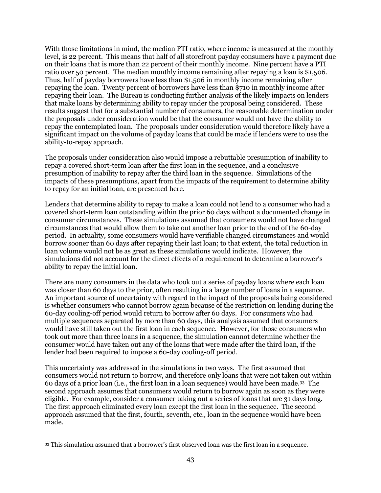With those limitations in mind, the median PTI ratio, where income is measured at the monthly level, is 22 percent. This means that half of all storefront payday consumers have a payment due on their loans that is more than 22 percent of their monthly income. Nine percent have a PTI ratio over 50 percent. The median monthly income remaining after repaying a loan is \$1,506. Thus, half of payday borrowers have less than \$1,506 in monthly income remaining after repaying the loan. Twenty percent of borrowers have less than \$710 in monthly income after repaying their loan. The Bureau is conducting further analysis of the likely impacts on lenders that make loans by determining ability to repay under the proposal being considered. These results suggest that for a substantial number of consumers, the reasonable determination under the proposals under consideration would be that the consumer would not have the ability to repay the contemplated loan. The proposals under consideration would therefore likely have a significant impact on the volume of payday loans that could be made if lenders were to use the ability-to-repay approach.

The proposals under consideration also would impose a rebuttable presumption of inability to repay a covered short-term loan after the first loan in the sequence, and a conclusive presumption of inability to repay after the third loan in the sequence. Simulations of the impacts of these presumptions, apart from the impacts of the requirement to determine ability to repay for an initial loan, are presented here.

Lenders that determine ability to repay to make a loan could not lend to a consumer who had a covered short-term loan outstanding within the prior 60 days without a documented change in consumer circumstances. These simulations assumed that consumers would not have changed circumstances that would allow them to take out another loan prior to the end of the 60-day period. In actuality, some consumers would have verifiable changed circumstances and would borrow sooner than 60 days after repaying their last loan; to that extent, the total reduction in loan volume would not be as great as these simulations would indicate. However, the simulations did not account for the direct effects of a requirement to determine a borrower's ability to repay the initial loan.

There are many consumers in the data who took out a series of payday loans where each loan was closer than 60 days to the prior, often resulting in a large number of loans in a sequence. An important source of uncertainty with regard to the impact of the proposals being considered is whether consumers who cannot borrow again because of the restriction on lending during the 60-day cooling-off period would return to borrow after 60 days. For consumers who had multiple sequences separated by more than 60 days, this analysis assumed that consumers would have still taken out the first loan in each sequence. However, for those consumers who took out more than three loans in a sequence, the simulation cannot determine whether the consumer would have taken out any of the loans that were made after the third loan, if the lender had been required to impose a 60-day cooling-off period.

This uncertainty was addressed in the simulations in two ways. The first assumed that consumers would not return to borrow, and therefore only loans that were not taken out within 60 days of a prior loan (i.e., the first loan in a loan sequence) would have been made.<sup>33</sup> The second approach assumes that consumers would return to borrow again as soon as they were eligible. For example, consider a consumer taking out a series of loans that are 31 days long. The first approach eliminated every loan except the first loan in the sequence. The second approach assumed that the first, fourth, seventh, etc., loan in the sequence would have been made.

 $\overline{a}$ 

<sup>33</sup> This simulation assumed that a borrower's first observed loan was the first loan in a sequence.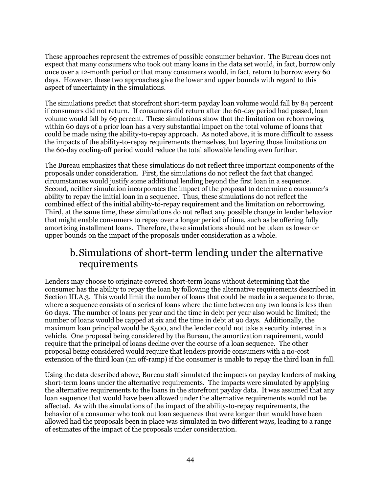These approaches represent the extremes of possible consumer behavior. The Bureau does not expect that many consumers who took out many loans in the data set would, in fact, borrow only once over a 12-month period or that many consumers would, in fact, return to borrow every 60 days. However, these two approaches give the lower and upper bounds with regard to this aspect of uncertainty in the simulations.

The simulations predict that storefront short-term payday loan volume would fall by 84 percent if consumers did not return. If consumers did return after the 60-day period had passed, loan volume would fall by 69 percent. These simulations show that the limitation on reborrowing within 60 days of a prior loan has a very substantial impact on the total volume of loans that could be made using the ability-to-repay approach. As noted above, it is more difficult to assess the impacts of the ability-to-repay requirements themselves, but layering those limitations on the 60-day cooling-off period would reduce the total allowable lending even further.

The Bureau emphasizes that these simulations do not reflect three important components of the proposals under consideration. First, the simulations do not reflect the fact that changed circumstances would justify some additional lending beyond the first loan in a sequence. Second, neither simulation incorporates the impact of the proposal to determine a consumer's ability to repay the initial loan in a sequence. Thus, these simulations do not reflect the combined effect of the initial ability-to-repay requirement and the limitation on reborrowing. Third, at the same time, these simulations do not reflect any possible change in lender behavior that might enable consumers to repay over a longer period of time, such as be offering fully amortizing installment loans. Therefore, these simulations should not be taken as lower or upper bounds on the impact of the proposals under consideration as a whole.

### b.Simulations of short-term lending under the alternative requirements

Lenders may choose to originate covered short-term loans without determining that the consumer has the ability to repay the loan by following the alternative requirements described in Section III.A.3. This would limit the number of loans that could be made in a sequence to three, where a sequence consists of a series of loans where the time between any two loans is less than 60 days. The number of loans per year and the time in debt per year also would be limited; the number of loans would be capped at six and the time in debt at 90 days. Additionally, the maximum loan principal would be \$500, and the lender could not take a security interest in a vehicle. One proposal being considered by the Bureau, the amortization requirement, would require that the principal of loans decline over the course of a loan sequence. The other proposal being considered would require that lenders provide consumers with a no-cost extension of the third loan (an off-ramp) if the consumer is unable to repay the third loan in full.

Using the data described above, Bureau staff simulated the impacts on payday lenders of making short-term loans under the alternative requirements. The impacts were simulated by applying the alternative requirements to the loans in the storefront payday data. It was assumed that any loan sequence that would have been allowed under the alternative requirements would not be affected. As with the simulations of the impact of the ability-to-repay requirements, the behavior of a consumer who took out loan sequences that were longer than would have been allowed had the proposals been in place was simulated in two different ways, leading to a range of estimates of the impact of the proposals under consideration.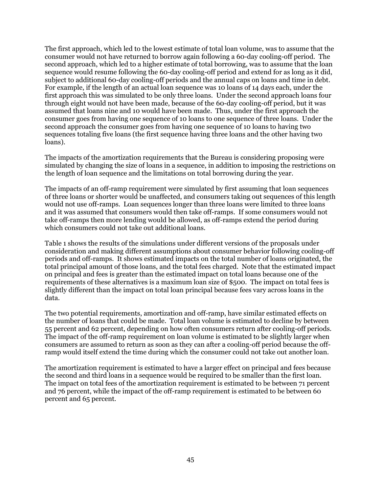The first approach, which led to the lowest estimate of total loan volume, was to assume that the consumer would not have returned to borrow again following a 60-day cooling-off period. The second approach, which led to a higher estimate of total borrowing, was to assume that the loan sequence would resume following the 60-day cooling-off period and extend for as long as it did, subject to additional 60-day cooling-off periods and the annual caps on loans and time in debt. For example, if the length of an actual loan sequence was 10 loans of 14 days each, under the first approach this was simulated to be only three loans. Under the second approach loans four through eight would not have been made, because of the 60-day cooling-off period, but it was assumed that loans nine and 10 would have been made. Thus, under the first approach the consumer goes from having one sequence of 10 loans to one sequence of three loans. Under the second approach the consumer goes from having one sequence of 10 loans to having two sequences totaling five loans (the first sequence having three loans and the other having two loans).

The impacts of the amortization requirements that the Bureau is considering proposing were simulated by changing the size of loans in a sequence, in addition to imposing the restrictions on the length of loan sequence and the limitations on total borrowing during the year.

The impacts of an off-ramp requirement were simulated by first assuming that loan sequences of three loans or shorter would be unaffected, and consumers taking out sequences of this length would not use off-ramps. Loan sequences longer than three loans were limited to three loans and it was assumed that consumers would then take off-ramps. If some consumers would not take off-ramps then more lending would be allowed, as off-ramps extend the period during which consumers could not take out additional loans.

Table 1 shows the results of the simulations under different versions of the proposals under consideration and making different assumptions about consumer behavior following cooling-off periods and off-ramps. It shows estimated impacts on the total number of loans originated, the total principal amount of those loans, and the total fees charged. Note that the estimated impact on principal and fees is greater than the estimated impact on total loans because one of the requirements of these alternatives is a maximum loan size of \$500. The impact on total fees is slightly different than the impact on total loan principal because fees vary across loans in the data.

The two potential requirements, amortization and off-ramp, have similar estimated effects on the number of loans that could be made. Total loan volume is estimated to decline by between 55 percent and 62 percent, depending on how often consumers return after cooling-off periods. The impact of the off-ramp requirement on loan volume is estimated to be slightly larger when consumers are assumed to return as soon as they can after a cooling-off period because the offramp would itself extend the time during which the consumer could not take out another loan.

The amortization requirement is estimated to have a larger effect on principal and fees because the second and third loans in a sequence would be required to be smaller than the first loan. The impact on total fees of the amortization requirement is estimated to be between 71 percent and 76 percent, while the impact of the off-ramp requirement is estimated to be between 60 percent and 65 percent.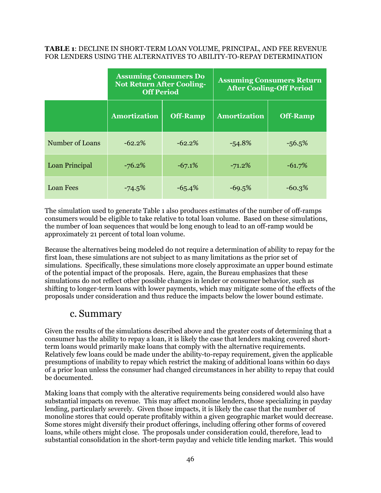#### **TABLE 1**: DECLINE IN SHORT-TERM LOAN VOLUME, PRINCIPAL, AND FEE REVENUE FOR LENDERS USING THE ALTERNATIVES TO ABILITY-TO-REPAY DETERMINATION

|                  | <b>Assuming Consumers Do</b><br><b>Not Return After Cooling-</b><br><b>Off Period</b> |                 | <b>Assuming Consumers Return</b><br><b>After Cooling-Off Period</b> |                 |
|------------------|---------------------------------------------------------------------------------------|-----------------|---------------------------------------------------------------------|-----------------|
|                  | <b>Amortization</b>                                                                   | <b>Off-Ramp</b> | <b>Amortization</b>                                                 | <b>Off-Ramp</b> |
| Number of Loans  | $-62.2%$                                                                              | $-62.2%$        | $-54.8\%$                                                           | $-56.5%$        |
| Loan Principal   | $-76.2%$                                                                              | $-67.1%$        | $-71.2%$                                                            | $-61.7%$        |
| <b>Loan Fees</b> | $-74.5\%$                                                                             | $-65.4%$        | $-69.5%$                                                            | $-60.3%$        |

The simulation used to generate Table 1 also produces estimates of the number of off-ramps consumers would be eligible to take relative to total loan volume. Based on these simulations, the number of loan sequences that would be long enough to lead to an off-ramp would be approximately 21 percent of total loan volume.

Because the alternatives being modeled do not require a determination of ability to repay for the first loan, these simulations are not subject to as many limitations as the prior set of simulations. Specifically, these simulations more closely approximate an upper bound estimate of the potential impact of the proposals. Here, again, the Bureau emphasizes that these simulations do not reflect other possible changes in lender or consumer behavior, such as shifting to longer-term loans with lower payments, which may mitigate some of the effects of the proposals under consideration and thus reduce the impacts below the lower bound estimate.

### c. Summary

Given the results of the simulations described above and the greater costs of determining that a consumer has the ability to repay a loan, it is likely the case that lenders making covered shortterm loans would primarily make loans that comply with the alternative requirements. Relatively few loans could be made under the ability-to-repay requirement, given the applicable presumptions of inability to repay which restrict the making of additional loans within 60 days of a prior loan unless the consumer had changed circumstances in her ability to repay that could be documented.

Making loans that comply with the alterative requirements being considered would also have substantial impacts on revenue. This may affect monoline lenders, those specializing in payday lending, particularly severely. Given those impacts, it is likely the case that the number of monoline stores that could operate profitably within a given geographic market would decrease. Some stores might diversify their product offerings, including offering other forms of covered loans, while others might close. The proposals under consideration could, therefore, lead to substantial consolidation in the short-term payday and vehicle title lending market. This would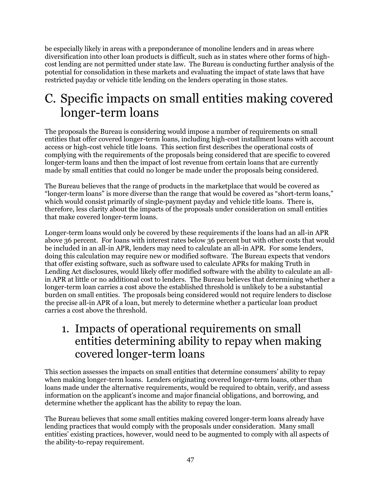be especially likely in areas with a preponderance of monoline lenders and in areas where diversification into other loan products is difficult, such as in states where other forms of highcost lending are not permitted under state law. The Bureau is conducting further analysis of the potential for consolidation in these markets and evaluating the impact of state laws that have restricted payday or vehicle title lending on the lenders operating in those states.

# C. Specific impacts on small entities making covered longer-term loans

The proposals the Bureau is considering would impose a number of requirements on small entities that offer covered longer-term loans, including high-cost installment loans with account access or high-cost vehicle title loans. This section first describes the operational costs of complying with the requirements of the proposals being considered that are specific to covered longer-term loans and then the impact of lost revenue from certain loans that are currently made by small entities that could no longer be made under the proposals being considered.

The Bureau believes that the range of products in the marketplace that would be covered as "longer-term loans" is more diverse than the range that would be covered as "short-term loans," which would consist primarily of single-payment payday and vehicle title loans. There is, therefore, less clarity about the impacts of the proposals under consideration on small entities that make covered longer-term loans.

Longer-term loans would only be covered by these requirements if the loans had an all-in APR above 36 percent. For loans with interest rates below 36 percent but with other costs that would be included in an all-in APR, lenders may need to calculate an all-in APR. For some lenders, doing this calculation may require new or modified software. The Bureau expects that vendors that offer existing software, such as software used to calculate APRs for making Truth in Lending Act disclosures, would likely offer modified software with the ability to calculate an allin APR at little or no additional cost to lenders. The Bureau believes that determining whether a longer-term loan carries a cost above the established threshold is unlikely to be a substantial burden on small entities. The proposals being considered would not require lenders to disclose the precise all-in APR of a loan, but merely to determine whether a particular loan product carries a cost above the threshold.

## 1. Impacts of operational requirements on small entities determining ability to repay when making covered longer-term loans

This section assesses the impacts on small entities that determine consumers' ability to repay when making longer-term loans. Lenders originating covered longer-term loans, other than loans made under the alternative requirements, would be required to obtain, verify, and assess information on the applicant's income and major financial obligations, and borrowing, and determine whether the applicant has the ability to repay the loan.

The Bureau believes that some small entities making covered longer-term loans already have lending practices that would comply with the proposals under consideration. Many small entities' existing practices, however, would need to be augmented to comply with all aspects of the ability-to-repay requirement.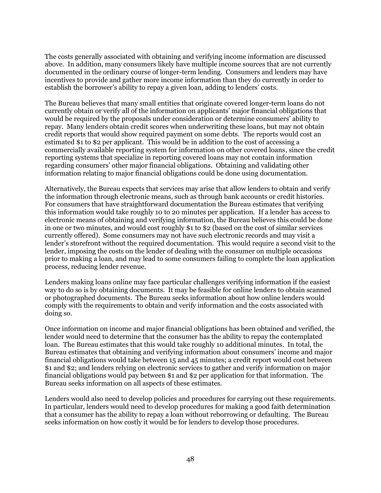The costs generally associated with obtaining and verifying income information are discussed above. In addition, many consumers likely have multiple income sources that are not currently documented in the ordinary course of longer-term lending. Consumers and lenders may have incentives to provide and gather more income information than they do currently in order to establish the borrower's ability to repay a given loan, adding to lenders' costs.

The Bureau believes that many small entities that originate covered longer-term loans do not currently obtain or verify all of the information on applicants' major financial obligations that would be required by the proposals under consideration or determine consumers' ability to repay. Many lenders obtain credit scores when underwriting these loans, but may not obtain credit reports that would show required payment on some debts. The reports would cost an estimated \$1 to \$2 per applicant. This would be in addition to the cost of accessing a commercially available reporting system for information on other covered loans, since the credit reporting systems that specialize in reporting covered loans may not contain information regarding consumers' other major financial obligations. Obtaining and validating other information relating to major financial obligations could be done using documentation.

Alternatively, the Bureau expects that services may arise that allow lenders to obtain and verify the information through electronic means, such as through bank accounts or credit histories. For consumers that have straightforward documentation the Bureau estimates that verifying this information would take roughly 10 to 20 minutes per application. If a lender has access to electronic means of obtaining and verifying information, the Bureau believes this could be done in one or two minutes, and would cost roughly \$1 to \$2 (based on the cost of similar services currently offered). Some consumers may not have such electronic records and may visit a lender's storefront without the required documentation. This would require a second visit to the lender, imposing the costs on the lender of dealing with the consumer on multiple occasions prior to making a loan, and may lead to some consumers failing to complete the loan application process, reducing lender revenue.

Lenders making loans online may face particular challenges verifying information if the easiest way to do so is by obtaining documents. It may be feasible for online lenders to obtain scanned or photographed documents. The Bureau seeks information about how online lenders would comply with the requirements to obtain and verify information and the costs associated with doing so.

Once information on income and major financial obligations has been obtained and verified, the lender would need to determine that the consumer has the ability to repay the contemplated loan. The Bureau estimates that this would take roughly 10 additional minutes. In total, the Bureau estimates that obtaining and verifying information about consumers' income and major financial obligations would take between 15 and 45 minutes; a credit report would cost between \$1 and \$2; and lenders relying on electronic services to gather and verify information on major financial obligations would pay between \$1 and \$2 per application for that information. The Bureau seeks information on all aspects of these estimates.

Lenders would also need to develop policies and procedures for carrying out these requirements. In particular, lenders would need to develop procedures for making a good faith determination that a consumer has the ability to repay a loan without reborrowing or defaulting. The Bureau seeks information on how costly it would be for lenders to develop those procedures.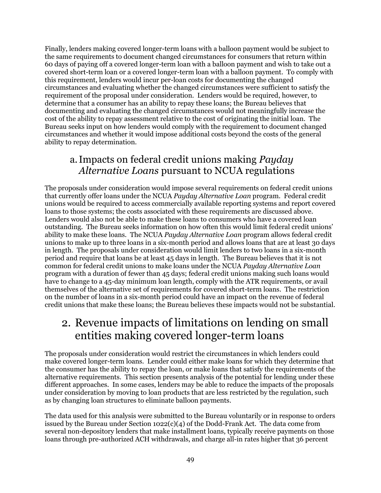Finally, lenders making covered longer-term loans with a balloon payment would be subject to the same requirements to document changed circumstances for consumers that return within 60 days of paying off a covered longer-term loan with a balloon payment and wish to take out a covered short-term loan or a covered longer-term loan with a balloon payment. To comply with this requirement, lenders would incur per-loan costs for documenting the changed circumstances and evaluating whether the changed circumstances were sufficient to satisfy the requirement of the proposal under consideration. Lenders would be required, however, to determine that a consumer has an ability to repay these loans; the Bureau believes that documenting and evaluating the changed circumstances would not meaningfully increase the cost of the ability to repay assessment relative to the cost of originating the initial loan. The Bureau seeks input on how lenders would comply with the requirement to document changed circumstances and whether it would impose additional costs beyond the costs of the general ability to repay determination.

### a.Impacts on federal credit unions making *Payday Alternative Loans* pursuant to NCUA regulations

The proposals under consideration would impose several requirements on federal credit unions that currently offer loans under the NCUA *Payday Alternative Loan* program. Federal credit unions would be required to access commercially available reporting systems and report covered loans to those systems; the costs associated with these requirements are discussed above. Lenders would also not be able to make these loans to consumers who have a covered loan outstanding. The Bureau seeks information on how often this would limit federal credit unions' ability to make these loans. The NCUA *Payday Alternative Loan* program allows federal credit unions to make up to three loans in a six-month period and allows loans that are at least 30 days in length. The proposals under consideration would limit lenders to two loans in a six-month period and require that loans be at least 45 days in length. The Bureau believes that it is not common for federal credit unions to make loans under the NCUA *Payday Alternative Loan* program with a duration of fewer than 45 days; federal credit unions making such loans would have to change to a 45-day minimum loan length, comply with the ATR requirements, or avail themselves of the alternative set of requirements for covered short-term loans. The restriction on the number of loans in a six-month period could have an impact on the revenue of federal credit unions that make these loans; the Bureau believes these impacts would not be substantial.

## 2. Revenue impacts of limitations on lending on small entities making covered longer-term loans

The proposals under consideration would restrict the circumstances in which lenders could make covered longer-term loans. Lender could either make loans for which they determine that the consumer has the ability to repay the loan, or make loans that satisfy the requirements of the alternative requirements. This section presents analysis of the potential for lending under these different approaches. In some cases, lenders may be able to reduce the impacts of the proposals under consideration by moving to loan products that are less restricted by the regulation, such as by changing loan structures to eliminate balloon payments.

The data used for this analysis were submitted to the Bureau voluntarily or in response to orders issued by the Bureau under Section  $1022(c)(4)$  of the Dodd-Frank Act. The data come from several non-depository lenders that make installment loans, typically receive payments on those loans through pre-authorized ACH withdrawals, and charge all-in rates higher that 36 percent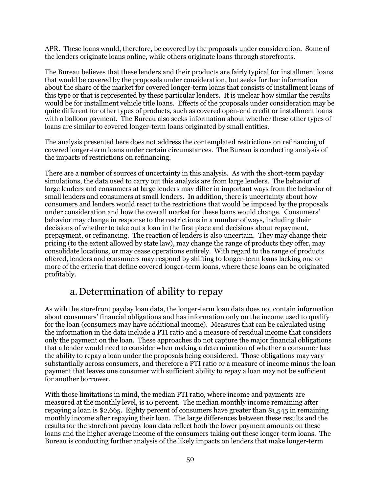APR. These loans would, therefore, be covered by the proposals under consideration. Some of the lenders originate loans online, while others originate loans through storefronts.

The Bureau believes that these lenders and their products are fairly typical for installment loans that would be covered by the proposals under consideration, but seeks further information about the share of the market for covered longer-term loans that consists of installment loans of this type or that is represented by these particular lenders. It is unclear how similar the results would be for installment vehicle title loans. Effects of the proposals under consideration may be quite different for other types of products, such as covered open-end credit or installment loans with a balloon payment. The Bureau also seeks information about whether these other types of loans are similar to covered longer-term loans originated by small entities.

The analysis presented here does not address the contemplated restrictions on refinancing of covered longer-term loans under certain circumstances. The Bureau is conducting analysis of the impacts of restrictions on refinancing.

There are a number of sources of uncertainty in this analysis. As with the short-term payday simulations, the data used to carry out this analysis are from large lenders. The behavior of large lenders and consumers at large lenders may differ in important ways from the behavior of small lenders and c0nsumers at small lenders. In addition, there is uncertainty about how consumers and lenders would react to the restrictions that would be imposed by the proposals under consideration and how the overall market for these loans would change. Consumers' behavior may change in response to the restrictions in a number of ways, including their decisions of whether to take out a loan in the first place and decisions about repayment, prepayment, or refinancing. The reaction of lenders is also uncertain. They may change their pricing (to the extent allowed by state law), may change the range of products they offer, may consolidate locations, or may cease operations entirely. With regard to the range of products offered, lenders and consumers may respond by shifting to longer-term loans lacking one or more of the criteria that define covered longer-term loans, where these loans can be originated profitably.

### a.Determination of ability to repay

As with the storefront payday loan data, the longer-term loan data does not contain information about consumers' financial obligations and has information only on the income used to qualify for the loan (consumers may have additional income). Measures that can be calculated using the information in the data include a PTI ratio and a measure of residual income that considers only the payment on the loan. These approaches do not capture the major financial obligations that a lender would need to consider when making a determination of whether a consumer has the ability to repay a loan under the proposals being considered. Those obligations may vary substantially across consumers, and therefore a PTI ratio or a measure of income minus the loan payment that leaves one consumer with sufficient ability to repay a loan may not be sufficient for another borrower.

With those limitations in mind, the median PTI ratio, where income and payments are measured at the monthly level, is 10 percent. The median monthly income remaining after repaying a loan is \$2,665. Eighty percent of consumers have greater than \$1,545 in remaining monthly income after repaying their loan. The large differences between these results and the results for the storefront payday loan data reflect both the lower payment amounts on these loans and the higher average income of the consumers taking out these longer-term loans. The Bureau is conducting further analysis of the likely impacts on lenders that make longer-term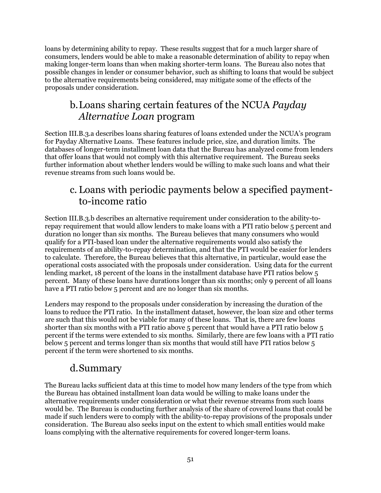loans by determining ability to repay. These results suggest that for a much larger share of consumers, lenders would be able to make a reasonable determination of ability to repay when making longer-term loans than when making shorter-term loans. The Bureau also notes that possible changes in lender or consumer behavior, such as shifting to loans that would be subject to the alternative requirements being considered, may mitigate some of the effects of the proposals under consideration.

## b.Loans sharing certain features of the NCUA *Payday Alternative Loan* program

Section III.B.3.a describes loans sharing features of loans extended under the NCUA's program for Payday Alternative Loans. These features include price, size, and duration limits. The databases of longer-term installment loan data that the Bureau has analyzed come from lenders that offer loans that would not comply with this alternative requirement. The Bureau seeks further information about whether lenders would be willing to make such loans and what their revenue streams from such loans would be.

### c. Loans with periodic payments below a specified paymentto-income ratio

Section III.B.3.b describes an alternative requirement under consideration to the ability-torepay requirement that would allow lenders to make loans with a PTI ratio below 5 percent and duration no longer than six months. The Bureau believes that many consumers who would qualify for a PTI-based loan under the alternative requirements would also satisfy the requirements of an ability-to-repay determination, and that the PTI would be easier for lenders to calculate. Therefore, the Bureau believes that this alternative, in particular, would ease the operational costs associated with the proposals under consideration. Using data for the current lending market, 18 percent of the loans in the installment database have PTI ratios below 5 percent. Many of these loans have durations longer than six months; only 9 percent of all loans have a PTI ratio below 5 percent and are no longer than six months.

Lenders may respond to the proposals under consideration by increasing the duration of the loans to reduce the PTI ratio. In the installment dataset, however, the loan size and other terms are such that this would not be viable for many of these loans. That is, there are few loans shorter than six months with a PTI ratio above 5 percent that would have a PTI ratio below 5 percent if the terms were extended to six months. Similarly, there are few loans with a PTI ratio below 5 percent and terms longer than six months that would still have PTI ratios below 5 percent if the term were shortened to six months.

## d.Summary

The Bureau lacks sufficient data at this time to model how many lenders of the type from which the Bureau has obtained installment loan data would be willing to make loans under the alternative requirements under consideration or what their revenue streams from such loans would be. The Bureau is conducting further analysis of the share of covered loans that could be made if such lenders were to comply with the ability-to-repay provisions of the proposals under consideration. The Bureau also seeks input on the extent to which small entities would make loans complying with the alternative requirements for covered longer-term loans.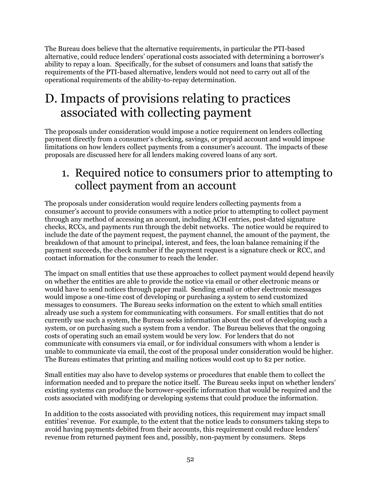The Bureau does believe that the alternative requirements, in particular the PTI-based alternative, could reduce lenders' operational costs associated with determining a borrower's ability to repay a loan. Specifically, for the subset of consumers and loans that satisfy the requirements of the PTI-based alternative, lenders would not need to carry out all of the operational requirements of the ability-to-repay determination.

# D. Impacts of provisions relating to practices associated with collecting payment

The proposals under consideration would impose a notice requirement on lenders collecting payment directly from a consumer's checking, savings, or prepaid account and would impose limitations on how lenders collect payments from a consumer's account. The impacts of these proposals are discussed here for all lenders making covered loans of any sort.

# 1. Required notice to consumers prior to attempting to collect payment from an account

The proposals under consideration would require lenders collecting payments from a consumer's account to provide consumers with a notice prior to attempting to collect payment through any method of accessing an account, including ACH entries, post-dated signature checks, RCCs, and payments run through the debit networks. The notice would be required to include the date of the payment request, the payment channel, the amount of the payment, the breakdown of that amount to principal, interest, and fees, the loan balance remaining if the payment succeeds, the check number if the payment request is a signature check or RCC, and contact information for the consumer to reach the lender.

The impact on small entities that use these approaches to collect payment would depend heavily on whether the entities are able to provide the notice via email or other electronic means or would have to send notices through paper mail. Sending email or other electronic messages would impose a one-time cost of developing or purchasing a system to send customized messages to consumers. The Bureau seeks information on the extent to which small entities already use such a system for communicating with consumers. For small entities that do not currently use such a system, the Bureau seeks information about the cost of developing such a system, or on purchasing such a system from a vendor. The Bureau believes that the ongoing costs of operating such an email system would be very low. For lenders that do not communicate with consumers via email, or for individual consumers with whom a lender is unable to communicate via email, the cost of the proposal under consideration would be higher. The Bureau estimates that printing and mailing notices would cost up to \$2 per notice.

Small entities may also have to develop systems or procedures that enable them to collect the information needed and to prepare the notice itself. The Bureau seeks input on whether lenders' existing systems can produce the borrower-specific information that would be required and the costs associated with modifying or developing systems that could produce the information.

In addition to the costs associated with providing notices, this requirement may impact small entities' revenue. For example, to the extent that the notice leads to consumers taking steps to avoid having payments debited from their accounts, this requirement could reduce lenders' revenue from returned payment fees and, possibly, non-payment by consumers. Steps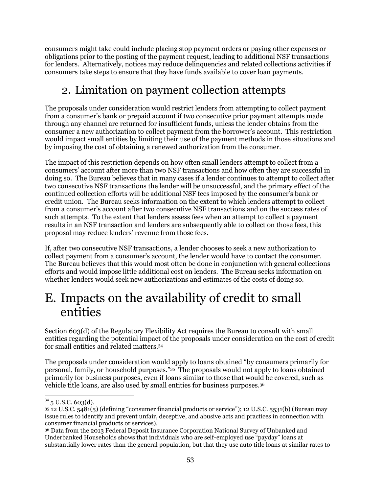consumers might take could include placing stop payment orders or paying other expenses or obligations prior to the posting of the payment request, leading to additional NSF transactions for lenders. Alternatively, notices may reduce delinquencies and related collections activities if consumers take steps to ensure that they have funds available to cover loan payments.

# 2. Limitation on payment collection attempts

The proposals under consideration would restrict lenders from attempting to collect payment from a consumer's bank or prepaid account if two consecutive prior payment attempts made through any channel are returned for insufficient funds, unless the lender obtains from the consumer a new authorization to collect payment from the borrower's account. This restriction would impact small entities by limiting their use of the payment methods in those situations and by imposing the cost of obtaining a renewed authorization from the consumer.

The impact of this restriction depends on how often small lenders attempt to collect from a consumers' account after more than two NSF transactions and how often they are successful in doing so. The Bureau believes that in many cases if a lender continues to attempt to collect after two consecutive NSF transactions the lender will be unsuccessful, and the primary effect of the continued collection efforts will be additional NSF fees imposed by the consumer's bank or credit union. The Bureau seeks information on the extent to which lenders attempt to collect from a consumer's account after two consecutive NSF transactions and on the success rates of such attempts. To the extent that lenders assess fees when an attempt to collect a payment results in an NSF transaction and lenders are subsequently able to collect on those fees, this proposal may reduce lenders' revenue from those fees.

If, after two consecutive NSF transactions, a lender chooses to seek a new authorization to collect payment from a consumer's account, the lender would have to contact the consumer. The Bureau believes that this would most often be done in conjunction with general collections efforts and would impose little additional cost on lenders. The Bureau seeks information on whether lenders would seek new authorizations and estimates of the costs of doing so.

# E. Impacts on the availability of credit to small entities

Section 603(d) of the Regulatory Flexibility Act requires the Bureau to consult with small entities regarding the potential impact of the proposals under consideration on the cost of credit for small entities and related matters.<sup>34</sup>

The proposals under consideration would apply to loans obtained "by consumers primarily for personal, family, or household purposes." 35 The proposals would not apply to loans obtained primarily for business purposes, even if loans similar to those that would be covered, such as vehicle title loans, are also used by small entities for business purposes. 36

 $\overline{a}$  $34$  5 U.S.C. 603(d).

<sup>35</sup> 12 U.S.C. 5481(5) (defining "consumer financial products or service"); 12 U.S.C. 5531(b) (Bureau may issue rules to identify and prevent unfair, deceptive, and abusive acts and practices in connection with consumer financial products or services).

<sup>36</sup> Data from the 2013 Federal Deposit Insurance Corporation National Survey of Unbanked and Underbanked Households shows that individuals who are self-employed use "payday" loans at substantially lower rates than the general population, but that they use auto title loans at similar rates to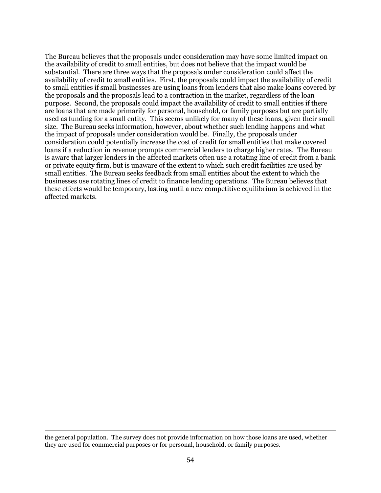The Bureau believes that the proposals under consideration may have some limited impact on the availability of credit to small entities, but does not believe that the impact would be substantial. There are three ways that the proposals under consideration could affect the availability of credit to small entities. First, the proposals could impact the availability of credit to small entities if small businesses are using loans from lenders that also make loans covered by the proposals and the proposals lead to a contraction in the market, regardless of the loan purpose. Second, the proposals could impact the availability of credit to small entities if there are loans that are made primarily for personal, household, or family purposes but are partially used as funding for a small entity. This seems unlikely for many of these loans, given their small size. The Bureau seeks information, however, about whether such lending happens and what the impact of proposals under consideration would be. Finally, the proposals under consideration could potentially increase the cost of credit for small entities that make covered loans if a reduction in revenue prompts commercial lenders to charge higher rates. The Bureau is aware that larger lenders in the affected markets often use a rotating line of credit from a bank or private equity firm, but is unaware of the extent to which such credit facilities are used by small entities. The Bureau seeks feedback from small entities about the extent to which the businesses use rotating lines of credit to finance lending operations. The Bureau believes that these effects would be temporary, lasting until a new competitive equilibrium is achieved in the affected markets.

 $\overline{a}$ 

the general population. The survey does not provide information on how those loans are used, whether they are used for commercial purposes or for personal, household, or family purposes.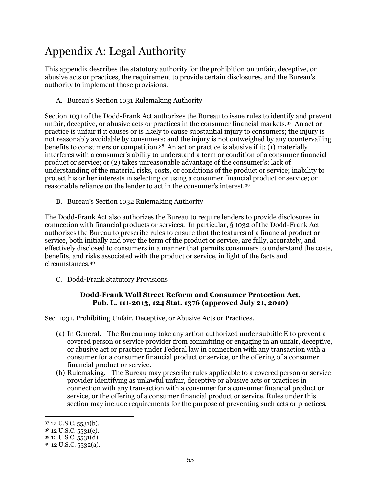# Appendix A: Legal Authority

This appendix describes the statutory authority for the prohibition on unfair, deceptive, or abusive acts or practices, the requirement to provide certain disclosures, and the Bureau's authority to implement those provisions.

A. Bureau's Section 1031 Rulemaking Authority

Section 1031 of the Dodd-Frank Act authorizes the Bureau to issue rules to identify and prevent unfair, deceptive, or abusive acts or practices in the consumer financial markets.<sup>37</sup> An act or practice is unfair if it causes or is likely to cause substantial injury to consumers; the injury is not reasonably avoidable by consumers; and the injury is not outweighed by any countervailing benefits to consumers or competition.38 An act or practice is abusive if it: (1) materially interferes with a consumer's ability to understand a term or condition of a consumer financial product or service; or (2) takes unreasonable advantage of the consumer's: lack of understanding of the material risks, costs, or conditions of the product or service; inability to protect his or her interests in selecting or using a consumer financial product or service; or reasonable reliance on the lender to act in the consumer's interest.<sup>39</sup>

B. Bureau's Section 1032 Rulemaking Authority

The Dodd-Frank Act also authorizes the Bureau to require lenders to provide disclosures in connection with financial products or services. In particular, § 1032 of the Dodd-Frank Act authorizes the Bureau to prescribe rules to ensure that the features of a financial product or service, both initially and over the term of the product or service, are fully, accurately, and effectively disclosed to consumers in a manner that permits consumers to understand the costs, benefits, and risks associated with the product or service, in light of the facts and circumstances.<sup>40</sup>

C. Dodd-Frank Statutory Provisions

#### **Dodd-Frank Wall Street Reform and Consumer Protection Act, Pub. L. 111-2013, 124 Stat. 1376 (approved July 21, 2010)**

Sec. 1031. Prohibiting Unfair, Deceptive, or Abusive Acts or Practices.

- (a) In General.—The Bureau may take any action authorized under subtitle E to prevent a covered person or service provider from committing or engaging in an unfair, deceptive, or abusive act or practice under Federal law in connection with any transaction with a consumer for a consumer financial product or service, or the offering of a consumer financial product or service.
- (b) Rulemaking.—The Bureau may prescribe rules applicable to a covered person or service provider identifying as unlawful unfair, deceptive or abusive acts or practices in connection with any transaction with a consumer for a consumer financial product or service, or the offering of a consumer financial product or service. Rules under this section may include requirements for the purpose of preventing such acts or practices.

 $\overline{a}$ 

<sup>37</sup> 12 U.S.C. 5531(b).

<sup>38</sup> 12 U.S.C. 5531(c).

<sup>39</sup> 12 U.S.C. 5531(d).

<sup>40</sup> 12 U.S.C. 5532(a).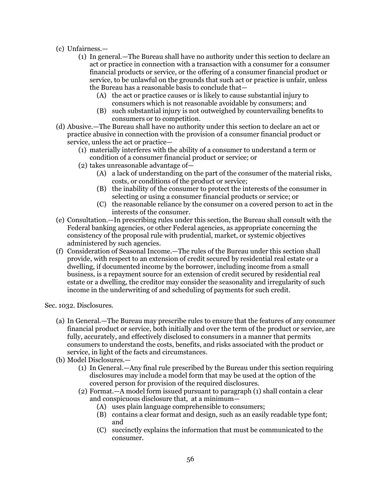- (c) Unfairness.—
	- (1) In general.—The Bureau shall have no authority under this section to declare an act or practice in connection with a transaction with a consumer for a consumer financial products or service, or the offering of a consumer financial product or service, to be unlawful on the grounds that such act or practice is unfair, unless the Bureau has a reasonable basis to conclude that—
		- (A) the act or practice causes or is likely to cause substantial injury to consumers which is not reasonable avoidable by consumers; and
		- (B) such substantial injury is not outweighed by countervailing benefits to consumers or to competition.
- (d) Abusive.—The Bureau shall have no authority under this section to declare an act or practice abusive in connection with the provision of a consumer financial product or service, unless the act or practice—
	- (1) materially interferes with the ability of a consumer to understand a term or condition of a consumer financial product or service; or
	- (2) takes unreasonable advantage of—
		- (A) a lack of understanding on the part of the consumer of the material risks, costs, or conditions of the product or service;
		- (B) the inability of the consumer to protect the interests of the consumer in selecting or using a consumer financial products or service; or
		- (C) the reasonable reliance by the consumer on a covered person to act in the interests of the consumer.
- (e) Consultation.—In prescribing rules under this section, the Bureau shall consult with the Federal banking agencies, or other Federal agencies, as appropriate concerning the consistency of the proposal rule with prudential, market, or systemic objectives administered by such agencies.
- (f) Consideration of Seasonal Income.—The rules of the Bureau under this section shall provide, with respect to an extension of credit secured by residential real estate or a dwelling, if documented income by the borrower, including income from a small business, is a repayment source for an extension of credit secured by residential real estate or a dwelling, the creditor may consider the seasonality and irregularity of such income in the underwriting of and scheduling of payments for such credit.

Sec. 1032. Disclosures.

- (a) In General.—The Bureau may prescribe rules to ensure that the features of any consumer financial product or service, both initially and over the term of the product or service, are fully, accurately, and effectively disclosed to consumers in a manner that permits consumers to understand the costs, benefits, and risks associated with the product or service, in light of the facts and circumstances.
- (b) Model Disclosures.—
	- (1) In General.—Any final rule prescribed by the Bureau under this section requiring disclosures may include a model form that may be used at the option of the covered person for provision of the required disclosures.
	- (2) Format.—A model form issued pursuant to paragraph (1) shall contain a clear and conspicuous disclosure that, at a minimum—
		- (A) uses plain language comprehensible to consumers;
		- (B) contains a clear format and design, such as an easily readable type font; and
		- (C) succinctly explains the information that must be communicated to the consumer.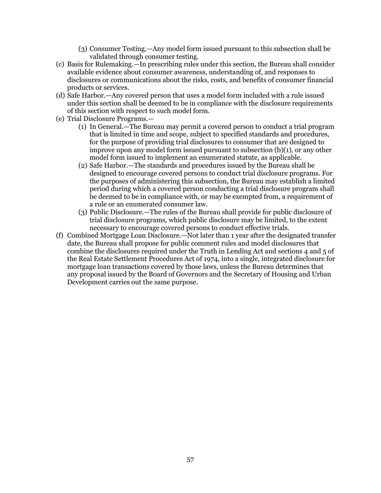- (3) Consumer Testing.—Any model form issued pursuant to this subsection shall be validated through consumer testing.
- (c) Basis for Rulemaking.—In prescribing rules under this section, the Bureau shall consider available evidence about consumer awareness, understanding of, and responses to disclosures or communications about the risks, costs, and benefits of consumer financial products or services.
- (d) Safe Harbor.—Any covered person that uses a model form included with a rule issued under this section shall be deemed to be in compliance with the disclosure requirements of this section with respect to such model form.
- (e) Trial Disclosure Programs.—
	- (1) In General.—The Bureau may permit a covered person to conduct a trial program that is limited in time and scope, subject to specified standards and procedures, for the purpose of providing trial disclosures to consumer that are designed to improve upon any model form issued pursuant to subsection  $(b)(1)$ , or any other model form issued to implement an enumerated statute, as applicable.
	- (2) Safe Harbor.—The standards and procedures issued by the Bureau shall be designed to encourage covered persons to conduct trial disclosure programs. For the purposes of administering this subsection, the Bureau may establish a limited period during which a covered person conducting a trial disclosure program shall be deemed to be in compliance with, or may be exempted from, a requirement of a rule or an enumerated consumer law.
	- (3) Public Disclosure.—The rules of the Bureau shall provide for public disclosure of trial disclosure programs, which public disclosure may be limited, to the extent necessary to encourage covered persons to conduct effective trials.
- (f) Combined Mortgage Loan Disclosure.—Not later than 1 year after the designated transfer date, the Bureau shall propose for public comment rules and model disclosures that combine the disclosures required under the Truth in Lending Act and sections 4 and 5 of the Real Estate Settlement Procedures Act of 1974, into a single, integrated disclosure for mortgage loan transactions covered by those laws, unless the Bureau determines that any proposal issued by the Board of Governors and the Secretary of Housing and Urban Development carries out the same purpose.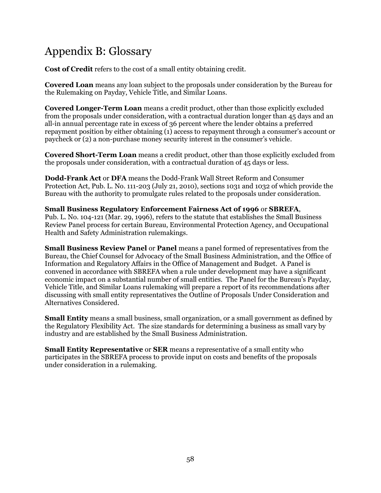# Appendix B: Glossary

**Cost of Credit** refers to the cost of a small entity obtaining credit.

**Covered Loan** means any loan subject to the proposals under consideration by the Bureau for the Rulemaking on Payday, Vehicle Title, and Similar Loans.

**Covered Longer-Term Loan** means a credit product, other than those explicitly excluded from the proposals under consideration, with a contractual duration longer than 45 days and an all-in annual percentage rate in excess of 36 percent where the lender obtains a preferred repayment position by either obtaining (1) access to repayment through a consumer's account or paycheck or (2) a non-purchase money security interest in the consumer's vehicle.

**Covered Short-Term Loan** means a credit product, other than those explicitly excluded from the proposals under consideration, with a contractual duration of 45 days or less.

**Dodd-Frank Act** or **DFA** means the Dodd-Frank Wall Street Reform and Consumer Protection Act, Pub. L. No. 111-203 (July 21, 2010), sections 1031 and 1032 of which provide the Bureau with the authority to promulgate rules related to the proposals under consideration.

#### **Small Business Regulatory Enforcement Fairness Act of 1996** or **SBREFA**,

Pub. L. No. 104-121 (Mar. 29, 1996), refers to the statute that establishes the Small Business Review Panel process for certain Bureau, Environmental Protection Agency, and Occupational Health and Safety Administration rulemakings.

**Small Business Review Panel** or **Panel** means a panel formed of representatives from the Bureau, the Chief Counsel for Advocacy of the Small Business Administration, and the Office of Information and Regulatory Affairs in the Office of Management and Budget. A Panel is convened in accordance with SBREFA when a rule under development may have a significant economic impact on a substantial number of small entities. The Panel for the Bureau's Payday, Vehicle Title, and Similar Loans rulemaking will prepare a report of its recommendations after discussing with small entity representatives the Outline of Proposals Under Consideration and Alternatives Considered.

**Small Entity** means a small business, small organization, or a small government as defined by the Regulatory Flexibility Act. The size standards for determining a business as small vary by industry and are established by the Small Business Administration.

**Small Entity Representative** or **SER** means a representative of a small entity who participates in the SBREFA process to provide input on costs and benefits of the proposals under consideration in a rulemaking.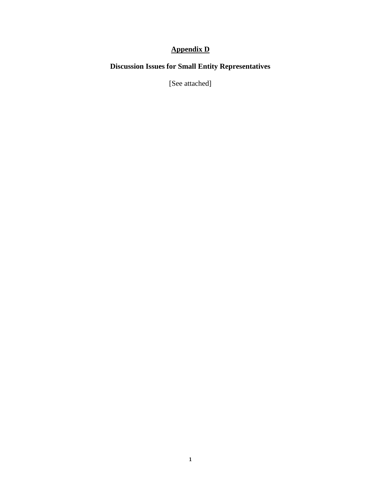### **Appendix D**

### **Discussion Issues for Small Entity Representatives**

[See attached]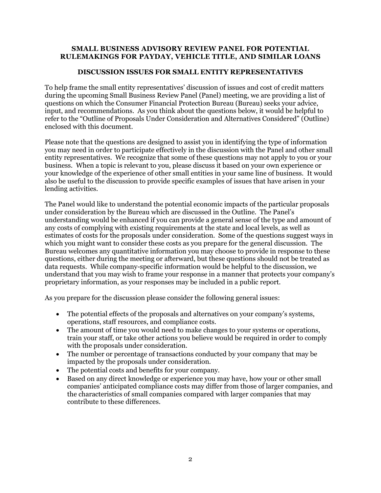#### **SMALL BUSINESS ADVISORY REVIEW PANEL FOR POTENTIAL RULEMAKINGS FOR PAYDAY, VEHICLE TITLE, AND SIMILAR LOANS**

#### **DISCUSSION ISSUES FOR SMALL ENTITY REPRESENTATIVES**

To help frame the small entity representatives' discussion of issues and cost of credit matters during the upcoming Small Business Review Panel (Panel) meeting, we are providing a list of questions on which the Consumer Financial Protection Bureau (Bureau) seeks your advice, input, and recommendations. As you think about the questions below, it would be helpful to refer to the "Outline of Proposals Under Consideration and Alternatives Considered" (Outline) enclosed with this document.

Please note that the questions are designed to assist you in identifying the type of information you may need in order to participate effectively in the discussion with the Panel and other small entity representatives. We recognize that some of these questions may not apply to you or your business. When a topic is relevant to you, please discuss it based on your own experience or your knowledge of the experience of other small entities in your same line of business. It would also be useful to the discussion to provide specific examples of issues that have arisen in your lending activities.

The Panel would like to understand the potential economic impacts of the particular proposals under consideration by the Bureau which are discussed in the Outline. The Panel's understanding would be enhanced if you can provide a general sense of the type and amount of any costs of complying with existing requirements at the state and local levels, as well as estimates of costs for the proposals under consideration. Some of the questions suggest ways in which you might want to consider these costs as you prepare for the general discussion. The Bureau welcomes any quantitative information you may choose to provide in response to these questions, either during the meeting or afterward, but these questions should not be treated as data requests. While company-specific information would be helpful to the discussion, we understand that you may wish to frame your response in a manner that protects your company's proprietary information, as your responses may be included in a public report.

As you prepare for the discussion please consider the following general issues:

- The potential effects of the proposals and alternatives on your company's systems, operations, staff resources, and compliance costs.
- The amount of time you would need to make changes to your systems or operations, train your staff, or take other actions you believe would be required in order to comply with the proposals under consideration.
- The number or percentage of transactions conducted by your company that may be impacted by the proposals under consideration.
- The potential costs and benefits for your company.
- Based on any direct knowledge or experience you may have, how your or other small companies' anticipated compliance costs may differ from those of larger companies, and the characteristics of small companies compared with larger companies that may contribute to these differences.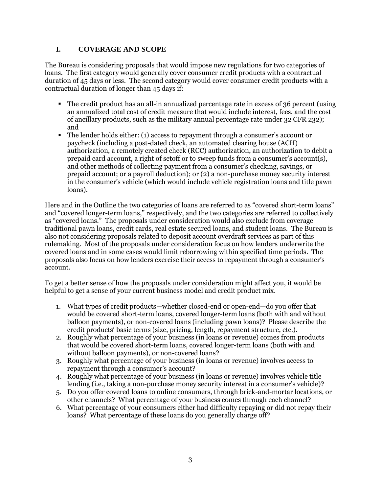#### **I. COVERAGE AND SCOPE**

The Bureau is considering proposals that would impose new regulations for two categories of loans. The first category would generally cover consumer credit products with a contractual duration of 45 days or less. The second category would cover consumer credit products with a contractual duration of longer than 45 days if:

- The credit product has an all-in annualized percentage rate in excess of 36 percent (using an annualized total cost of credit measure that would include interest, fees, and the cost of ancillary products, such as the military annual percentage rate under 32 CFR 232); and
- The lender holds either: (1) access to repayment through a consumer's account or paycheck (including a post-dated check, an automated clearing house (ACH) authorization, a remotely created check (RCC) authorization, an authorization to debit a prepaid card account, a right of setoff or to sweep funds from a consumer's account(s), and other methods of collecting payment from a consumer's checking, savings, or prepaid account; or a payroll deduction); or (2) a non-purchase money security interest in the consumer's vehicle (which would include vehicle registration loans and title pawn loans).

Here and in the Outline the two categories of loans are referred to as "covered short-term loans" and "covered longer-term loans," respectively, and the two categories are referred to collectively as "covered loans." The proposals under consideration would also exclude from coverage traditional pawn loans, credit cards, real estate secured loans, and student loans. The Bureau is also not considering proposals related to deposit account overdraft services as part of this rulemaking. Most of the proposals under consideration focus on how lenders underwrite the covered loans and in some cases would limit reborrowing within specified time periods. The proposals also focus on how lenders exercise their access to repayment through a consumer's account.

To get a better sense of how the proposals under consideration might affect you, it would be helpful to get a sense of your current business model and credit product mix.

- 1. What types of credit products—whether closed-end or open-end—do you offer that would be covered short-term loans, covered longer-term loans (both with and without balloon payments), or non-covered loans (including pawn loans)? Please describe the credit products' basic terms (size, pricing, length, repayment structure, etc.).
- 2. Roughly what percentage of your business (in loans or revenue) comes from products that would be covered short-term loans, covered longer-term loans (both with and without balloon payments), or non-covered loans?
- 3. Roughly what percentage of your business (in loans or revenue) involves access to repayment through a consumer's account?
- 4. Roughly what percentage of your business (in loans or revenue) involves vehicle title lending (i.e., taking a non-purchase money security interest in a consumer's vehicle)?
- 5. Do you offer covered loans to online consumers, through brick-and-mortar locations, or other channels? What percentage of your business comes through each channel?
- 6. What percentage of your consumers either had difficulty repaying or did not repay their loans? What percentage of these loans do you generally charge off?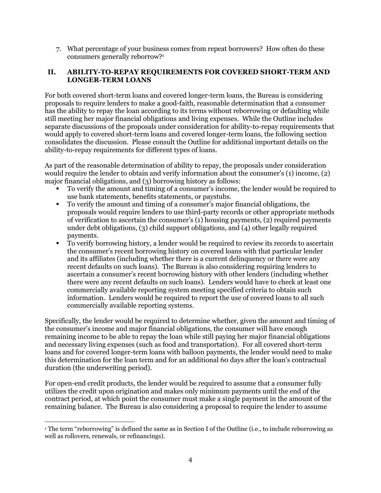7. What percentage of your business comes from repeat borrowers? How often do these consumers generally reborrow?<sup>1</sup>

#### **II. ABILITY-TO-REPAY REQUIREMENTS FOR COVERED SHORT-TERM AND LONGER-TERM LOANS**

For both covered short-term loans and covered longer-term loans, the Bureau is considering proposals to require lenders to make a good-faith, reasonable determination that a consumer has the ability to repay the loan according to its terms without reborrowing or defaulting while still meeting her major financial obligations and living expenses. While the Outline includes separate discussions of the proposals under consideration for ability-to-repay requirements that would apply to covered short-term loans and covered longer-term loans, the following section consolidates the discussion. Please consult the Outline for additional important details on the ability-to-repay requirements for different types of loans.

As part of the reasonable determination of ability to repay, the proposals under consideration would require the lender to obtain and verify information about the consumer's (1) income, (2) major financial obligations, and (3) borrowing history as follows:

- To verify the amount and timing of a consumer's income, the lender would be required to use bank statements, benefits statements, or paystubs.
- To verify the amount and timing of a consumer's major financial obligations, the proposals would require lenders to use third-party records or other appropriate methods of verification to ascertain the consumer's  $(1)$  housing payments,  $(2)$  required payments under debt obligations, (3) child support obligations, and (4) other legally required payments.
- To verify borrowing history, a lender would be required to review its records to ascertain the consumer's recent borrowing history on covered loans with that particular lender and its affiliates (including whether there is a current delinquency or there were any recent defaults on such loans). The Bureau is also considering requiring lenders to ascertain a consumer's recent borrowing history with other lenders (including whether there were any recent defaults on such loans). Lenders would have to check at least one commercially available reporting system meeting specified criteria to obtain such information. Lenders would be required to report the use of covered loans to all such commercially available reporting systems.

Specifically, the lender would be required to determine whether, given the amount and timing of the consumer's income and major financial obligations, the consumer will have enough remaining income to be able to repay the loan while still paying her major financial obligations and necessary living expenses (such as food and transportation). For all covered short-term loans and for covered longer-term loans with balloon payments, the lender would need to make this determination for the loan term and for an additional 60 days after the loan's contractual duration (the underwriting period).

For open-end credit products, the lender would be required to assume that a consumer fully utilizes the credit upon origination and makes only minimum payments until the end of the contract period, at which point the consumer must make a single payment in the amount of the remaining balance. The Bureau is also considering a proposal to require the lender to assume

 $\overline{a}$ <sup>1</sup> The term "reborrowing" is defined the same as in Section I of the Outline (i.e., to include reborrowing as well as rollovers, renewals, or refinancings).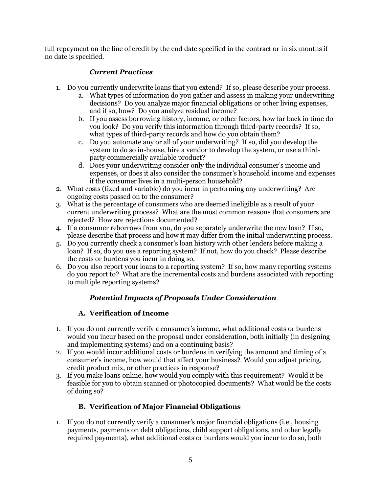full repayment on the line of credit by the end date specified in the contract or in six months if no date is specified.

#### *Current Practices*

- 1. Do you currently underwrite loans that you extend? If so, please describe your process.
	- a. What types of information do you gather and assess in making your underwriting decisions? Do you analyze major financial obligations or other living expenses, and if so, how? Do you analyze residual income?
	- b. If you assess borrowing history, income, or other factors, how far back in time do you look? Do you verify this information through third-party records? If so, what types of third-party records and how do you obtain them?
	- c. Do you automate any or all of your underwriting? If so, did you develop the system to do so in-house, hire a vendor to develop the system, or use a thirdparty commercially available product?
	- d. Does your underwriting consider only the individual consumer's income and expenses, or does it also consider the consumer's household income and expenses if the consumer lives in a multi-person household?
- 2. What costs (fixed and variable) do you incur in performing any underwriting? Are ongoing costs passed on to the consumer?
- 3. What is the percentage of consumers who are deemed ineligible as a result of your current underwriting process? What are the most common reasons that consumers are rejected? How are rejections documented?
- 4. If a consumer reborrows from you, do you separately underwrite the new loan? If so, please describe that process and how it may differ from the initial underwriting process.
- 5. Do you currently check a consumer's loan history with other lenders before making a loan? If so, do you use a reporting system? If not, how do you check? Please describe the costs or burdens you incur in doing so.
- 6. Do you also report your loans to a reporting system? If so, how many reporting systems do you report to? What are the incremental costs and burdens associated with reporting to multiple reporting systems?

### *Potential Impacts of Proposals Under Consideration*

### **A. Verification of Income**

- 1. If you do not currently verify a consumer's income, what additional costs or burdens would you incur based on the proposal under consideration, both initially (in designing and implementing systems) and on a continuing basis?
- 2. If you would incur additional costs or burdens in verifying the amount and timing of a consumer's income, how would that affect your business? Would you adjust pricing, credit product mix, or other practices in response?
- 3. If you make loans online, how would you comply with this requirement? Would it be feasible for you to obtain scanned or photocopied documents? What would be the costs of doing so?

#### **B. Verification of Major Financial Obligations**

1. If you do not currently verify a consumer's major financial obligations (i.e., housing payments, payments on debt obligations, child support obligations, and other legally required payments), what additional costs or burdens would you incur to do so, both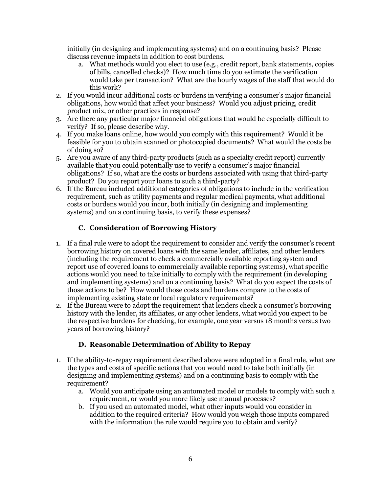initially (in designing and implementing systems) and on a continuing basis? Please discuss revenue impacts in addition to cost burdens.

- a. What methods would you elect to use (e.g., credit report, bank statements, copies of bills, cancelled checks)? How much time do you estimate the verification would take per transaction? What are the hourly wages of the staff that would do this work?
- 2. If you would incur additional costs or burdens in verifying a consumer's major financial obligations, how would that affect your business? Would you adjust pricing, credit product mix, or other practices in response?
- 3. Are there any particular major financial obligations that would be especially difficult to verify? If so, please describe why.
- 4. If you make loans online, how would you comply with this requirement? Would it be feasible for you to obtain scanned or photocopied documents? What would the costs be of doing so?
- 5. Are you aware of any third-party products (such as a specialty credit report) currently available that you could potentially use to verify a consumer's major financial obligations? If so, what are the costs or burdens associated with using that third-party product? Do you report your loans to such a third-party?
- 6. If the Bureau included additional categories of obligations to include in the verification requirement, such as utility payments and regular medical payments, what additional costs or burdens would you incur, both initially (in designing and implementing systems) and on a continuing basis, to verify these expenses?

#### **C. Consideration of Borrowing History**

- 1. If a final rule were to adopt the requirement to consider and verify the consumer's recent borrowing history on covered loans with the same lender, affiliates, and other lenders (including the requirement to check a commercially available reporting system and report use of covered loans to commercially available reporting systems), what specific actions would you need to take initially to comply with the requirement (in developing and implementing systems) and on a continuing basis? What do you expect the costs of those actions to be? How would those costs and burdens compare to the costs of implementing existing state or local regulatory requirements?
- 2. If the Bureau were to adopt the requirement that lenders check a consumer's borrowing history with the lender, its affiliates, or any other lenders, what would you expect to be the respective burdens for checking, for example, one year versus 18 months versus two years of borrowing history?

#### **D. Reasonable Determination of Ability to Repay**

- 1. If the ability-to-repay requirement described above were adopted in a final rule, what are the types and costs of specific actions that you would need to take both initially (in designing and implementing systems) and on a continuing basis to comply with the requirement?
	- a. Would you anticipate using an automated model or models to comply with such a requirement, or would you more likely use manual processes?
	- b. If you used an automated model, what other inputs would you consider in addition to the required criteria? How would you weigh those inputs compared with the information the rule would require you to obtain and verify?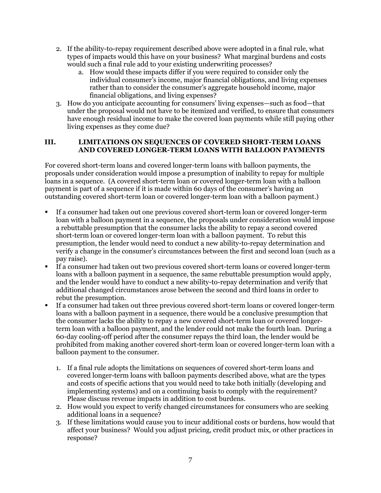- 2. If the ability-to-repay requirement described above were adopted in a final rule, what types of impacts would this have on your business? What marginal burdens and costs would such a final rule add to your existing underwriting processes?
	- a. How would these impacts differ if you were required to consider only the individual consumer's income, major financial obligations, and living expenses rather than to consider the consumer's aggregate household income, major financial obligations, and living expenses?
- 3. How do you anticipate accounting for consumers' living expenses—such as food—that under the proposal would not have to be itemized and verified, to ensure that consumers have enough residual income to make the covered loan payments while still paying other living expenses as they come due?

#### **III. LIMITATIONS ON SEQUENCES OF COVERED SHORT-TERM LOANS AND COVERED LONGER-TERM LOANS WITH BALLOON PAYMENTS**

For covered short-term loans and covered longer-term loans with balloon payments, the proposals under consideration would impose a presumption of inability to repay for multiple loans in a sequence. (A covered short-term loan or covered longer-term loan with a balloon payment is part of a sequence if it is made within 60 days of the consumer's having an outstanding covered short-term loan or covered longer-term loan with a balloon payment.)

- If a consumer had taken out one previous covered short-term loan or covered longer-term loan with a balloon payment in a sequence, the proposals under consideration would impose a rebuttable presumption that the consumer lacks the ability to repay a second covered short-term loan or covered longer-term loan with a balloon payment. To rebut this presumption, the lender would need to conduct a new ability-to-repay determination and verify a change in the consumer's circumstances between the first and second loan (such as a pay raise).
- If a consumer had taken out two previous covered short-term loans or covered longer-term loans with a balloon payment in a sequence, the same rebuttable presumption would apply, and the lender would have to conduct a new ability-to-repay determination and verify that additional changed circumstances arose between the second and third loans in order to rebut the presumption.
- If a consumer had taken out three previous covered short-term loans or covered longer-term loans with a balloon payment in a sequence, there would be a conclusive presumption that the consumer lacks the ability to repay a new covered short-term loan or covered longerterm loan with a balloon payment, and the lender could not make the fourth loan. During a 60-day cooling-off period after the consumer repays the third loan, the lender would be prohibited from making another covered short-term loan or covered longer-term loan with a balloon payment to the consumer.
	- 1. If a final rule adopts the limitations on sequences of covered short-term loans and covered longer-term loans with balloon payments described above, what are the types and costs of specific actions that you would need to take both initially (developing and implementing systems) and on a continuing basis to comply with the requirement? Please discuss revenue impacts in addition to cost burdens.
	- 2. How would you expect to verify changed circumstances for consumers who are seeking additional loans in a sequence?
	- 3. If these limitations would cause you to incur additional costs or burdens, how would that affect your business? Would you adjust pricing, credit product mix, or other practices in response?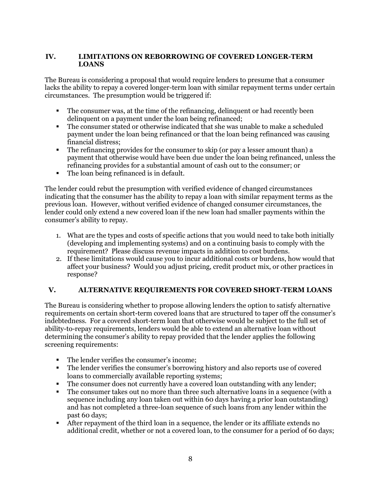#### **IV. LIMITATIONS ON REBORROWING OF COVERED LONGER-TERM LOANS**

The Bureau is considering a proposal that would require lenders to presume that a consumer lacks the ability to repay a covered longer-term loan with similar repayment terms under certain circumstances. The presumption would be triggered if:

- The consumer was, at the time of the refinancing, delinquent or had recently been delinquent on a payment under the loan being refinanced;
- The consumer stated or otherwise indicated that she was unable to make a scheduled payment under the loan being refinanced or that the loan being refinanced was causing financial distress;
- The refinancing provides for the consumer to skip (or pay a lesser amount than) a payment that otherwise would have been due under the loan being refinanced, unless the refinancing provides for a substantial amount of cash out to the consumer; or
- The loan being refinanced is in default.

The lender could rebut the presumption with verified evidence of changed circumstances indicating that the consumer has the ability to repay a loan with similar repayment terms as the previous loan. However, without verified evidence of changed consumer circumstances, the lender could only extend a new covered loan if the new loan had smaller payments within the consumer's ability to repay.

- 1. What are the types and costs of specific actions that you would need to take both initially (developing and implementing systems) and on a continuing basis to comply with the requirement? Please discuss revenue impacts in addition to cost burdens.
- 2. If these limitations would cause you to incur additional costs or burdens, how would that affect your business? Would you adjust pricing, credit product mix, or other practices in response?

#### **V. ALTERNATIVE REQUIREMENTS FOR COVERED SHORT-TERM LOANS**

The Bureau is considering whether to propose allowing lenders the option to satisfy alternative requirements on certain short-term covered loans that are structured to taper off the consumer's indebtedness. For a covered short-term loan that otherwise would be subject to the full set of ability-to-repay requirements, lenders would be able to extend an alternative loan without determining the consumer's ability to repay provided that the lender applies the following screening requirements:

- The lender verifies the consumer's income;
- The lender verifies the consumer's borrowing history and also reports use of covered loans to commercially available reporting systems;
- The consumer does not currently have a covered loan outstanding with any lender;
- The consumer takes out no more than three such alternative loans in a sequence (with a sequence including any loan taken out within 60 days having a prior loan outstanding) and has not completed a three-loan sequence of such loans from any lender within the past 60 days;
- After repayment of the third loan in a sequence, the lender or its affiliate extends no additional credit, whether or not a covered loan, to the consumer for a period of 60 days;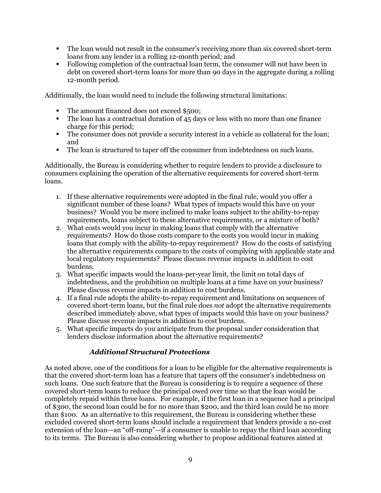- The loan would not result in the consumer's receiving more than six covered short-term loans from any lender in a rolling 12-month period; and
- Following completion of the contractual loan term, the consumer will not have been in debt on covered short-term loans for more than 90 days in the aggregate during a rolling 12-month period.

Additionally, the loan would need to include the following structural limitations:

- The amount financed does not exceed \$500;
- The loan has a contractual duration of 45 days or less with no more than one finance charge for this period;
- The consumer does not provide a security interest in a vehicle as collateral for the loan; and
- The loan is structured to taper off the consumer from indebtedness on such loans.

Additionally, the Bureau is considering whether to require lenders to provide a disclosure to consumers explaining the operation of the alternative requirements for covered short-term loans.

- 1. If these alternative requirements were adopted in the final rule, would you offer a significant number of these loans? What types of impacts would this have on your business? Would you be more inclined to make loans subject to the ability-to-repay requirements, loans subject to these alternative requirements, or a mixture of both?
- 2. What costs would you incur in making loans that comply with the alternative requirements? How do those costs compare to the costs you would incur in making loans that comply with the ability-to-repay requirement? How do the costs of satisfying the alternative requirements compare to the costs of complying with applicable state and local regulatory requirements? Please discuss revenue impacts in addition to cost burdens.
- 3. What specific impacts would the loans-per-year limit, the limit on total days of indebtedness, and the prohibition on multiple loans at a time have on your business? Please discuss revenue impacts in addition to cost burdens.
- 4. If a final rule adopts the ability-to-repay requirement and limitations on sequences of covered short-term loans, but the final rule does *not* adopt the alternative requirements described immediately above, what types of impacts would this have on your business? Please discuss revenue impacts in addition to cost burdens.
- 5. What specific impacts do you anticipate from the proposal under consideration that lenders disclose information about the alternative requirements?

#### *Additional Structural Protections*

As noted above, one of the conditions for a loan to be eligible for the alternative requirements is that the covered short-term loan has a feature that tapers off the consumer's indebtedness on such loans. One such feature that the Bureau is considering is to require a sequence of these covered short-term loans to reduce the principal owed over time so that the loan would be completely repaid within three loans. For example, if the first loan in a sequence had a principal of \$300, the second loan could be for no more than \$200, and the third loan could be no more than \$100. As an alternative to this requirement, the Bureau is considering whether these excluded covered short-term loans should include a requirement that lenders provide a no-cost extension of the loan—an "off-ramp"—if a consumer is unable to repay the third loan according to its terms. The Bureau is also considering whether to propose additional features aimed at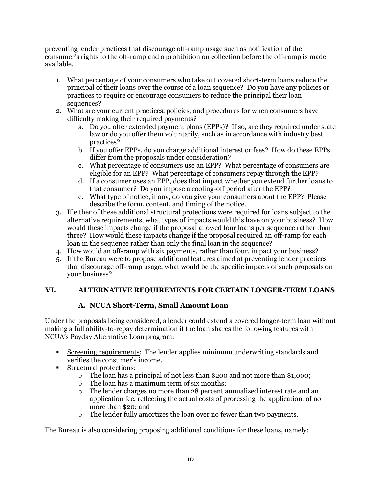preventing lender practices that discourage off-ramp usage such as notification of the consumer's rights to the off-ramp and a prohibition on collection before the off-ramp is made available.

- 1. What percentage of your consumers who take out covered short-term loans reduce the principal of their loans over the course of a loan sequence? Do you have any policies or practices to require or encourage consumers to reduce the principal their loan sequences?
- 2. What are your current practices, policies, and procedures for when consumers have difficulty making their required payments?
	- a. Do you offer extended payment plans (EPPs)? If so, are they required under state law or do you offer them voluntarily, such as in accordance with industry best practices?
	- b. If you offer EPPs, do you charge additional interest or fees? How do these EPPs differ from the proposals under consideration?
	- c. What percentage of consumers use an EPP? What percentage of consumers are eligible for an EPP? What percentage of consumers repay through the EPP?
	- d. If a consumer uses an EPP, does that impact whether you extend further loans to that consumer? Do you impose a cooling-off period after the EPP?
	- e. What type of notice, if any, do you give your consumers about the EPP? Please describe the form, content, and timing of the notice.
- 3. If either of these additional structural protections were required for loans subject to the alternative requirements, what types of impacts would this have on your business? How would these impacts change if the proposal allowed four loans per sequence rather than three? How would these impacts change if the proposal required an off-ramp for each loan in the sequence rather than only the final loan in the sequence?
- 4. How would an off-ramp with six payments, rather than four, impact your business?
- 5. If the Bureau were to propose additional features aimed at preventing lender practices that discourage off-ramp usage, what would be the specific impacts of such proposals on your business?

#### **VI. ALTERNATIVE REQUIREMENTS FOR CERTAIN LONGER-TERM LOANS**

#### **A. NCUA Short-Term, Small Amount Loan**

Under the proposals being considered, a lender could extend a covered longer-term loan without making a full ability-to-repay determination if the loan shares the following features with NCUA's Payday Alternative Loan program:

- Screening requirements: The lender applies minimum underwriting standards and verifies the consumer's income.
- Structural protections:
	- o The loan has a principal of not less than \$200 and not more than \$1,000;
	- o The loan has a maximum term of six months;
	- o The lender charges no more than 28 percent annualized interest rate and an application fee, reflecting the actual costs of processing the application, of no more than \$20; and
	- o The lender fully amortizes the loan over no fewer than two payments.

The Bureau is also considering proposing additional conditions for these loans, namely: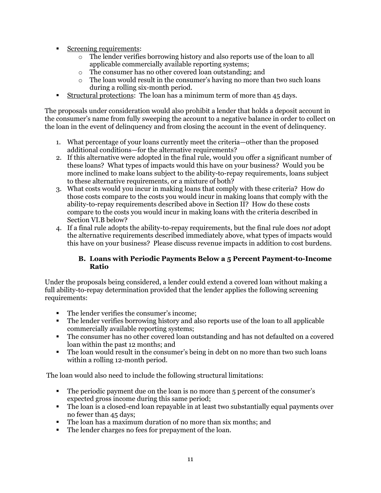- Screening requirements:
	- o The lender verifies borrowing history and also reports use of the loan to all applicable commercially available reporting systems;
	- o The consumer has no other covered loan outstanding; and
	- o The loan would result in the consumer's having no more than two such loans during a rolling six-month period.
- Structural protections: The loan has a minimum term of more than 45 days.

The proposals under consideration would also prohibit a lender that holds a deposit account in the consumer's name from fully sweeping the account to a negative balance in order to collect on the loan in the event of delinquency and from closing the account in the event of delinquency.

- 1. What percentage of your loans currently meet the criteria—other than the proposed additional conditions—for the alternative requirements?
- 2. If this alternative were adopted in the final rule, would you offer a significant number of these loans? What types of impacts would this have on your business? Would you be more inclined to make loans subject to the ability-to-repay requirements, loans subject to these alternative requirements, or a mixture of both?
- 3. What costs would you incur in making loans that comply with these criteria? How do those costs compare to the costs you would incur in making loans that comply with the ability-to-repay requirements described above in Section II? How do these costs compare to the costs you would incur in making loans with the criteria described in Section VI.B below?
- 4. If a final rule adopts the ability-to-repay requirements, but the final rule does *not* adopt the alternative requirements described immediately above, what types of impacts would this have on your business? Please discuss revenue impacts in addition to cost burdens.

#### **B. Loans with Periodic Payments Below a 5 Percent Payment-to-Income Ratio**

Under the proposals being considered, a lender could extend a covered loan without making a full ability-to-repay determination provided that the lender applies the following screening requirements:

- The lender verifies the consumer's income;
- The lender verifies borrowing history and also reports use of the loan to all applicable commercially available reporting systems;
- The consumer has no other covered loan outstanding and has not defaulted on a covered loan within the past 12 months; and
- The loan would result in the consumer's being in debt on no more than two such loans within a rolling 12-month period.

The loan would also need to include the following structural limitations:

- The periodic payment due on the loan is no more than 5 percent of the consumer's expected gross income during this same period;
- The loan is a closed-end loan repayable in at least two substantially equal payments over no fewer than 45 days;
- The loan has a maximum duration of no more than six months; and
- The lender charges no fees for prepayment of the loan.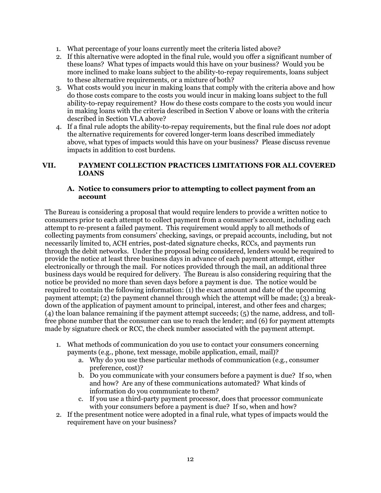- 1. What percentage of your loans currently meet the criteria listed above?
- 2. If this alternative were adopted in the final rule, would you offer a significant number of these loans? What types of impacts would this have on your business? Would you be more inclined to make loans subject to the ability-to-repay requirements, loans subject to these alternative requirements, or a mixture of both?
- 3. What costs would you incur in making loans that comply with the criteria above and how do those costs compare to the costs you would incur in making loans subject to the full ability-to-repay requirement? How do these costs compare to the costs you would incur in making loans with the criteria described in Section  $V$  above or loans with the criteria described in Section VI.A above?
- 4. If a final rule adopts the ability-to-repay requirements, but the final rule does *not* adopt the alternative requirements for covered longer-term loans described immediately above, what types of impacts would this have on your business? Please discuss revenue impacts in addition to cost burdens.

#### **VII. PAYMENT COLLECTION PRACTICES LIMITATIONS FOR ALL COVERED LOANS**

#### **A. Notice to consumers prior to attempting to collect payment from an account**

The Bureau is considering a proposal that would require lenders to provide a written notice to consumers prior to each attempt to collect payment from a consumer's account, including each attempt to re-present a failed payment. This requirement would apply to all methods of collecting payments from consumers' checking, savings, or prepaid accounts, including, but not necessarily limited to, ACH entries, post-dated signature checks, RCCs, and payments run through the debit networks. Under the proposal being considered, lenders would be required to provide the notice at least three business days in advance of each payment attempt, either electronically or through the mail. For notices provided through the mail, an additional three business days would be required for delivery. The Bureau is also considering requiring that the notice be provided no more than seven days before a payment is due. The notice would be required to contain the following information: (1) the exact amount and date of the upcoming payment attempt; (2) the payment channel through which the attempt will be made; (3) a breakdown of the application of payment amount to principal, interest, and other fees and charges; (4) the loan balance remaining if the payment attempt succeeds; (5) the name, address, and tollfree phone number that the consumer can use to reach the lender; and (6) for payment attempts made by signature check or RCC, the check number associated with the payment attempt.

- 1. What methods of communication do you use to contact your consumers concerning payments (e.g., phone, text message, mobile application, email, mail)?
	- a. Why do you use these particular methods of communication (e.g., consumer preference, cost)?
	- b. Do you communicate with your consumers before a payment is due? If so, when and how? Are any of these communications automated? What kinds of information do you communicate to them?
	- c. If you use a third-party payment processor, does that processor communicate with your consumers before a payment is due? If so, when and how?
- 2. If the presentment notice were adopted in a final rule, what types of impacts would the requirement have on your business?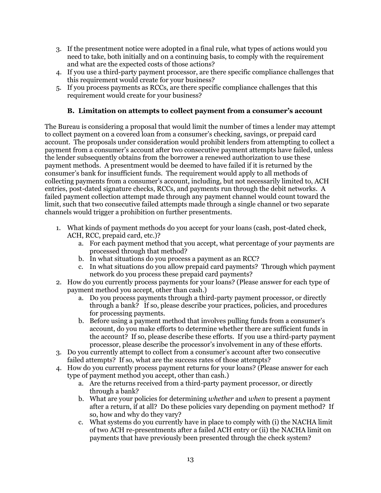- 3. If the presentment notice were adopted in a final rule, what types of actions would you need to take, both initially and on a continuing basis, to comply with the requirement and what are the expected costs of those actions?
- 4. If you use a third-party payment processor, are there specific compliance challenges that this requirement would create for your business?
- 5. If you process payments as RCCs, are there specific compliance challenges that this requirement would create for your business?

#### **B. Limitation on attempts to collect payment from a consumer's account**

The Bureau is considering a proposal that would limit the number of times a lender may attempt to collect payment on a covered loan from a consumer's checking, savings, or prepaid card account. The proposals under consideration would prohibit lenders from attempting to collect a payment from a consumer's account after two consecutive payment attempts have failed, unless the lender subsequently obtains from the borrower a renewed authorization to use these payment methods. A presentment would be deemed to have failed if it is returned by the consumer's bank for insufficient funds. The requirement would apply to all methods of collecting payments from a consumer's account, including, but not necessarily limited to, ACH entries, post-dated signature checks, RCCs, and payments run through the debit networks. A failed payment collection attempt made through any payment channel would count toward the limit, such that two consecutive failed attempts made through a single channel or two separate channels would trigger a prohibition on further presentments.

- 1. What kinds of payment methods do you accept for your loans (cash, post-dated check, ACH, RCC, prepaid card, etc.)?
	- a. For each payment method that you accept, what percentage of your payments are processed through that method?
	- b. In what situations do you process a payment as an RCC?
	- c. In what situations do you allow prepaid card payments? Through which payment network do you process these prepaid card payments?
- 2. How do you currently process payments for your loans? (Please answer for each type of payment method you accept, other than cash.)
	- a. Do you process payments through a third-party payment processor, or directly through a bank? If so, please describe your practices, policies, and procedures for processing payments.
	- b. Before using a payment method that involves pulling funds from a consumer's account, do you make efforts to determine whether there are sufficient funds in the account? If so, please describe these efforts. If you use a third-party payment processor, please describe the processor's involvement in any of these efforts.
- 3. Do you currently attempt to collect from a consumer's account after two consecutive failed attempts? If so, what are the success rates of those attempts?
- 4. How do you currently process payment returns for your loans? (Please answer for each type of payment method you accept, other than cash.)
	- a. Are the returns received from a third-party payment processor, or directly through a bank?
	- b. What are your policies for determining *whether* and *when* to present a payment after a return, if at all? Do these policies vary depending on payment method? If so, how and why do they vary?
	- c. What systems do you currently have in place to comply with (i) the NACHA limit of two ACH re-presentments after a failed ACH entry or (ii) the NACHA limit on payments that have previously been presented through the check system?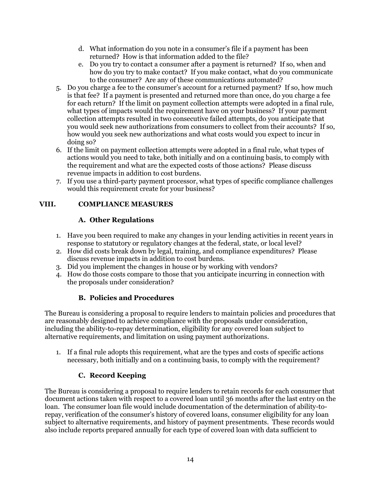- d. What information do you note in a consumer's file if a payment has been returned? How is that information added to the file?
- e. Do you try to contact a consumer after a payment is returned? If so, when and how do you try to make contact? If you make contact, what do you communicate to the consumer? Are any of these communications automated?
- 5. Do you charge a fee to the consumer's account for a returned payment? If so, how much is that fee? If a payment is presented and returned more than once, do you charge a fee for each return? If the limit on payment collection attempts were adopted in a final rule, what types of impacts would the requirement have on your business? If your payment collection attempts resulted in two consecutive failed attempts, do you anticipate that you would seek new authorizations from consumers to collect from their accounts? If so, how would you seek new authorizations and what costs would you expect to incur in doing so?
- 6. If the limit on payment collection attempts were adopted in a final rule, what types of actions would you need to take, both initially and on a continuing basis, to comply with the requirement and what are the expected costs of those actions? Please discuss revenue impacts in addition to cost burdens.
- 7. If you use a third-party payment processor, what types of specific compliance challenges would this requirement create for your business?

#### **VIII. COMPLIANCE MEASURES**

#### **A. Other Regulations**

- 1. Have you been required to make any changes in your lending activities in recent years in response to statutory or regulatory changes at the federal, state, or local level?
- 2. How did costs break down by legal, training, and compliance expenditures? Please discuss revenue impacts in addition to cost burdens.
- 3. Did you implement the changes in house or by working with vendors?
- 4. How do those costs compare to those that you anticipate incurring in connection with the proposals under consideration?

#### **B. Policies and Procedures**

The Bureau is considering a proposal to require lenders to maintain policies and procedures that are reasonably designed to achieve compliance with the proposals under consideration, including the ability-to-repay determination, eligibility for any covered loan subject to alternative requirements, and limitation on using payment authorizations.

1. If a final rule adopts this requirement, what are the types and costs of specific actions necessary, both initially and on a continuing basis, to comply with the requirement?

#### **C. Record Keeping**

The Bureau is considering a proposal to require lenders to retain records for each consumer that document actions taken with respect to a covered loan until 36 months after the last entry on the loan. The consumer loan file would include documentation of the determination of ability-torepay, verification of the consumer's history of covered loans, consumer eligibility for any loan subject to alternative requirements, and history of payment presentments. These records would also include reports prepared annually for each type of covered loan with data sufficient to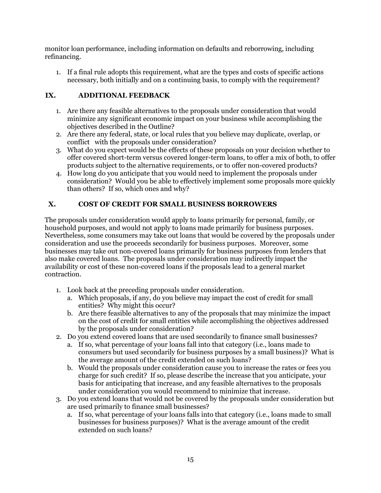monitor loan performance, including information on defaults and reborrowing, including refinancing.

1. If a final rule adopts this requirement, what are the types and costs of specific actions necessary, both initially and on a continuing basis, to comply with the requirement?

#### **IX. ADDITIONAL FEEDBACK**

- 1. Are there any feasible alternatives to the proposals under consideration that would minimize any significant economic impact on your business while accomplishing the objectives described in the Outline?
- 2. Are there any federal, state, or local rules that you believe may duplicate, overlap, or conflict with the proposals under consideration?
- 3. What do you expect would be the effects of these proposals on your decision whether to offer covered short-term versus covered longer-term loans, to offer a mix of both, to offer products subject to the alternative requirements, or to offer non-covered products?
- 4. How long do you anticipate that you would need to implement the proposals under consideration? Would you be able to effectively implement some proposals more quickly than others? If so, which ones and why?

#### **X. COST OF CREDIT FOR SMALL BUSINESS BORROWERS**

The proposals under consideration would apply to loans primarily for personal, family, or household purposes, and would not apply to loans made primarily for business purposes. Nevertheless, some consumers may take out loans that would be covered by the proposals under consideration and use the proceeds secondarily for business purposes. Moreover, some businesses may take out non-covered loans primarily for business purposes from lenders that also make covered loans. The proposals under consideration may indirectly impact the availability or cost of these non-covered loans if the proposals lead to a general market contraction.

- 1. Look back at the preceding proposals under consideration.
	- a. Which proposals, if any, do you believe may impact the cost of credit for small entities? Why might this occur?
	- b. Are there feasible alternatives to any of the proposals that may minimize the impact on the cost of credit for small entities while accomplishing the objectives addressed by the proposals under consideration?
- 2. Do you extend covered loans that are used secondarily to finance small businesses?
	- a. If so, what percentage of your loans fall into that category (i.e., loans made to consumers but used secondarily for business purposes by a small business)? What is the average amount of the credit extended on such loans?
	- b. Would the proposals under consideration cause you to increase the rates or fees you charge for such credit? If so, please describe the increase that you anticipate, your basis for anticipating that increase, and any feasible alternatives to the proposals under consideration you would recommend to minimize that increase.
- 3. Do you extend loans that would not be covered by the proposals under consideration but are used primarily to finance small businesses?
	- a. If so, what percentage of your loans falls into that category (i.e., loans made to small businesses for business purposes)? What is the average amount of the credit extended on such loans?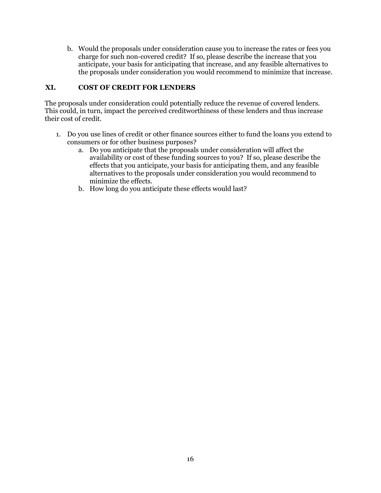b. Would the proposals under consideration cause you to increase the rates or fees you charge for such non-covered credit? If so, please describe the increase that you anticipate, your basis for anticipating that increase, and any feasible alternatives to the proposals under consideration you would recommend to minimize that increase.

#### **XI. COST OF CREDIT FOR LENDERS**

The proposals under consideration could potentially reduce the revenue of covered lenders. This could, in turn, impact the perceived creditworthiness of these lenders and thus increase their cost of credit.

- 1. Do you use lines of credit or other finance sources either to fund the loans you extend to consumers or for other business purposes?
	- a. Do you anticipate that the proposals under consideration will affect the availability or cost of these funding sources to you? If so, please describe the effects that you anticipate, your basis for anticipating them, and any feasible alternatives to the proposals under consideration you would recommend to minimize the effects.
	- b. How long do you anticipate these effects would last?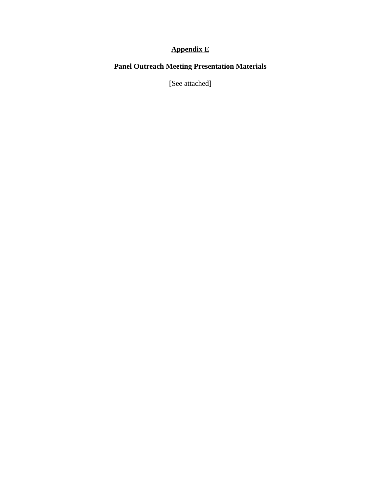#### **Appendix E**

#### **Panel Outreach Meeting Presentation Materials**

[See attached]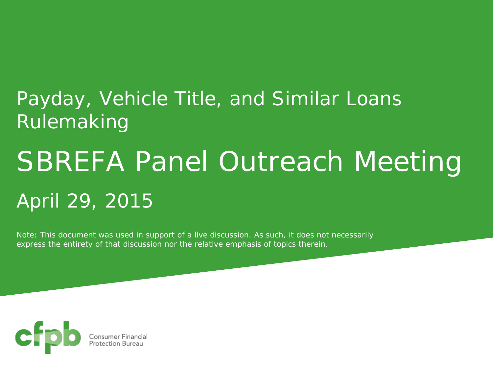# Payday, Vehicle Title, and Similar Loans Rulemaking

# SBREFA Panel Outreach Meeting April 29, 2015

*Note: This document was used in support of a live discussion. As such, it does not necessarily express the entirety of that discussion nor the relative emphasis of topics therein.*

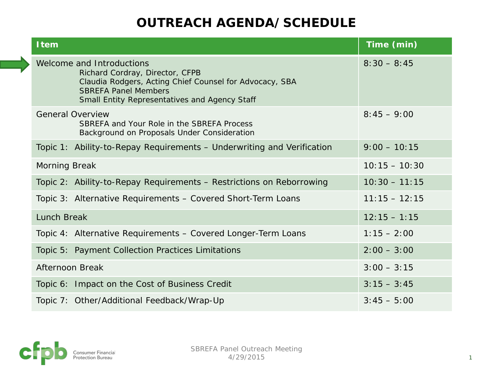| <b>Item</b>                                                                                                                                                                                             | Time (min)      |
|---------------------------------------------------------------------------------------------------------------------------------------------------------------------------------------------------------|-----------------|
| Welcome and Introductions<br>Richard Cordray, Director, CFPB<br>Claudia Rodgers, Acting Chief Counsel for Advocacy, SBA<br><b>SBREFA Panel Members</b><br>Small Entity Representatives and Agency Staff | $8:30 - 8:45$   |
| <b>General Overview</b><br>SBREFA and Your Role in the SBREFA Process<br>Background on Proposals Under Consideration                                                                                    | $8:45 - 9:00$   |
| Topic 1: Ability-to-Repay Requirements - Underwriting and Verification                                                                                                                                  | $9:00 - 10:15$  |
| <b>Morning Break</b>                                                                                                                                                                                    | $10:15 - 10:30$ |
| Topic 2: Ability-to-Repay Requirements - Restrictions on Reborrowing                                                                                                                                    | $10:30 - 11:15$ |
| Topic 3: Alternative Requirements - Covered Short-Term Loans                                                                                                                                            | $11:15 - 12:15$ |
| <b>Lunch Break</b>                                                                                                                                                                                      | $12:15 - 1:15$  |
| Topic 4: Alternative Requirements - Covered Longer-Term Loans                                                                                                                                           | $1:15 - 2:00$   |
| Topic 5: Payment Collection Practices Limitations                                                                                                                                                       | $2:00 - 3:00$   |
| Afternoon Break                                                                                                                                                                                         | $3:00 - 3:15$   |
| Topic 6: Impact on the Cost of Business Credit                                                                                                                                                          | $3:15 - 3:45$   |
| Topic 7: Other/Additional Feedback/Wrap-Up                                                                                                                                                              | $3:45 - 5:00$   |

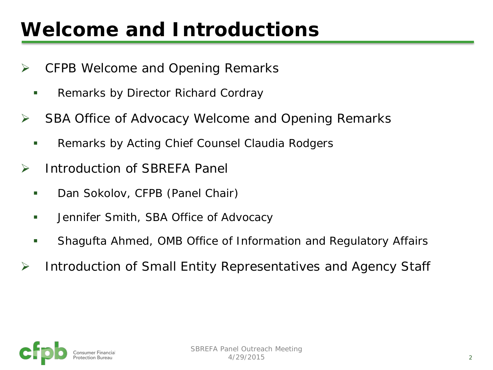# **Welcome and Introductions**

- **▶ CFPB Welcome and Opening Remarks** 
	- **Remarks by Director Richard Cordray**
- **► SBA Office of Advocacy Welcome and Opening Remarks** 
	- **Remarks by Acting Chief Counsel Claudia Rodgers**
- **▶ Introduction of SBREFA Panel** 
	- **Dan Sokolov, CFPB (Panel Chair)**
	- **Jennifer Smith, SBA Office of Advocacy**
	- Shagufta Ahmed, OMB Office of Information and Regulatory Affairs
- **▶ Introduction of Small Entity Representatives and Agency Staff**

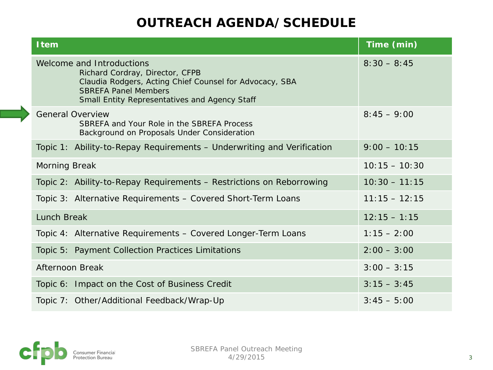| <b>Item</b>                                                                                                                                                                                             | Time (min)      |
|---------------------------------------------------------------------------------------------------------------------------------------------------------------------------------------------------------|-----------------|
| Welcome and Introductions<br>Richard Cordray, Director, CFPB<br>Claudia Rodgers, Acting Chief Counsel for Advocacy, SBA<br><b>SBREFA Panel Members</b><br>Small Entity Representatives and Agency Staff | $8:30 - 8:45$   |
| <b>General Overview</b><br>SBREFA and Your Role in the SBREFA Process<br>Background on Proposals Under Consideration                                                                                    | $8:45 - 9:00$   |
| Topic 1: Ability-to-Repay Requirements - Underwriting and Verification                                                                                                                                  | $9:00 - 10:15$  |
| <b>Morning Break</b>                                                                                                                                                                                    | $10:15 - 10:30$ |
| Topic 2: Ability-to-Repay Requirements - Restrictions on Reborrowing                                                                                                                                    | $10:30 - 11:15$ |
| Topic 3: Alternative Requirements - Covered Short-Term Loans                                                                                                                                            | $11:15 - 12:15$ |
| Lunch Break                                                                                                                                                                                             | $12:15 - 1:15$  |
| Topic 4: Alternative Requirements - Covered Longer-Term Loans                                                                                                                                           | $1:15 - 2:00$   |
| Topic 5: Payment Collection Practices Limitations                                                                                                                                                       | $2:00 - 3:00$   |
| Afternoon Break                                                                                                                                                                                         | $3:00 - 3:15$   |
| Topic 6: Impact on the Cost of Business Credit                                                                                                                                                          | $3:15 - 3:45$   |
| Topic 7: Other/Additional Feedback/Wrap-Up                                                                                                                                                              | $3:45 - 5:00$   |

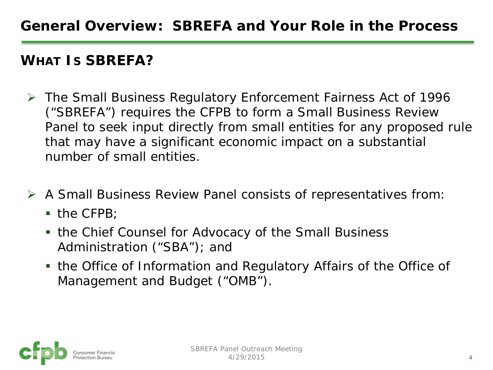#### **WHAT IS SBREFA?**

- The Small Business Regulatory Enforcement Fairness Act of 1996 ("SBREFA") requires the CFPB to form a Small Business Review Panel to seek input directly from small entities for any proposed rule that may have a significant economic impact on a substantial number of small entities.
- A Small Business Review Panel consists of representatives from:
	- $\blacksquare$  the CFPB;
	- the Chief Counsel for Advocacy of the Small Business Administration ("SBA"); and
	- the Office of Information and Regulatory Affairs of the Office of Management and Budget ("OMB").

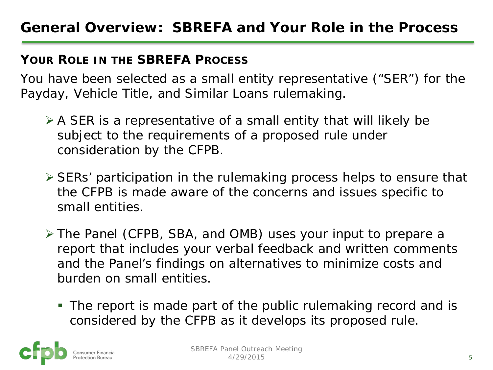#### **YOUR ROLE IN THE SBREFA PROCESS**

You have been selected as a small entity representative ("SER") for the Payday, Vehicle Title, and Similar Loans rulemaking.

- $\triangleright$  A SER is a representative of a small entity that will likely be subject to the requirements of a proposed rule under consideration by the CFPB.
- SERs' participation in the rulemaking process helps to ensure that the CFPB is made aware of the concerns and issues specific to small entities.
- The Panel (CFPB, SBA, and OMB) uses your input to prepare a report that includes your verbal feedback and written comments and the Panel's findings on alternatives to minimize costs and burden on small entities.
	- The report is made part of the public rulemaking record and is considered by the CFPB as it develops its proposed rule.

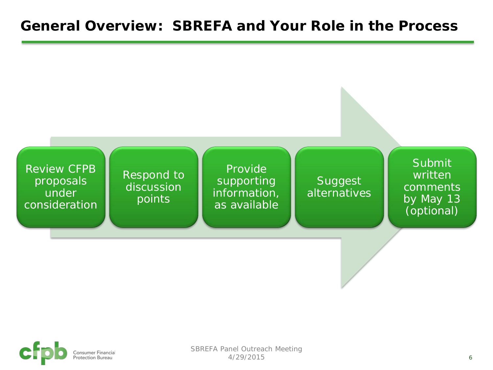#### **General Overview: SBREFA and Your Role in the Process**



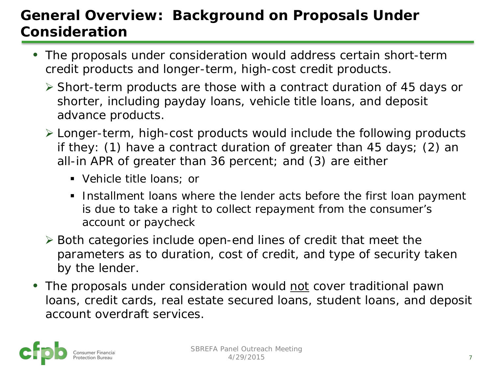## **General Overview: Background on Proposals Under Consideration**

- The proposals under consideration would address certain short-term credit products and longer-term, high-cost credit products.
	- $\triangleright$  Short-term products are those with a contract duration of 45 days or shorter, including payday loans, vehicle title loans, and deposit advance products.
	- Longer-term, high-cost products would include the following products if they: (1) have a contract duration of greater than 45 days; (2) an all-in APR of greater than 36 percent; and (3) are either
		- Vehicle title loans; or
		- Installment loans where the lender acts before the first loan payment is due to take a right to collect repayment from the consumer's account or paycheck
	- $\triangleright$  Both categories include open-end lines of credit that meet the parameters as to duration, cost of credit, and type of security taken by the lender.
- The proposals under consideration would not cover traditional pawn loans, credit cards, real estate secured loans, student loans, and deposit account overdraft services.

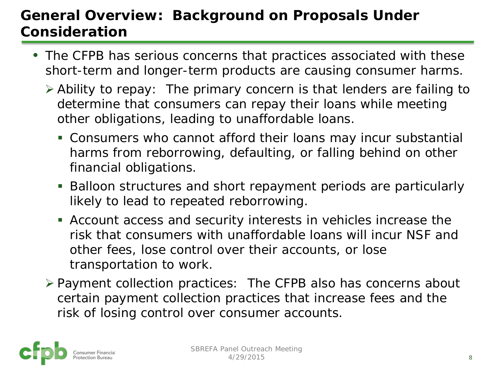## **General Overview: Background on Proposals Under Consideration**

- The CFPB has serious concerns that practices associated with these short-term and longer-term products are causing consumer harms.
	- *Ability to repay*: The primary concern is that lenders are failing to determine that consumers can repay their loans while meeting other obligations, leading to unaffordable loans.
		- Consumers who cannot afford their loans may incur substantial harms from reborrowing, defaulting, or falling behind on other financial obligations.
		- Balloon structures and short repayment periods are particularly likely to lead to repeated reborrowing.
		- Account access and security interests in vehicles increase the risk that consumers with unaffordable loans will incur NSF and other fees, lose control over their accounts, or lose transportation to work.
	- *Payment collection practices*: The CFPB also has concerns about certain payment collection practices that increase fees and the risk of losing control over consumer accounts.

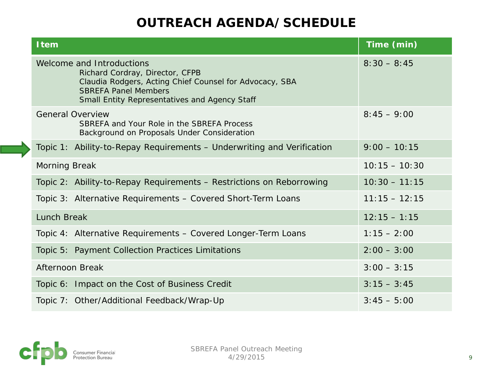| <b>Item</b>                                                                                                                                                                                             | Time (min)      |
|---------------------------------------------------------------------------------------------------------------------------------------------------------------------------------------------------------|-----------------|
| Welcome and Introductions<br>Richard Cordray, Director, CFPB<br>Claudia Rodgers, Acting Chief Counsel for Advocacy, SBA<br><b>SBREFA Panel Members</b><br>Small Entity Representatives and Agency Staff | $8:30 - 8:45$   |
| <b>General Overview</b><br>SBREFA and Your Role in the SBREFA Process<br>Background on Proposals Under Consideration                                                                                    | $8:45 - 9:00$   |
| Topic 1: Ability-to-Repay Requirements - Underwriting and Verification                                                                                                                                  | $9:00 - 10:15$  |
| <b>Morning Break</b>                                                                                                                                                                                    | $10:15 - 10:30$ |
| Topic 2: Ability-to-Repay Requirements - Restrictions on Reborrowing                                                                                                                                    | $10:30 - 11:15$ |
| Topic 3: Alternative Requirements - Covered Short-Term Loans                                                                                                                                            | $11:15 - 12:15$ |
| <b>Lunch Break</b>                                                                                                                                                                                      | $12:15 - 1:15$  |
| Topic 4: Alternative Requirements - Covered Longer-Term Loans                                                                                                                                           | $1:15 - 2:00$   |
| Topic 5: Payment Collection Practices Limitations                                                                                                                                                       | $2:00 - 3:00$   |
| <b>Afternoon Break</b>                                                                                                                                                                                  | $3:00 - 3:15$   |
| Topic 6: Impact on the Cost of Business Credit                                                                                                                                                          | $3:15 - 3:45$   |
| Topic 7: Other/Additional Feedback/Wrap-Up                                                                                                                                                              | $3:45 - 5:00$   |

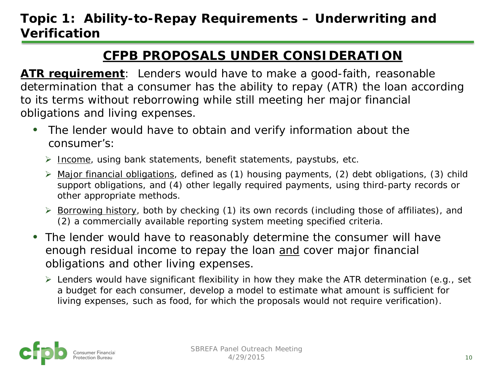#### **Topic 1: Ability-to-Repay Requirements – Underwriting and Verification**

#### **CFPB PROPOSALS UNDER CONSIDERATION**

**ATR requirement**: Lenders would have to make a good-faith, reasonable determination that a consumer has the ability to repay (ATR) the loan according to its terms without reborrowing while still meeting her major financial obligations and living expenses.

- The lender would have to obtain and verify information about the consumer's:
	- $\triangleright$  Income, using bank statements, benefit statements, paystubs, etc.
	- $\triangleright$  Major financial obligations, defined as (1) housing payments, (2) debt obligations, (3) child support obligations, and (4) other legally required payments, using third-party records or other appropriate methods.
	- $\triangleright$  Borrowing history, both by checking (1) its own records (including those of affiliates), and (2) a commercially available reporting system meeting specified criteria.
- The lender would have to reasonably determine the consumer will have enough residual income to repay the loan and cover major financial obligations and other living expenses.
	- $\triangleright$  Lenders would have significant flexibility in how they make the ATR determination (e.g., set a budget for each consumer, develop a model to estimate what amount is sufficient for living expenses, such as food, for which the proposals would not require verification).

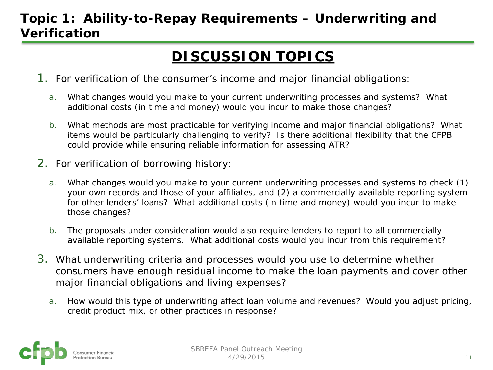#### **Topic 1: Ability-to-Repay Requirements – Underwriting and Verification**

## **DISCUSSION TOPICS**

- 1. For verification of the consumer's income and major financial obligations:
	- a. What changes would you make to your current underwriting processes and systems? What additional costs (in time and money) would you incur to make those changes?
	- b. What methods are most practicable for verifying income and major financial obligations?What items would be particularly challenging to verify? Is there additional flexibility that the CFPB could provide while ensuring reliable information for assessing ATR?
- 2. For verification of borrowing history:
	- a. What changes would you make to your current underwriting processes and systems to check (1) your own records and those of your affiliates, and (2) a commercially available reporting system for other lenders' loans? What additional costs (in time and money) would you incur to make those changes?
	- b. The proposals under consideration would also require lenders to report to all commercially available reporting systems. What additional costs would you incur from this requirement?
- 3. What underwriting criteria and processes would you use to determine whether consumers have enough residual income to make the loan payments and cover other major financial obligations and living expenses?
	- a. How would this type of underwriting affect loan volume and revenues? Would you adjust pricing, credit product mix, or other practices in response?

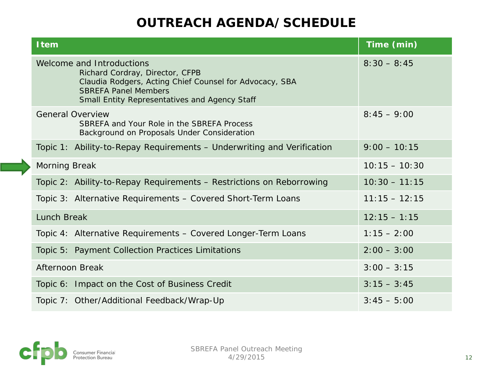| <b>Item</b>                                                                                                                                                                                             | Time (min)      |
|---------------------------------------------------------------------------------------------------------------------------------------------------------------------------------------------------------|-----------------|
| Welcome and Introductions<br>Richard Cordray, Director, CFPB<br>Claudia Rodgers, Acting Chief Counsel for Advocacy, SBA<br><b>SBREFA Panel Members</b><br>Small Entity Representatives and Agency Staff | $8:30 - 8:45$   |
| <b>General Overview</b><br>SBREFA and Your Role in the SBREFA Process<br>Background on Proposals Under Consideration                                                                                    | $8:45 - 9:00$   |
| Topic 1: Ability-to-Repay Requirements - Underwriting and Verification                                                                                                                                  | $9:00 - 10:15$  |
| <b>Morning Break</b>                                                                                                                                                                                    | $10:15 - 10:30$ |
| Topic 2: Ability-to-Repay Requirements - Restrictions on Reborrowing                                                                                                                                    | $10:30 - 11:15$ |
| Topic 3: Alternative Requirements - Covered Short-Term Loans                                                                                                                                            | $11:15 - 12:15$ |
| <b>Lunch Break</b>                                                                                                                                                                                      | $12:15 - 1:15$  |
| Topic 4: Alternative Requirements - Covered Longer-Term Loans                                                                                                                                           | $1:15 - 2:00$   |
| Topic 5: Payment Collection Practices Limitations                                                                                                                                                       | $2:00 - 3:00$   |
| <b>Afternoon Break</b>                                                                                                                                                                                  | $3:00 - 3:15$   |
| Topic 6: Impact on the Cost of Business Credit                                                                                                                                                          | $3:15 - 3:45$   |
| Topic 7: Other/Additional Feedback/Wrap-Up                                                                                                                                                              | $3:45 - 5:00$   |

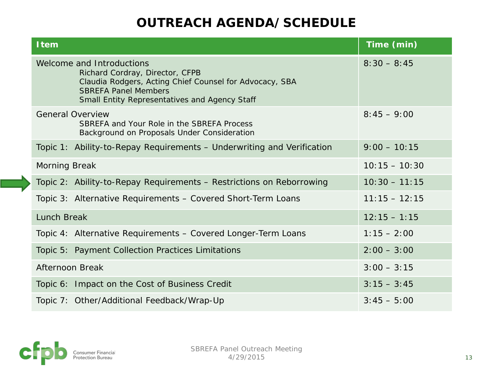| <b>Item</b>                                                                                                                                                                                             | Time (min)      |
|---------------------------------------------------------------------------------------------------------------------------------------------------------------------------------------------------------|-----------------|
| Welcome and Introductions<br>Richard Cordray, Director, CFPB<br>Claudia Rodgers, Acting Chief Counsel for Advocacy, SBA<br><b>SBREFA Panel Members</b><br>Small Entity Representatives and Agency Staff | $8:30 - 8:45$   |
| <b>General Overview</b><br>SBREFA and Your Role in the SBREFA Process<br>Background on Proposals Under Consideration                                                                                    | $8:45 - 9:00$   |
| Topic 1: Ability-to-Repay Requirements - Underwriting and Verification                                                                                                                                  | $9:00 - 10:15$  |
| <b>Morning Break</b>                                                                                                                                                                                    | $10:15 - 10:30$ |
| Topic 2: Ability-to-Repay Requirements - Restrictions on Reborrowing                                                                                                                                    | $10:30 - 11:15$ |
| Topic 3: Alternative Requirements - Covered Short-Term Loans                                                                                                                                            | $11:15 - 12:15$ |
| <b>Lunch Break</b>                                                                                                                                                                                      | $12:15 - 1:15$  |
| Topic 4: Alternative Requirements - Covered Longer-Term Loans                                                                                                                                           | $1:15 - 2:00$   |
| Topic 5: Payment Collection Practices Limitations                                                                                                                                                       | $2:00 - 3:00$   |
| Afternoon Break                                                                                                                                                                                         | $3:00 - 3:15$   |
| Topic 6: Impact on the Cost of Business Credit                                                                                                                                                          | $3:15 - 3:45$   |
| Topic 7: Other/Additional Feedback/Wrap-Up                                                                                                                                                              | $3:45 - 5:00$   |

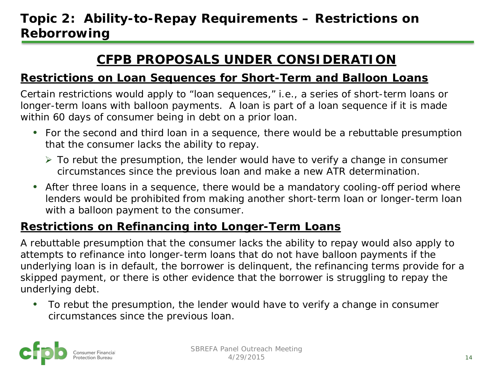#### **Topic 2: Ability-to-Repay Requirements – Restrictions on Reborrowing**

#### **CFPB PROPOSALS UNDER CONSIDERATION**

#### **Restrictions on Loan Sequences for Short-Term and Balloon Loans**

Certain restrictions would apply to "loan sequences," i.e., a series of short-term loans or longer-term loans with balloon payments. A loan is part of a loan sequence if it is made within 60 days of consumer being in debt on a prior loan.

- For the *second* and *third* loan in a sequence, there would be a *rebuttable presumption*  that the consumer lacks the ability to repay.
	- $\triangleright$  To rebut the presumption, the lender would have to verify a change in consumer circumstances since the previous loan and make a new ATR determination.
- After three loans in a sequence, there would be a mandatory cooling-off period where lenders would be prohibited from making another short-term loan or longer-term loan with a balloon payment to the consumer.

#### **Restrictions on Refinancing into Longer-Term Loans**

A *rebuttable presumption* that the consumer lacks the ability to repay would also apply to attempts to refinance into longer-term loans that do not have balloon payments if the underlying loan is in default, the borrower is delinquent, the refinancing terms provide for a skipped payment, or there is other evidence that the borrower is struggling to repay the underlying debt.

• To rebut the presumption, the lender would have to verify a change in consumer circumstances since the previous loan.

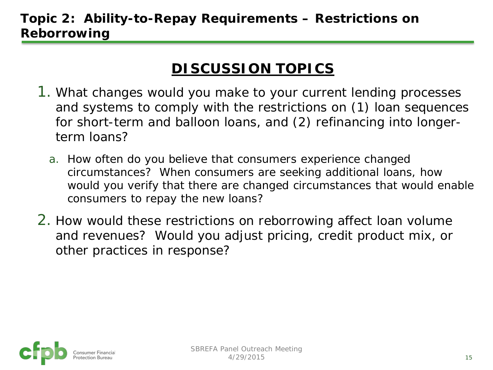#### **Topic 2: Ability-to-Repay Requirements – Restrictions on Reborrowing**

## **DISCUSSION TOPICS**

- 1. What changes would you make to your current lending processes and systems to comply with the restrictions on (1) loan sequences for short-term and balloon loans, and (2) refinancing into longerterm loans?
	- a. How often do you believe that consumers experience changed circumstances? When consumers are seeking additional loans, how would you verify that there are changed circumstances that would enable consumers to repay the new loans?
- 2. How would these restrictions on reborrowing affect loan volume and revenues? Would you adjust pricing, credit product mix, or other practices in response?

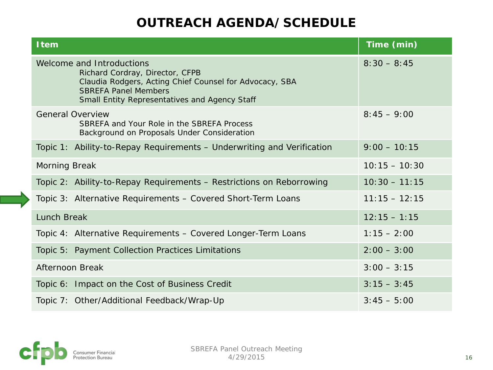| <b>Item</b>                                                                                                                                                                                             | Time (min)      |
|---------------------------------------------------------------------------------------------------------------------------------------------------------------------------------------------------------|-----------------|
| Welcome and Introductions<br>Richard Cordray, Director, CFPB<br>Claudia Rodgers, Acting Chief Counsel for Advocacy, SBA<br><b>SBREFA Panel Members</b><br>Small Entity Representatives and Agency Staff | $8:30 - 8:45$   |
| <b>General Overview</b><br>SBREFA and Your Role in the SBREFA Process<br>Background on Proposals Under Consideration                                                                                    | $8:45 - 9:00$   |
| Topic 1: Ability-to-Repay Requirements - Underwriting and Verification                                                                                                                                  | $9:00 - 10:15$  |
| <b>Morning Break</b>                                                                                                                                                                                    | $10:15 - 10:30$ |
| Topic 2: Ability-to-Repay Requirements - Restrictions on Reborrowing                                                                                                                                    | $10:30 - 11:15$ |
| Topic 3: Alternative Requirements - Covered Short-Term Loans                                                                                                                                            | $11:15 - 12:15$ |
| Lunch Break                                                                                                                                                                                             | $12:15 - 1:15$  |
| Topic 4: Alternative Requirements - Covered Longer-Term Loans                                                                                                                                           | $1:15 - 2:00$   |
| Topic 5: Payment Collection Practices Limitations                                                                                                                                                       | $2:00 - 3:00$   |
| <b>Afternoon Break</b>                                                                                                                                                                                  | $3:00 - 3:15$   |
| Topic 6: Impact on the Cost of Business Credit                                                                                                                                                          | $3:15 - 3:45$   |
| Topic 7: Other/Additional Feedback/Wrap-Up                                                                                                                                                              | $3:45 - 5:00$   |

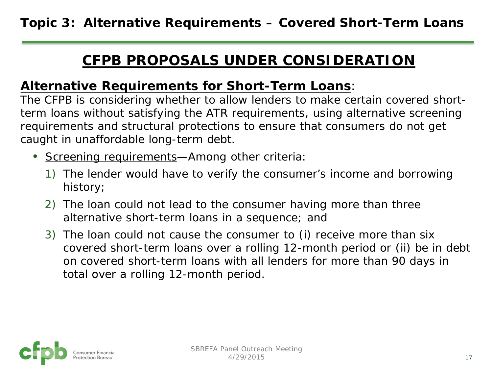#### **CFPB PROPOSALS UNDER CONSIDERATION**

#### **Alternative Requirements for Short-Term Loans**:

The CFPB is considering whether to allow lenders to make certain covered shortterm loans without satisfying the ATR requirements, using alternative screening requirements and structural protections to ensure that consumers do not get caught in unaffordable long-term debt.

- Screening requirements—Among other criteria:
	- 1) The lender would have to verify the consumer's income and borrowing history;
	- 2) The loan could not lead to the consumer having more than three alternative short-term loans in a sequence; and
	- 3) The loan could not cause the consumer to (i) receive more than six covered short-term loans over a rolling 12-month period or (ii) be in debt on covered short-term loans with all lenders for more than 90 days in total over a rolling 12-month period.

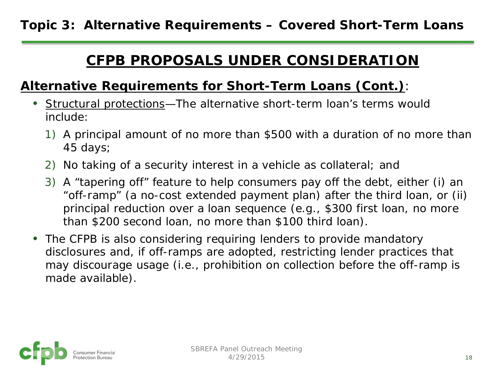#### **CFPB PROPOSALS UNDER CONSIDERATION**

#### **Alternative Requirements for Short-Term Loans (Cont.)**:

- Structural protections—The alternative short-term loan's terms would include:
	- 1) A principal amount of no more than \$500 with a duration of no more than 45 days;
	- 2) No taking of a security interest in a vehicle as collateral; and
	- 3) A "tapering off" feature to help consumers pay off the debt, either (i) an "off-ramp" (a no-cost extended payment plan) after the third loan, or (ii) principal reduction over a loan sequence (e.g., \$300 first loan, no more than \$200 second loan, no more than \$100 third loan).
- The CFPB is also considering requiring lenders to provide mandatory disclosures and, if off-ramps are adopted, restricting lender practices that may discourage usage (i.e., prohibition on collection before the off-ramp is made available).

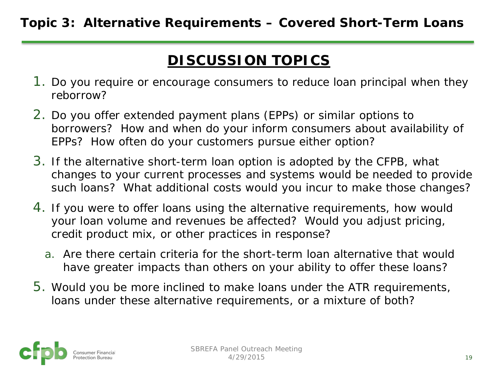## **DISCUSSION TOPICS**

- 1. Do you require or encourage consumers to reduce loan principal when they reborrow?
- 2. Do you offer extended payment plans (EPPs) or similar options to borrowers? How and when do your inform consumers about availability of EPPs? How often do your customers pursue either option?
- 3. If the alternative short-term loan option is adopted by the CFPB, what changes to your current processes and systems would be needed to provide such loans? What additional costs would you incur to make those changes?
- 4. If you were to offer loans using the alternative requirements, how would your loan volume and revenues be affected? Would you adjust pricing, credit product mix, or other practices in response?
	- a. Are there certain criteria for the short-term loan alternative that would have greater impacts than others on your ability to offer these loans?
- 5. Would you be more inclined to make loans under the ATR requirements, loans under these alternative requirements, or a mixture of both?

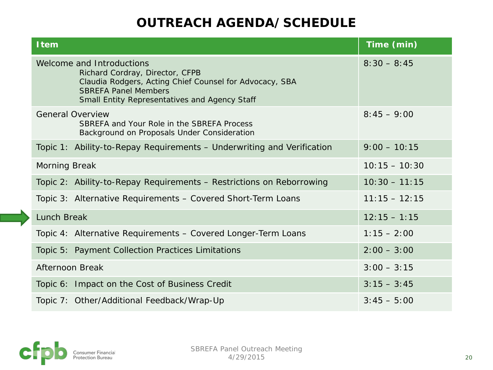| <b>Item</b>                                                                                                                                                                                             | Time (min)      |
|---------------------------------------------------------------------------------------------------------------------------------------------------------------------------------------------------------|-----------------|
| Welcome and Introductions<br>Richard Cordray, Director, CFPB<br>Claudia Rodgers, Acting Chief Counsel for Advocacy, SBA<br><b>SBREFA Panel Members</b><br>Small Entity Representatives and Agency Staff | $8:30 - 8:45$   |
| <b>General Overview</b><br>SBREFA and Your Role in the SBREFA Process<br>Background on Proposals Under Consideration                                                                                    | $8:45 - 9:00$   |
| Topic 1: Ability-to-Repay Requirements - Underwriting and Verification                                                                                                                                  | $9:00 - 10:15$  |
| <b>Morning Break</b>                                                                                                                                                                                    | $10:15 - 10:30$ |
| Topic 2: Ability-to-Repay Requirements - Restrictions on Reborrowing                                                                                                                                    | $10:30 - 11:15$ |
| Topic 3: Alternative Requirements - Covered Short-Term Loans                                                                                                                                            | $11:15 - 12:15$ |
| <b>Lunch Break</b>                                                                                                                                                                                      | $12:15 - 1:15$  |
| Topic 4: Alternative Requirements - Covered Longer-Term Loans                                                                                                                                           | $1:15 - 2:00$   |
| Topic 5: Payment Collection Practices Limitations                                                                                                                                                       | $2:00 - 3:00$   |
| Afternoon Break                                                                                                                                                                                         | $3:00 - 3:15$   |
| Topic 6: Impact on the Cost of Business Credit                                                                                                                                                          | $3:15 - 3:45$   |
| Topic 7: Other/Additional Feedback/Wrap-Up                                                                                                                                                              | $3:45 - 5:00$   |

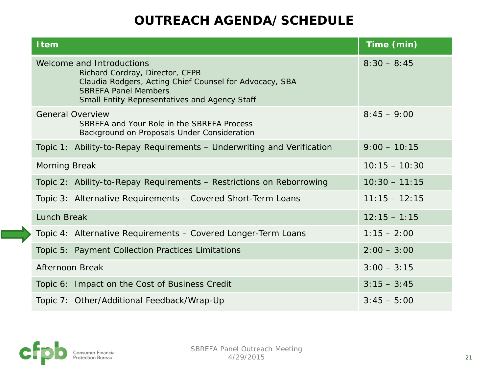| <b>Item</b>                                                                                                                                                                                             | Time (min)      |
|---------------------------------------------------------------------------------------------------------------------------------------------------------------------------------------------------------|-----------------|
| Welcome and Introductions<br>Richard Cordray, Director, CFPB<br>Claudia Rodgers, Acting Chief Counsel for Advocacy, SBA<br><b>SBREFA Panel Members</b><br>Small Entity Representatives and Agency Staff | $8:30 - 8:45$   |
| <b>General Overview</b><br>SBREFA and Your Role in the SBREFA Process<br>Background on Proposals Under Consideration                                                                                    | $8:45 - 9:00$   |
| Topic 1: Ability-to-Repay Requirements - Underwriting and Verification                                                                                                                                  | $9:00 - 10:15$  |
| <b>Morning Break</b>                                                                                                                                                                                    | $10:15 - 10:30$ |
| Topic 2: Ability-to-Repay Requirements - Restrictions on Reborrowing                                                                                                                                    | $10:30 - 11:15$ |
| Topic 3: Alternative Requirements - Covered Short-Term Loans                                                                                                                                            | $11:15 - 12:15$ |
| <b>Lunch Break</b>                                                                                                                                                                                      | $12:15 - 1:15$  |
| Topic 4: Alternative Requirements - Covered Longer-Term Loans                                                                                                                                           | $1:15 - 2:00$   |
| Topic 5: Payment Collection Practices Limitations                                                                                                                                                       | $2:00 - 3:00$   |
| Afternoon Break                                                                                                                                                                                         | $3:00 - 3:15$   |
| Topic 6: Impact on the Cost of Business Credit                                                                                                                                                          | $3:15 - 3:45$   |
| Topic 7: Other/Additional Feedback/Wrap-Up                                                                                                                                                              | $3:45 - 5:00$   |

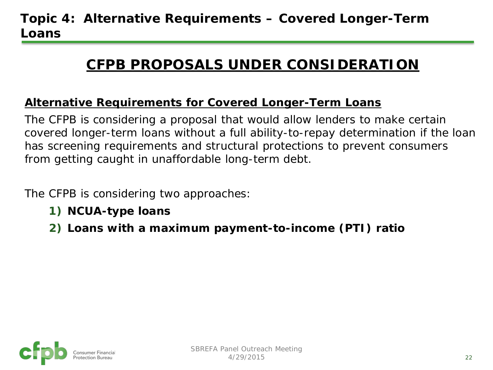## **CFPB PROPOSALS UNDER CONSIDERATION**

#### **Alternative Requirements for Covered Longer-Term Loans**

The CFPB is considering a proposal that would allow lenders to make certain covered longer-term loans without a full ability-to-repay determination if the loan has screening requirements and structural protections to prevent consumers from getting caught in unaffordable long-term debt.

The CFPB is considering two approaches:

- **1) NCUA-type loans**
- **2) Loans with a maximum payment-to-income (PTI) ratio**

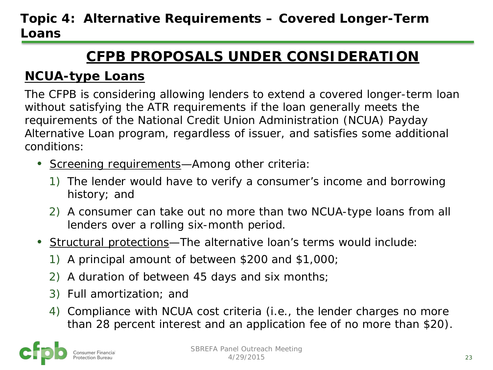## **CFPB PROPOSALS UNDER CONSIDERATION**

#### **NCUA-type Loans**

The CFPB is considering allowing lenders to extend a covered longer-term loan without satisfying the ATR requirements if the loan generally meets the requirements of the National Credit Union Administration (NCUA) Payday Alternative Loan program, regardless of issuer, and satisfies some additional conditions:

- Screening requirements—Among other criteria:
	- 1) The lender would have to verify a consumer's income and borrowing history; and
	- 2) A consumer can take out no more than two NCUA-type loans from all lenders over a rolling six-month period.
- Structural protections—The alternative loan's terms would include:
	- 1) A principal amount of between \$200 and \$1,000;
	- 2) A duration of between 45 days and six months;
	- 3) Full amortization; and
	- 4) Compliance with NCUA cost criteria (i.e., the lender charges no more than 28 percent interest and an application fee of no more than \$20).

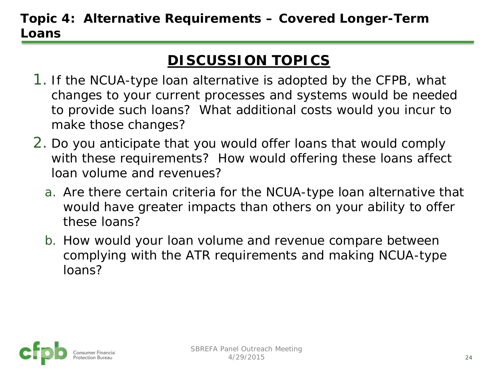## **DISCUSSION TOPICS**

- 1. If the NCUA-type loan alternative is adopted by the CFPB, what changes to your current processes and systems would be needed to provide such loans? What additional costs would you incur to make those changes?
- 2. Do you anticipate that you would offer loans that would comply with these requirements? How would offering these loans affect loan volume and revenues?
	- a. Are there certain criteria for the NCUA-type loan alternative that would have greater impacts than others on your ability to offer these loans?
	- b. How would your loan volume and revenue compare between complying with the ATR requirements and making NCUA-type loans?

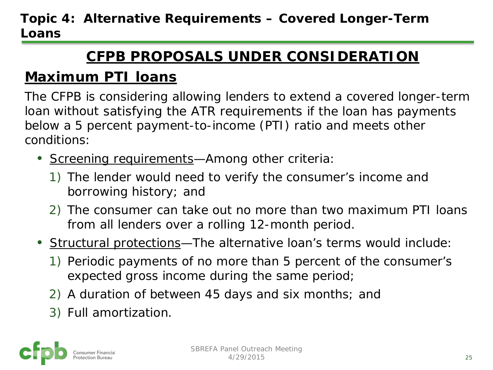## **CFPB PROPOSALS UNDER CONSIDERATION**

## **Maximum PTI loans**

The CFPB is considering allowing lenders to extend a covered longer-term loan without satisfying the ATR requirements if the loan has payments below a 5 percent payment-to-income (PTI) ratio and meets other conditions:

- Screening requirements—Among other criteria:
	- 1) The lender would need to verify the consumer's income and borrowing history; and
	- 2) The consumer can take out no more than two maximum PTI loans from all lenders over a rolling 12-month period.
- Structural protections—The alternative loan's terms would include:
	- 1) Periodic payments of no more than 5 percent of the consumer's expected gross income during the same period;
	- 2) A duration of between 45 days and six months; and
	- 3) Full amortization.

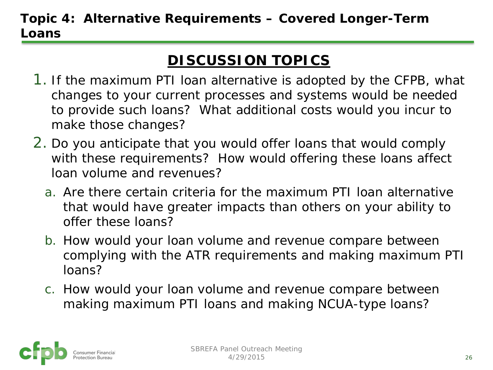## **DISCUSSION TOPICS**

- 1. If the maximum PTI loan alternative is adopted by the CFPB, what changes to your current processes and systems would be needed to provide such loans? What additional costs would you incur to make those changes?
- 2. Do you anticipate that you would offer loans that would comply with these requirements? How would offering these loans affect loan volume and revenues?
	- a. Are there certain criteria for the maximum PTI loan alternative that would have greater impacts than others on your ability to offer these loans?
	- b. How would your loan volume and revenue compare between complying with the ATR requirements and making maximum PTI loans?
	- c. How would your loan volume and revenue compare between making maximum PTI loans and making NCUA-type loans?

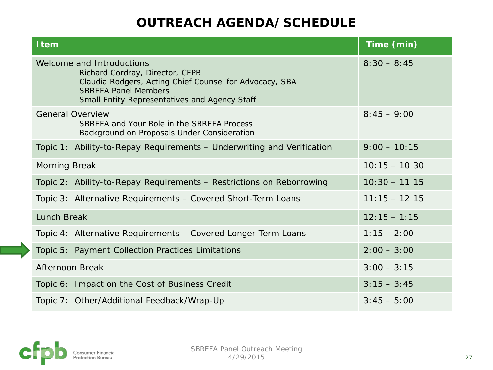| <b>Item</b>                                                                                                                                                                                             | Time (min)      |
|---------------------------------------------------------------------------------------------------------------------------------------------------------------------------------------------------------|-----------------|
| Welcome and Introductions<br>Richard Cordray, Director, CFPB<br>Claudia Rodgers, Acting Chief Counsel for Advocacy, SBA<br><b>SBREFA Panel Members</b><br>Small Entity Representatives and Agency Staff | $8:30 - 8:45$   |
| <b>General Overview</b><br>SBREFA and Your Role in the SBREFA Process<br>Background on Proposals Under Consideration                                                                                    | $8:45 - 9:00$   |
| Topic 1: Ability-to-Repay Requirements - Underwriting and Verification                                                                                                                                  | $9:00 - 10:15$  |
| <b>Morning Break</b>                                                                                                                                                                                    | $10:15 - 10:30$ |
| Topic 2: Ability-to-Repay Requirements - Restrictions on Reborrowing                                                                                                                                    | $10:30 - 11:15$ |
| Topic 3: Alternative Requirements - Covered Short-Term Loans                                                                                                                                            | $11:15 - 12:15$ |
| Lunch Break                                                                                                                                                                                             | $12:15 - 1:15$  |
| Topic 4: Alternative Requirements - Covered Longer-Term Loans                                                                                                                                           | $1:15 - 2:00$   |
| Topic 5: Payment Collection Practices Limitations                                                                                                                                                       | $2:00 - 3:00$   |
| <b>Afternoon Break</b>                                                                                                                                                                                  | $3:00 - 3:15$   |
| Topic 6: Impact on the Cost of Business Credit                                                                                                                                                          | $3:15 - 3:45$   |
| Topic 7: Other/Additional Feedback/Wrap-Up                                                                                                                                                              | $3:45 - 5:00$   |

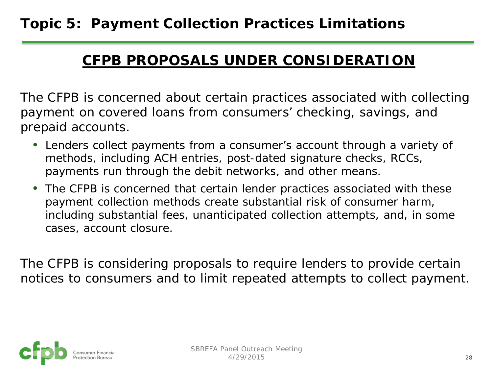#### **CFPB PROPOSALS UNDER CONSIDERATION**

The CFPB is concerned about certain practices associated with collecting payment on covered loans from consumers' checking, savings, and prepaid accounts.

- Lenders collect payments from a consumer's account through a variety of methods, including ACH entries, post-dated signature checks, RCCs, payments run through the debit networks, and other means.
- The CFPB is concerned that certain lender practices associated with these payment collection methods create substantial risk of consumer harm, including substantial fees, unanticipated collection attempts, and, in some cases, account closure.

The CFPB is considering proposals to require lenders to provide certain notices to consumers and to limit repeated attempts to collect payment.

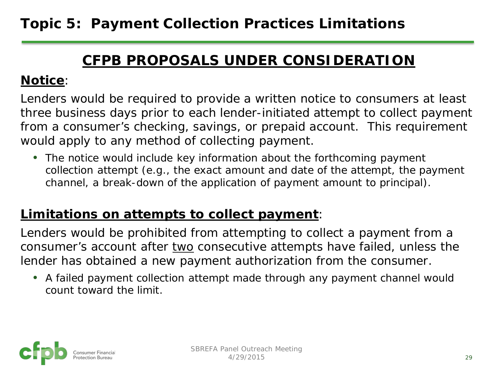#### **CFPB PROPOSALS UNDER CONSIDERATION**

#### **Notice**:

Lenders would be required to provide a written notice to consumers at least three business days prior to each lender-initiated attempt to collect payment from a consumer's checking, savings, or prepaid account. This requirement would apply to any method of collecting payment.

• The notice would include key information about the forthcoming payment collection attempt (e.g., the exact amount and date of the attempt, the payment channel, a break-down of the application of payment amount to principal).

#### **Limitations on attempts to collect payment**:

Lenders would be prohibited from attempting to collect a payment from a consumer's account after two consecutive attempts have failed, unless the lender has obtained a new payment authorization from the consumer.

• A failed payment collection attempt made through any payment channel would count toward the limit.

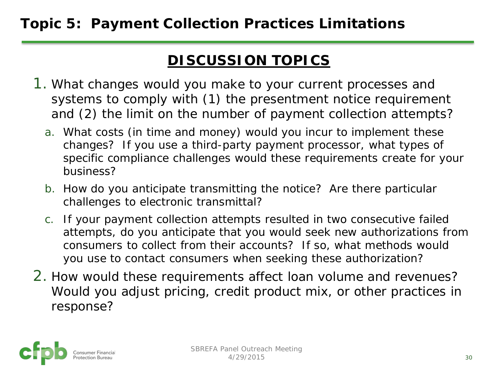#### **Topic 5: Payment Collection Practices Limitations**

#### **DISCUSSION TOPICS**

- 1. What changes would you make to your current processes and systems to comply with (1) the presentment notice requirement and (2) the limit on the number of payment collection attempts?
	- a. What costs (in time and money) would you incur to implement these changes? If you use a third-party payment processor, what types of specific compliance challenges would these requirements create for your business?
	- b. How do you anticipate transmitting the notice? Are there particular challenges to electronic transmittal?
	- c. If your payment collection attempts resulted in two consecutive failed attempts, do you anticipate that you would seek new authorizations from consumers to collect from their accounts? If so, what methods would you use to contact consumers when seeking these authorization?
- 2. How would these requirements affect loan volume and revenues? Would you adjust pricing, credit product mix, or other practices in response?

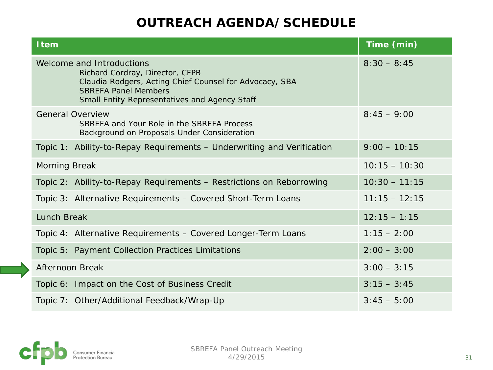| <b>Item</b>                                                                                                                                                                                             | Time (min)      |
|---------------------------------------------------------------------------------------------------------------------------------------------------------------------------------------------------------|-----------------|
| Welcome and Introductions<br>Richard Cordray, Director, CFPB<br>Claudia Rodgers, Acting Chief Counsel for Advocacy, SBA<br><b>SBREFA Panel Members</b><br>Small Entity Representatives and Agency Staff | $8:30 - 8:45$   |
| <b>General Overview</b><br>SBREFA and Your Role in the SBREFA Process<br>Background on Proposals Under Consideration                                                                                    | $8:45 - 9:00$   |
| Topic 1: Ability-to-Repay Requirements - Underwriting and Verification                                                                                                                                  | $9:00 - 10:15$  |
| <b>Morning Break</b>                                                                                                                                                                                    | $10:15 - 10:30$ |
| Topic 2: Ability-to-Repay Requirements - Restrictions on Reborrowing                                                                                                                                    | $10:30 - 11:15$ |
| Topic 3: Alternative Requirements - Covered Short-Term Loans                                                                                                                                            | $11:15 - 12:15$ |
| Lunch Break                                                                                                                                                                                             | $12:15 - 1:15$  |
| Topic 4: Alternative Requirements - Covered Longer-Term Loans                                                                                                                                           | $1:15 - 2:00$   |
| Topic 5: Payment Collection Practices Limitations                                                                                                                                                       | $2:00 - 3:00$   |
| Afternoon Break                                                                                                                                                                                         | $3:00 - 3:15$   |
| Topic 6: Impact on the Cost of Business Credit                                                                                                                                                          | $3:15 - 3:45$   |
| Topic 7: Other/Additional Feedback/Wrap-Up                                                                                                                                                              | $3:45 - 5:00$   |

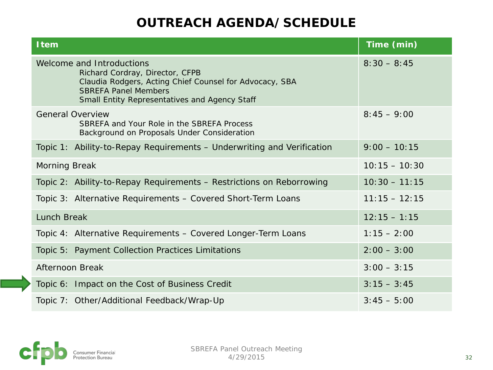## **OUTREACH AGENDA/SCHEDULE**

| <b>Item</b>                                                                                                                                                                                             | Time (min)      |
|---------------------------------------------------------------------------------------------------------------------------------------------------------------------------------------------------------|-----------------|
| Welcome and Introductions<br>Richard Cordray, Director, CFPB<br>Claudia Rodgers, Acting Chief Counsel for Advocacy, SBA<br><b>SBREFA Panel Members</b><br>Small Entity Representatives and Agency Staff | $8:30 - 8:45$   |
| <b>General Overview</b><br>SBREFA and Your Role in the SBREFA Process<br>Background on Proposals Under Consideration                                                                                    | $8:45 - 9:00$   |
| Topic 1: Ability-to-Repay Requirements – Underwriting and Verification                                                                                                                                  | $9:00 - 10:15$  |
| <b>Morning Break</b>                                                                                                                                                                                    | $10:15 - 10:30$ |
| Topic 2: Ability-to-Repay Requirements - Restrictions on Reborrowing                                                                                                                                    | $10:30 - 11:15$ |
| Topic 3: Alternative Requirements - Covered Short-Term Loans                                                                                                                                            | $11:15 - 12:15$ |
| <b>Lunch Break</b>                                                                                                                                                                                      | $12:15 - 1:15$  |
| Topic 4: Alternative Requirements - Covered Longer-Term Loans                                                                                                                                           | $1:15 - 2:00$   |
| Topic 5: Payment Collection Practices Limitations                                                                                                                                                       | $2:00 - 3:00$   |
| Afternoon Break                                                                                                                                                                                         | $3:00 - 3:15$   |
| Topic 6: Impact on the Cost of Business Credit                                                                                                                                                          | $3:15 - 3:45$   |
| Topic 7: Other/Additional Feedback/Wrap-Up                                                                                                                                                              | $3:45 - 5:00$   |

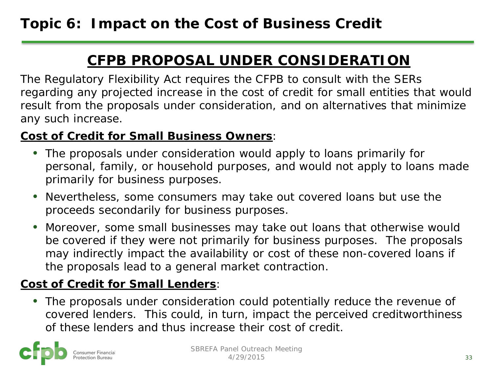# **CFPB PROPOSAL UNDER CONSIDERATION**

The Regulatory Flexibility Act requires the CFPB to consult with the SERs regarding any projected increase in the cost of credit for small entities that would result from the proposals under consideration, and on alternatives that minimize any such increase.

#### **Cost of Credit for Small Business Owners**:

- The proposals under consideration would apply to loans primarily for personal, family, or household purposes, and would not apply to loans made primarily for business purposes.
- Nevertheless, some consumers may take out covered loans but use the proceeds secondarily for business purposes.
- Moreover, some small businesses may take out loans that otherwise would be covered if they were not primarily for business purposes. The proposals may indirectly impact the availability or cost of these non-covered loans if the proposals lead to a general market contraction.

#### **Cost of Credit for Small Lenders**:

• The proposals under consideration could potentially reduce the revenue of covered lenders. This could, in turn, impact the perceived creditworthiness of these lenders and thus increase their cost of credit.

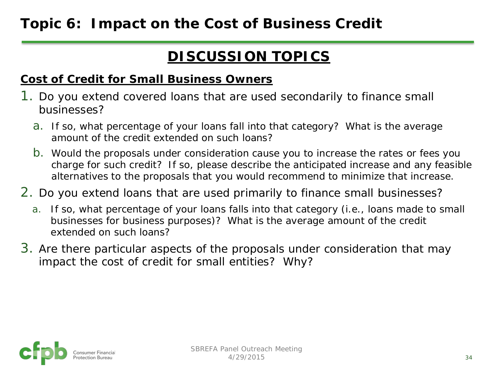# **DISCUSSION TOPICS**

#### **Cost of Credit for Small Business Owners**

- 1. Do you extend covered loans that are used secondarily to finance small businesses?
	- a. If so, what percentage of your loans fall into that category? What is the average amount of the credit extended on such loans?
	- b. Would the proposals under consideration cause you to increase the rates or fees you charge for such credit? If so, please describe the anticipated increase and any feasible alternatives to the proposals that you would recommend to minimize that increase.
- 2. Do you extend loans that are used primarily to finance small businesses?
	- a. If so, what percentage of your loans falls into that category (i.e., loans made to small businesses for business purposes)? What is the average amount of the credit extended on such loans?
- 3. Are there particular aspects of the proposals under consideration that may impact the cost of credit for small entities? Why?

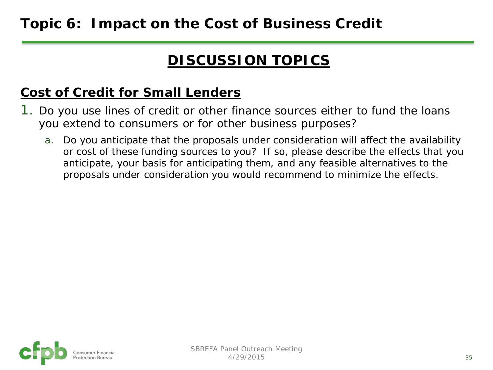# **DISCUSSION TOPICS**

### **Cost of Credit for Small Lenders**

- 1. Do you use lines of credit or other finance sources either to fund the loans you extend to consumers or for other business purposes?
	- a. Do you anticipate that the proposals under consideration will affect the availability or cost of these funding sources to you? If so, please describe the effects that you anticipate, your basis for anticipating them, and any feasible alternatives to the proposals under consideration you would recommend to minimize the effects.

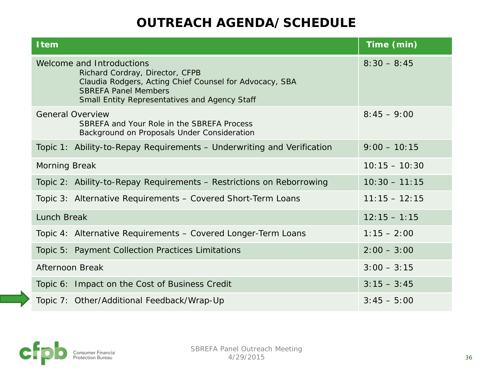## **OUTREACH AGENDA/SCHEDULE**

| <b>Item</b>                                                                                                                                                                                             | Time (min)      |
|---------------------------------------------------------------------------------------------------------------------------------------------------------------------------------------------------------|-----------------|
| Welcome and Introductions<br>Richard Cordray, Director, CFPB<br>Claudia Rodgers, Acting Chief Counsel for Advocacy, SBA<br><b>SBREFA Panel Members</b><br>Small Entity Representatives and Agency Staff | $8:30 - 8:45$   |
| <b>General Overview</b><br>SBREFA and Your Role in the SBREFA Process<br>Background on Proposals Under Consideration                                                                                    | $8:45 - 9:00$   |
| Topic 1: Ability-to-Repay Requirements - Underwriting and Verification                                                                                                                                  | $9:00 - 10:15$  |
| <b>Morning Break</b>                                                                                                                                                                                    | $10:15 - 10:30$ |
| Topic 2: Ability-to-Repay Requirements - Restrictions on Reborrowing                                                                                                                                    | $10:30 - 11:15$ |
| Topic 3: Alternative Requirements - Covered Short-Term Loans                                                                                                                                            | $11:15 - 12:15$ |
| Lunch Break                                                                                                                                                                                             | $12:15 - 1:15$  |
| Topic 4: Alternative Requirements - Covered Longer-Term Loans                                                                                                                                           | $1:15 - 2:00$   |
| Topic 5: Payment Collection Practices Limitations                                                                                                                                                       | $2:00 - 3:00$   |
| Afternoon Break                                                                                                                                                                                         | $3:00 - 3:15$   |
| Topic 6: Impact on the Cost of Business Credit                                                                                                                                                          | $3:15 - 3:45$   |
| Topic 7: Other/Additional Feedback/Wrap-Up                                                                                                                                                              | $3:45 - 5:00$   |

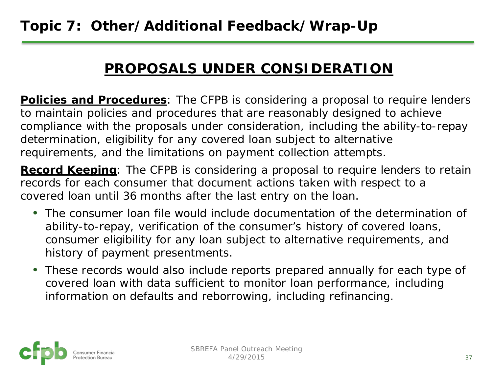# **PROPOSALS UNDER CONSIDERATION**

**Policies and Procedures**: The CFPB is considering a proposal to require lenders to maintain policies and procedures that are reasonably designed to achieve compliance with the proposals under consideration, including the ability-to-repay determination, eligibility for any covered loan subject to alternative requirements, and the limitations on payment collection attempts.

**Record Keeping**: The CFPB is considering a proposal to require lenders to retain records for each consumer that document actions taken with respect to a covered loan until 36 months after the last entry on the loan.

- The consumer loan file would include documentation of the determination of ability-to-repay, verification of the consumer's history of covered loans, consumer eligibility for any loan subject to alternative requirements, and history of payment presentments.
- These records would also include reports prepared annually for each type of covered loan with data sufficient to monitor loan performance, including information on defaults and reborrowing, including refinancing.

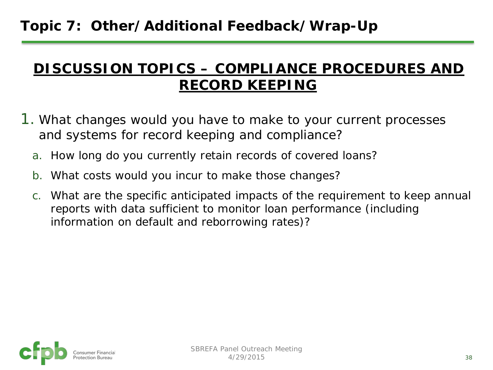# **Topic 7: Other/Additional Feedback/Wrap-Up**

## **DISCUSSION TOPICS – COMPLIANCE PROCEDURES AND RECORD KEEPING**

- 1. What changes would you have to make to your current processes and systems for record keeping and compliance?
	- a. How long do you currently retain records of covered loans?
	- b. What costs would you incur to make those changes?
	- c. What are the specific anticipated impacts of the requirement to keep annual reports with data sufficient to monitor loan performance (including information on default and reborrowing rates)?

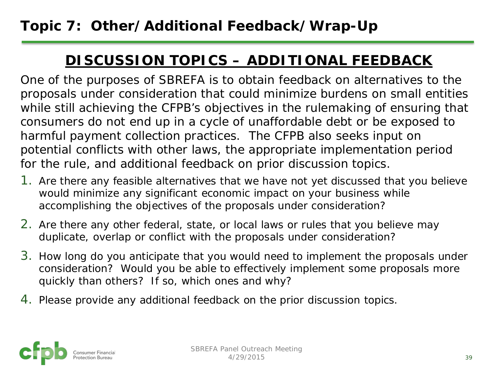## **DISCUSSION TOPICS – ADDITIONAL FEEDBACK**

One of the purposes of SBREFA is to obtain feedback on alternatives to the proposals under consideration that could minimize burdens on small entities while still achieving the CFPB's objectives in the rulemaking of ensuring that consumers do not end up in a cycle of unaffordable debt or be exposed to harmful payment collection practices. The CFPB also seeks input on potential conflicts with other laws, the appropriate implementation period for the rule, and additional feedback on prior discussion topics.

- 1. Are there any feasible alternatives that we have not yet discussed that you believe would minimize any significant economic impact on your business while accomplishing the objectives of the proposals under consideration?
- 2. Are there any other federal, state, or local laws or rules that you believe may duplicate, overlap or conflict with the proposals under consideration?
- 3. How long do you anticipate that you would need to implement the proposals under consideration? Would you be able to effectively implement some proposals more quickly than others? If so, which ones and why?
- 4. Please provide any additional feedback on the prior discussion topics.